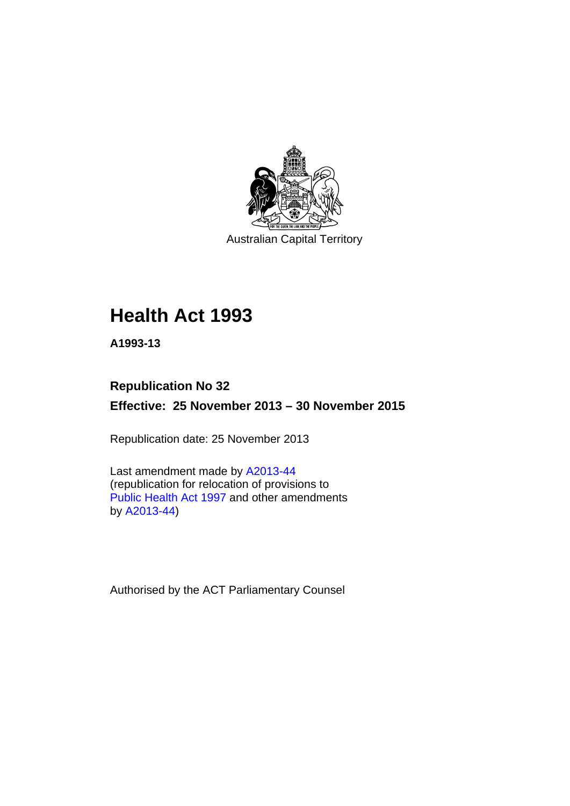

Australian Capital Territory

# **Health Act 1993**

**A1993-13** 

### **Republication No 32 Effective: 25 November 2013 – 30 November 2015**

Republication date: 25 November 2013

Last amendment made by [A2013-44](http://www.legislation.act.gov.au/a/2013-44) (republication for relocation of provisions to [Public Health Act 1997](http://www.legislation.act.gov.au/a/1997-69/default.asp?show=full) and other amendments by [A2013-44](http://www.legislation.act.gov.au/a/2013-44))

Authorised by the ACT Parliamentary Counsel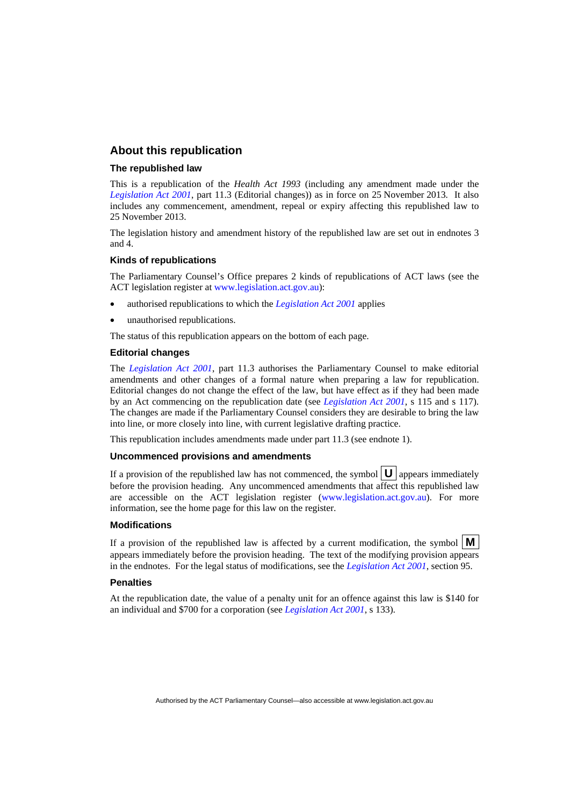#### **About this republication**

#### **The republished law**

This is a republication of the *Health Act 1993* (including any amendment made under the *[Legislation Act 2001](http://www.legislation.act.gov.au/a/2001-14)*, part 11.3 (Editorial changes)) as in force on 25 November 2013*.* It also includes any commencement, amendment, repeal or expiry affecting this republished law to 25 November 2013.

The legislation history and amendment history of the republished law are set out in endnotes 3 and 4.

#### **Kinds of republications**

The Parliamentary Counsel's Office prepares 2 kinds of republications of ACT laws (see the ACT legislation register at [www.legislation.act.gov.au](http://www.legislation.act.gov.au/)):

- authorised republications to which the *[Legislation Act 2001](http://www.legislation.act.gov.au/a/2001-14)* applies
- unauthorised republications.

The status of this republication appears on the bottom of each page.

#### **Editorial changes**

The *[Legislation Act 2001](http://www.legislation.act.gov.au/a/2001-14)*, part 11.3 authorises the Parliamentary Counsel to make editorial amendments and other changes of a formal nature when preparing a law for republication. Editorial changes do not change the effect of the law, but have effect as if they had been made by an Act commencing on the republication date (see *[Legislation Act 2001](http://www.legislation.act.gov.au/a/2001-14)*, s 115 and s 117). The changes are made if the Parliamentary Counsel considers they are desirable to bring the law into line, or more closely into line, with current legislative drafting practice.

This republication includes amendments made under part 11.3 (see endnote 1).

#### **Uncommenced provisions and amendments**

If a provision of the republished law has not commenced, the symbol  $\mathbf{U}$  appears immediately before the provision heading. Any uncommenced amendments that affect this republished law are accessible on the ACT legislation register [\(www.legislation.act.gov.au\)](http://www.legislation.act.gov.au/). For more information, see the home page for this law on the register.

#### **Modifications**

If a provision of the republished law is affected by a current modification, the symbol  $\mathbf{M}$ appears immediately before the provision heading. The text of the modifying provision appears in the endnotes. For the legal status of modifications, see the *[Legislation Act 2001](http://www.legislation.act.gov.au/a/2001-14)*, section 95.

#### **Penalties**

At the republication date, the value of a penalty unit for an offence against this law is \$140 for an individual and \$700 for a corporation (see *[Legislation Act 2001](http://www.legislation.act.gov.au/a/2001-14)*, s 133).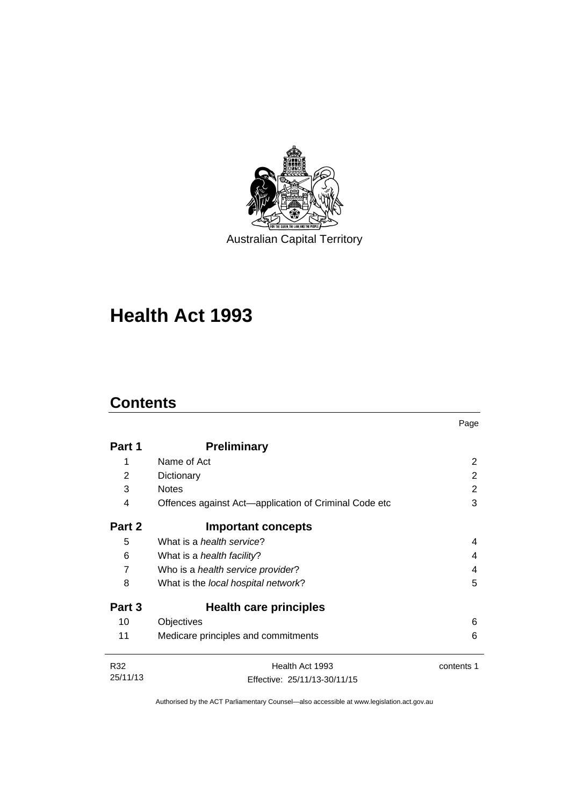

Australian Capital Territory

# **Health Act 1993**

## **Contents**

|                |                                                       | Page       |
|----------------|-------------------------------------------------------|------------|
| Part 1         | <b>Preliminary</b>                                    |            |
| 1              | Name of Act                                           | 2          |
| $\overline{2}$ | Dictionary                                            | 2          |
| 3              | <b>Notes</b>                                          | 2          |
| 4              | Offences against Act—application of Criminal Code etc | 3          |
| Part 2         | <b>Important concepts</b>                             |            |
| 5              | What is a <i>health service</i> ?                     | 4          |
| 6              | What is a <i>health facility</i> ?                    | 4          |
| 7              | Who is a health service provider?                     | 4          |
| 8              | What is the local hospital network?                   | 5          |
| Part 3         | Health care principles                                |            |
| 10             | Objectives                                            | 6          |
| 11             | Medicare principles and commitments                   | 6          |
| R32            | Health Act 1993                                       | contents 1 |
| 25/11/13       | Effective: 25/11/13-30/11/15                          |            |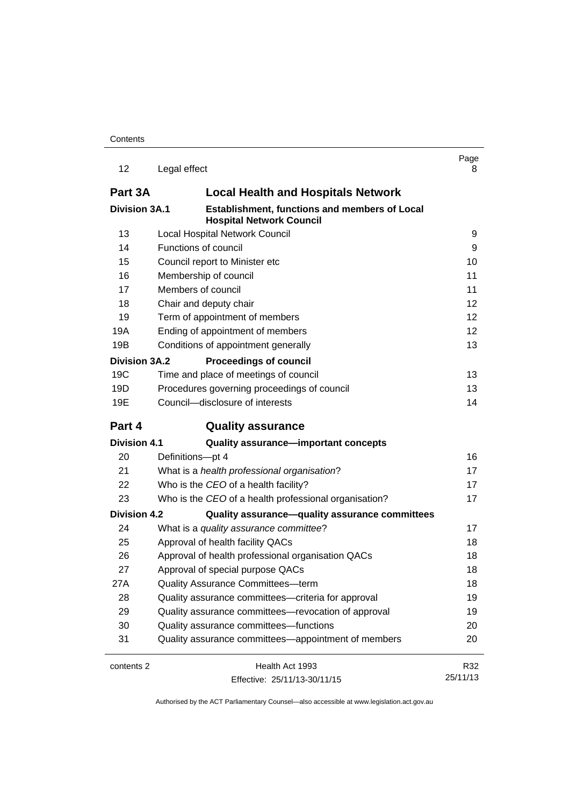| 12                   | Legal effect                                                                     | Page<br>8 |
|----------------------|----------------------------------------------------------------------------------|-----------|
| Part 3A              | <b>Local Health and Hospitals Network</b>                                        |           |
| <b>Division 3A.1</b> | Establishment, functions and members of Local<br><b>Hospital Network Council</b> |           |
| 13                   | Local Hospital Network Council                                                   | 9         |
| 14                   | Functions of council                                                             | 9         |
| 15                   | Council report to Minister etc                                                   |           |
| 16                   | Membership of council                                                            | 11        |
| 17                   | Members of council                                                               | 11        |
| 18                   | Chair and deputy chair                                                           | 12        |
| 19                   | Term of appointment of members                                                   | 12        |
| 19A                  | Ending of appointment of members                                                 | 12        |
| 19B                  | Conditions of appointment generally                                              | 13        |
| <b>Division 3A.2</b> | <b>Proceedings of council</b>                                                    |           |
| 19C                  | Time and place of meetings of council                                            | 13        |
| 19D                  | Procedures governing proceedings of council                                      | 13        |
| 19E                  | Council-disclosure of interests                                                  | 14        |
| Part 4               | <b>Quality assurance</b>                                                         |           |
| <b>Division 4.1</b>  | Quality assurance-important concepts                                             |           |
| 20                   | Definitions-pt 4                                                                 | 16        |
| 21                   | What is a health professional organisation?                                      | 17        |
| 22                   | Who is the CEO of a health facility?                                             | 17        |
| 23                   | Who is the CEO of a health professional organisation?                            | 17        |
| <b>Division 4.2</b>  | Quality assurance-quality assurance committees                                   |           |
| 24                   | What is a quality assurance committee?                                           | 17        |
| 25                   | Approval of health facility QACs                                                 | 18        |
| 26                   | Approval of health professional organisation QACs                                | 18        |
| 27                   | Approval of special purpose QACs                                                 | 18        |
| 27A                  | Quality Assurance Committees-term                                                | 18        |
| 28                   | Quality assurance committees—criteria for approval                               | 19        |
| 29                   | Quality assurance committees-revocation of approval                              | 19        |
| 30                   | Quality assurance committees-functions                                           | 20        |
| 31                   | Quality assurance committees—appointment of members                              | 20        |
| contents 2           | Health Act 1993                                                                  | R32       |
|                      | Effective: 25/11/13-30/11/15                                                     | 25/11/13  |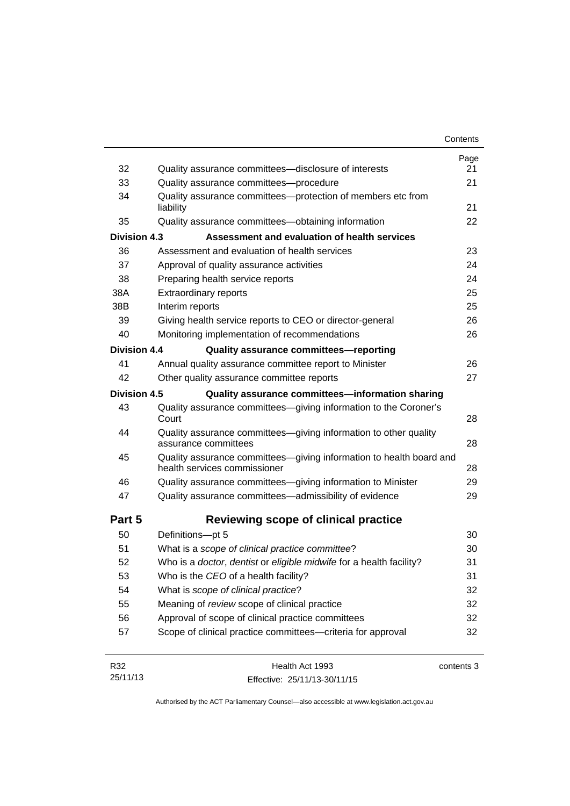|                     |                                                                                                     | Contents   |
|---------------------|-----------------------------------------------------------------------------------------------------|------------|
|                     |                                                                                                     | Page       |
| 32                  | Quality assurance committees—disclosure of interests                                                | 21         |
| 33                  | Quality assurance committees-procedure                                                              | 21         |
| 34                  | Quality assurance committees-protection of members etc from<br>liability                            | 21         |
| 35                  | Quality assurance committees-obtaining information                                                  | 22         |
| <b>Division 4.3</b> | Assessment and evaluation of health services                                                        |            |
| 36                  | Assessment and evaluation of health services                                                        | 23         |
| 37                  | Approval of quality assurance activities                                                            | 24         |
| 38                  | Preparing health service reports                                                                    | 24         |
| 38A                 | <b>Extraordinary reports</b>                                                                        | 25         |
| 38B                 | Interim reports                                                                                     | 25         |
| 39                  | Giving health service reports to CEO or director-general                                            | 26         |
| 40                  | Monitoring implementation of recommendations                                                        | 26         |
| Division 4.4        | Quality assurance committees-reporting                                                              |            |
| 41                  | Annual quality assurance committee report to Minister                                               | 26         |
| 42                  | Other quality assurance committee reports                                                           | 27         |
| <b>Division 4.5</b> | Quality assurance committees-information sharing                                                    |            |
| 43                  | Quality assurance committees-giving information to the Coroner's<br>Court                           | 28         |
| 44                  | Quality assurance committees-giving information to other quality<br>assurance committees            | 28         |
| 45                  | Quality assurance committees-giving information to health board and<br>health services commissioner | 28         |
| 46                  | Quality assurance committees-giving information to Minister                                         | 29         |
| 47                  | Quality assurance committees-admissibility of evidence                                              | 29         |
| Part 5              | Reviewing scope of clinical practice                                                                |            |
| 50                  | Definitions-pt 5                                                                                    | 30         |
| 51                  | What is a scope of clinical practice committee?                                                     | 30         |
| 52                  | Who is a doctor, dentist or eligible midwife for a health facility?                                 | 31         |
| 53                  | Who is the CEO of a health facility?                                                                | 31         |
| 54                  | What is scope of clinical practice?                                                                 | 32         |
| 55                  | Meaning of review scope of clinical practice                                                        | 32         |
| 56                  | Approval of scope of clinical practice committees                                                   | 32         |
| 57                  | Scope of clinical practice committees-criteria for approval                                         | 32         |
| R32                 | Health Act 1993                                                                                     | contents 3 |
| 0E/44/40            |                                                                                                     |            |

| R32      | Health Act 1993              | contents 3 |
|----------|------------------------------|------------|
| 25/11/13 | Effective: 25/11/13-30/11/15 |            |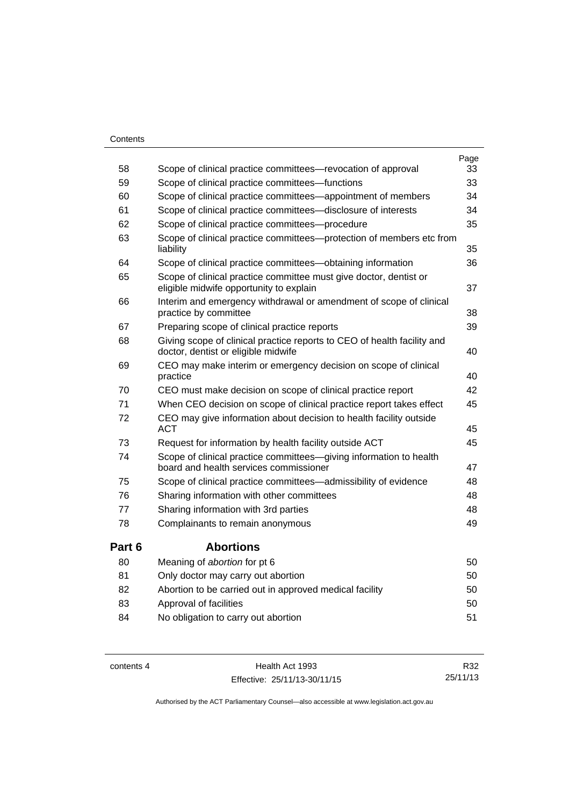#### **Contents**

| 58     | Scope of clinical practice committees—revocation of approval                                                   | Page<br>33 |
|--------|----------------------------------------------------------------------------------------------------------------|------------|
| 59     | Scope of clinical practice committees-functions                                                                | 33         |
| 60     |                                                                                                                | 34         |
|        | Scope of clinical practice committees—appointment of members                                                   |            |
| 61     | Scope of clinical practice committees-disclosure of interests                                                  | 34         |
| 62     | Scope of clinical practice committees-procedure                                                                | 35         |
| 63     | Scope of clinical practice committees--protection of members etc from<br>liability                             | 35         |
| 64     | Scope of clinical practice committees-obtaining information                                                    | 36         |
| 65     | Scope of clinical practice committee must give doctor, dentist or<br>eligible midwife opportunity to explain   | 37         |
| 66     | Interim and emergency withdrawal or amendment of scope of clinical<br>practice by committee                    | 38         |
| 67     | Preparing scope of clinical practice reports                                                                   | 39         |
| 68     | Giving scope of clinical practice reports to CEO of health facility and<br>doctor, dentist or eligible midwife | 40         |
| 69     | CEO may make interim or emergency decision on scope of clinical<br>practice                                    | 40         |
| 70     | CEO must make decision on scope of clinical practice report                                                    | 42         |
| 71     | When CEO decision on scope of clinical practice report takes effect                                            | 45         |
| 72     | CEO may give information about decision to health facility outside<br><b>ACT</b>                               | 45         |
| 73     | Request for information by health facility outside ACT                                                         | 45         |
| 74     | Scope of clinical practice committees-giving information to health                                             |            |
|        | board and health services commissioner                                                                         | 47         |
| 75     | Scope of clinical practice committees—admissibility of evidence                                                | 48         |
| 76     | Sharing information with other committees                                                                      | 48         |
| 77     | Sharing information with 3rd parties                                                                           | 48         |
| 78     | Complainants to remain anonymous                                                                               | 49         |
| Part 6 | <b>Abortions</b>                                                                                               |            |
| 80     | Meaning of abortion for pt 6                                                                                   | 50         |
| 81     | Only doctor may carry out abortion                                                                             | 50         |
| 82     | Abortion to be carried out in approved medical facility                                                        | 50         |
| 83     | Approval of facilities                                                                                         | 50         |
| 84     | No obligation to carry out abortion                                                                            | 51         |

contents 4 Health Act 1993 Effective: 25/11/13-30/11/15

R32 25/11/13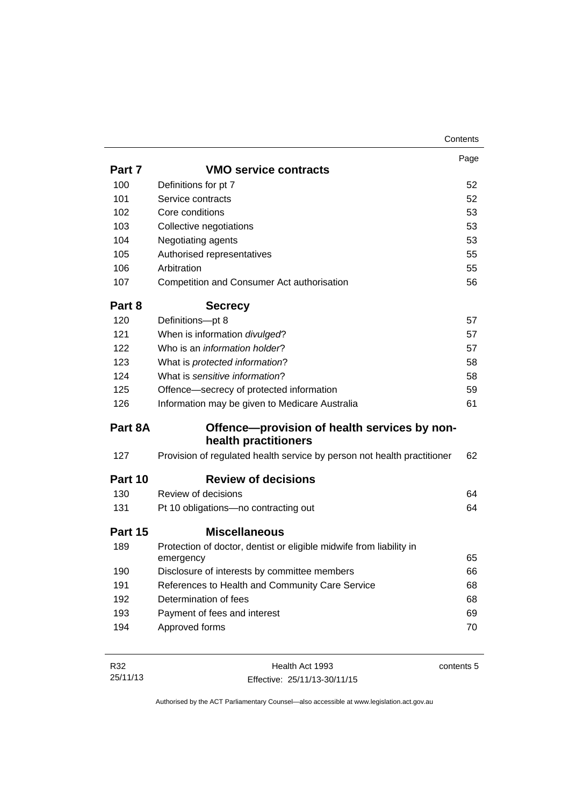|         |                                                                                  | Page |
|---------|----------------------------------------------------------------------------------|------|
| Part 7  | <b>VMO service contracts</b>                                                     |      |
| 100     | Definitions for pt 7                                                             | 52   |
| 101     | Service contracts                                                                | 52   |
| 102     | Core conditions                                                                  | 53   |
| 103     | Collective negotiations                                                          | 53   |
| 104     | Negotiating agents                                                               | 53   |
| 105     | Authorised representatives                                                       | 55   |
| 106     | Arbitration                                                                      | 55   |
| 107     | Competition and Consumer Act authorisation                                       | 56   |
| Part 8  | <b>Secrecy</b>                                                                   |      |
| 120     | Definitions-pt 8                                                                 | 57   |
| 121     | When is information divulged?                                                    | 57   |
| 122     | Who is an information holder?                                                    | 57   |
| 123     | What is protected information?                                                   | 58   |
| 124     | What is sensitive information?                                                   | 58   |
| 125     | Offence-secrecy of protected information                                         | 59   |
| 126     | Information may be given to Medicare Australia                                   | 61   |
| Part 8A | Offence-provision of health services by non-                                     |      |
|         | health practitioners                                                             |      |
| 127     | Provision of regulated health service by person not health practitioner          | 62   |
| Part 10 | <b>Review of decisions</b>                                                       |      |
| 130     | Review of decisions                                                              | 64   |
| 131     | Pt 10 obligations-no contracting out                                             | 64   |
| Part 15 | <b>Miscellaneous</b>                                                             |      |
| 189     | Protection of doctor, dentist or eligible midwife from liability in<br>emergency | 65   |
| 190     | Disclosure of interests by committee members                                     | 66   |
| 191     | References to Health and Community Care Service                                  | 68   |
| 192     | Determination of fees                                                            | 68   |
| 193     | Payment of fees and interest                                                     | 69   |
| 194     | Approved forms                                                                   | 70   |
|         |                                                                                  |      |
|         |                                                                                  |      |

R32 25/11/13 Health Act 1993 Effective: 25/11/13-30/11/15 contents 5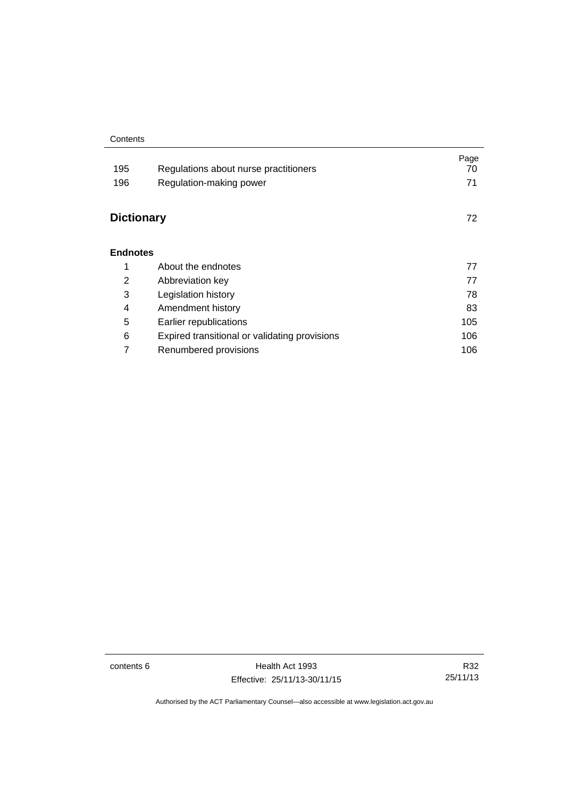#### **Contents**

| 195<br>196        | Regulations about nurse practitioners<br>Regulation-making power | Page<br>70<br>71 |
|-------------------|------------------------------------------------------------------|------------------|
| <b>Dictionary</b> |                                                                  | 72               |
| <b>Endnotes</b>   |                                                                  |                  |
| 1                 | About the endnotes                                               | 77               |
| 2                 | Abbreviation key                                                 | 77               |
| 3                 | Legislation history                                              | 78               |
| 4                 | Amendment history                                                | 83               |
| 5                 | Earlier republications                                           | 105              |
| 6                 | Expired transitional or validating provisions                    | 106              |
| 7                 | Renumbered provisions                                            | 106              |

contents 6 Health Act 1993 Effective: 25/11/13-30/11/15

R32 25/11/13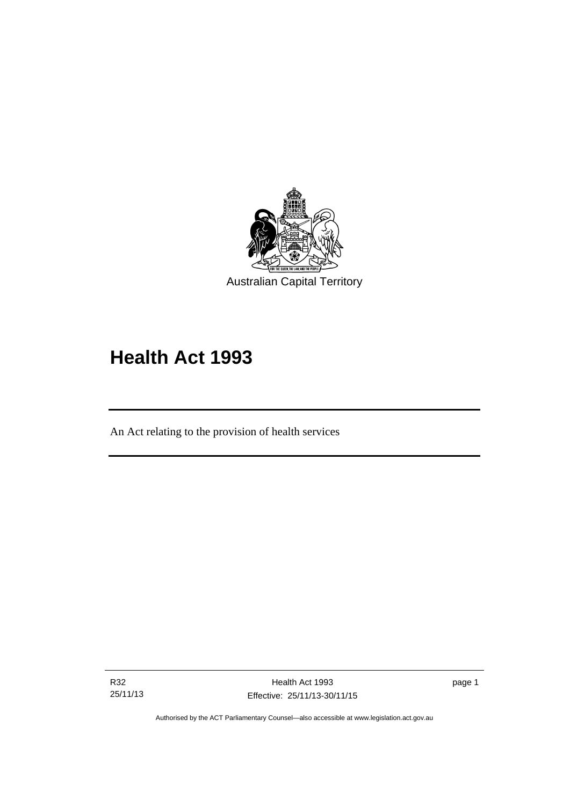

# **Health Act 1993**

An Act relating to the provision of health services

R32 25/11/13

l

page 1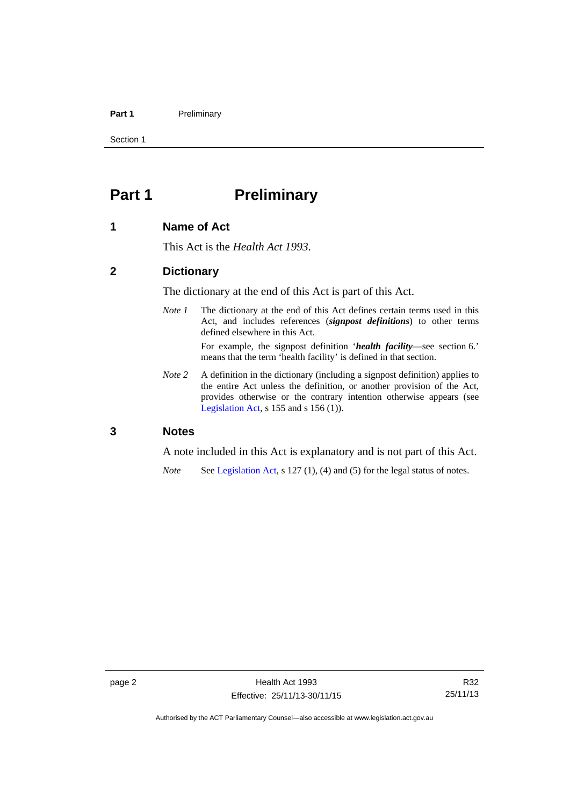#### Part 1 **Preliminary**

Section 1

### <span id="page-9-0"></span>**Part 1** Preliminary

#### <span id="page-9-1"></span>**1 Name of Act**

This Act is the *Health Act 1993*.

#### <span id="page-9-2"></span>**2 Dictionary**

The dictionary at the end of this Act is part of this Act.

*Note 1* The dictionary at the end of this Act defines certain terms used in this Act, and includes references (*signpost definitions*) to other terms defined elsewhere in this Act.

> For example, the signpost definition '*health facility*—see section 6.' means that the term 'health facility' is defined in that section.

*Note* 2 A definition in the dictionary (including a signpost definition) applies to the entire Act unless the definition, or another provision of the Act, provides otherwise or the contrary intention otherwise appears (see [Legislation Act,](http://www.legislation.act.gov.au/a/2001-14)  $s$  155 and  $s$  156 (1)).

#### <span id="page-9-3"></span>**3 Notes**

A note included in this Act is explanatory and is not part of this Act.

*Note* See [Legislation Act,](http://www.legislation.act.gov.au/a/2001-14) s 127 (1), (4) and (5) for the legal status of notes.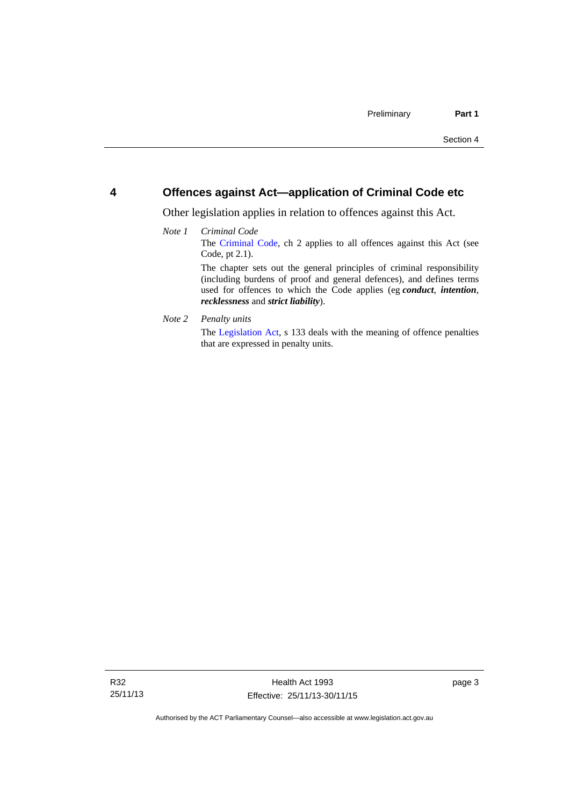#### <span id="page-10-0"></span>**4 Offences against Act—application of Criminal Code etc**

Other legislation applies in relation to offences against this Act.

#### *Note 1 Criminal Code* The [Criminal Code](http://www.legislation.act.gov.au/a/2002-51), ch 2 applies to all offences against this Act (see Code, pt 2.1). The chapter sets out the general principles of criminal responsibility (including burdens of proof and general defences), and defines terms used for offences to which the Code applies (eg *conduct*, *intention*, *recklessness* and *strict liability*).

*Note 2 Penalty units* 

The [Legislation Act](http://www.legislation.act.gov.au/a/2001-14), s 133 deals with the meaning of offence penalties that are expressed in penalty units.

page 3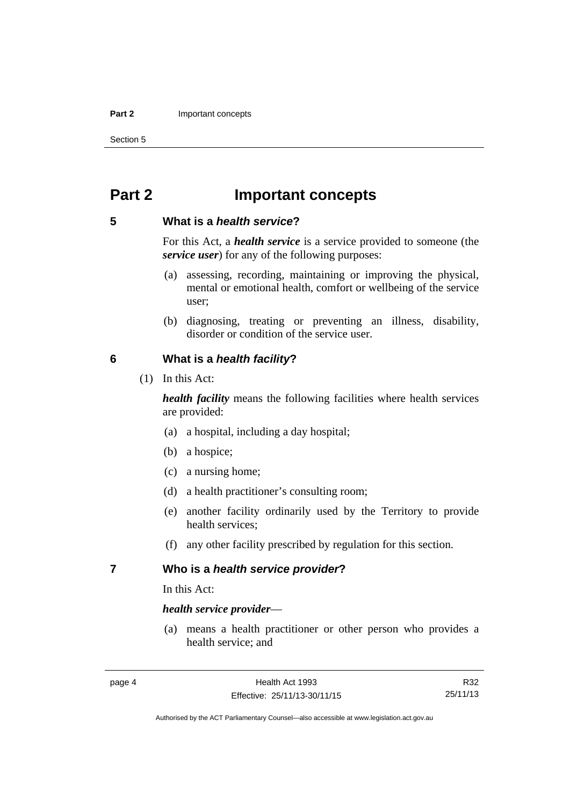#### **Part 2 Important concepts**

Section 5

### <span id="page-11-0"></span>**Part 2 Important concepts**

#### <span id="page-11-1"></span>**5 What is a** *health service***?**

For this Act, a *health service* is a service provided to someone (the *service user*) for any of the following purposes:

- (a) assessing, recording, maintaining or improving the physical, mental or emotional health, comfort or wellbeing of the service user;
- (b) diagnosing, treating or preventing an illness, disability, disorder or condition of the service user.

#### <span id="page-11-2"></span>**6 What is a** *health facility***?**

(1) In this Act:

*health facility* means the following facilities where health services are provided:

- (a) a hospital, including a day hospital;
- (b) a hospice;
- (c) a nursing home;
- (d) a health practitioner's consulting room;
- (e) another facility ordinarily used by the Territory to provide health services;
- (f) any other facility prescribed by regulation for this section.

#### <span id="page-11-3"></span>**7 Who is a** *health service provider***?**

In this Act:

#### *health service provider*—

 (a) means a health practitioner or other person who provides a health service; and

R32 25/11/13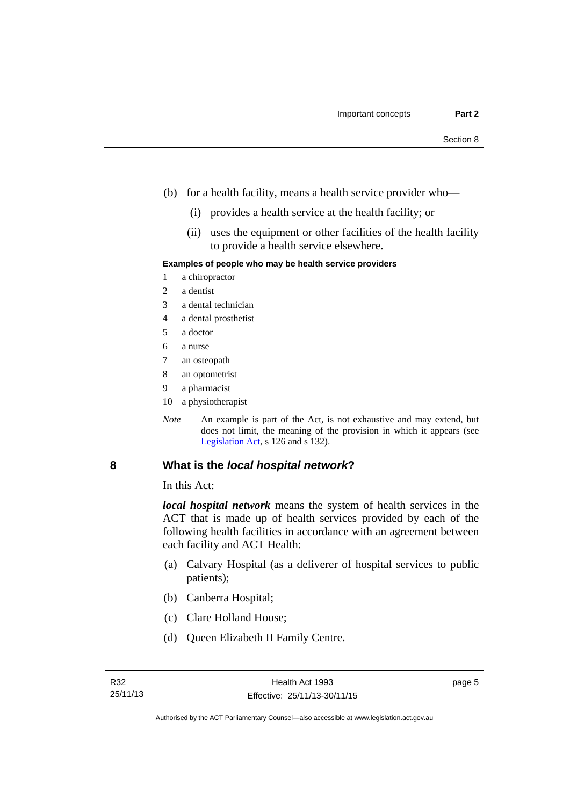- (b) for a health facility, means a health service provider who—
	- (i) provides a health service at the health facility; or
	- (ii) uses the equipment or other facilities of the health facility to provide a health service elsewhere.

#### **Examples of people who may be health service providers**

- 1 a chiropractor
- 2 a dentist
- 3 a dental technician
- 4 a dental prosthetist
- 5 a doctor
- 6 a nurse
- 7 an osteopath
- 8 an optometrist
- 9 a pharmacist
- 10 a physiotherapist
- *Note* An example is part of the Act, is not exhaustive and may extend, but does not limit, the meaning of the provision in which it appears (see [Legislation Act,](http://www.legislation.act.gov.au/a/2001-14) s 126 and s 132).

#### <span id="page-12-0"></span>**8 What is the** *local hospital network***?**

In this Act:

*local hospital network* means the system of health services in the ACT that is made up of health services provided by each of the following health facilities in accordance with an agreement between each facility and ACT Health:

- (a) Calvary Hospital (as a deliverer of hospital services to public patients);
- (b) Canberra Hospital;
- (c) Clare Holland House;
- (d) Queen Elizabeth II Family Centre.

page 5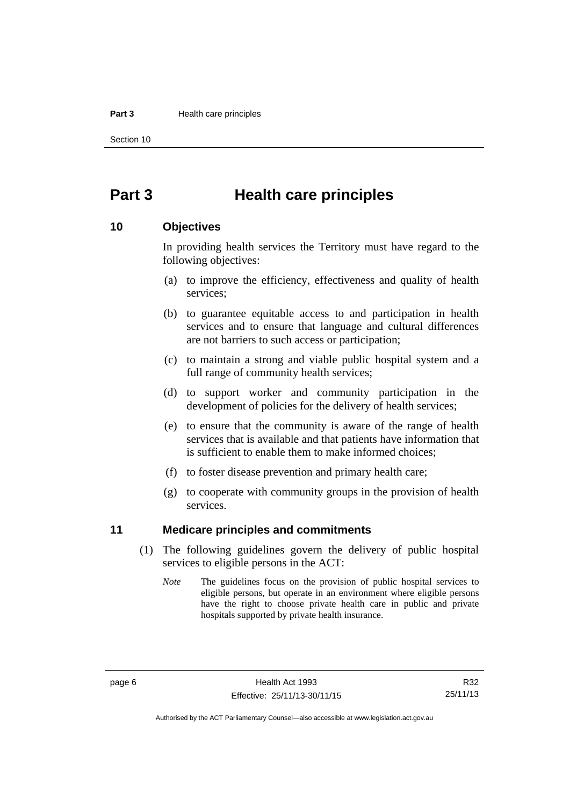#### **Part 3 Health care principles**

Section 10

### <span id="page-13-0"></span>**Part 3 Health care principles**

#### <span id="page-13-1"></span>**10 Objectives**

In providing health services the Territory must have regard to the following objectives:

- (a) to improve the efficiency, effectiveness and quality of health services;
- (b) to guarantee equitable access to and participation in health services and to ensure that language and cultural differences are not barriers to such access or participation;
- (c) to maintain a strong and viable public hospital system and a full range of community health services;
- (d) to support worker and community participation in the development of policies for the delivery of health services;
- (e) to ensure that the community is aware of the range of health services that is available and that patients have information that is sufficient to enable them to make informed choices;
- (f) to foster disease prevention and primary health care;
- (g) to cooperate with community groups in the provision of health services.

#### <span id="page-13-2"></span>**11 Medicare principles and commitments**

- (1) The following guidelines govern the delivery of public hospital services to eligible persons in the ACT:
	- *Note* The guidelines focus on the provision of public hospital services to eligible persons, but operate in an environment where eligible persons have the right to choose private health care in public and private hospitals supported by private health insurance.

R32 25/11/13

Authorised by the ACT Parliamentary Counsel—also accessible at www.legislation.act.gov.au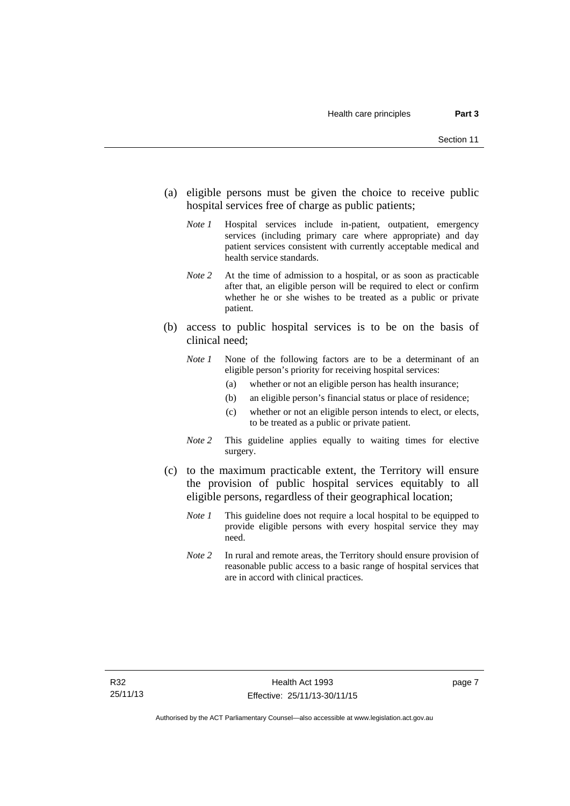- (a) eligible persons must be given the choice to receive public hospital services free of charge as public patients;
	- *Note 1* Hospital services include in-patient, outpatient, emergency services (including primary care where appropriate) and day patient services consistent with currently acceptable medical and health service standards.
	- *Note 2* At the time of admission to a hospital, or as soon as practicable after that, an eligible person will be required to elect or confirm whether he or she wishes to be treated as a public or private patient.
- (b) access to public hospital services is to be on the basis of clinical need;
	- *Note 1* None of the following factors are to be a determinant of an eligible person's priority for receiving hospital services:
		- (a) whether or not an eligible person has health insurance;
		- (b) an eligible person's financial status or place of residence;
		- (c) whether or not an eligible person intends to elect, or elects, to be treated as a public or private patient.
	- *Note 2* This guideline applies equally to waiting times for elective surgery.
- (c) to the maximum practicable extent, the Territory will ensure the provision of public hospital services equitably to all eligible persons, regardless of their geographical location;
	- *Note 1* This guideline does not require a local hospital to be equipped to provide eligible persons with every hospital service they may need.
	- *Note 2* In rural and remote areas, the Territory should ensure provision of reasonable public access to a basic range of hospital services that are in accord with clinical practices.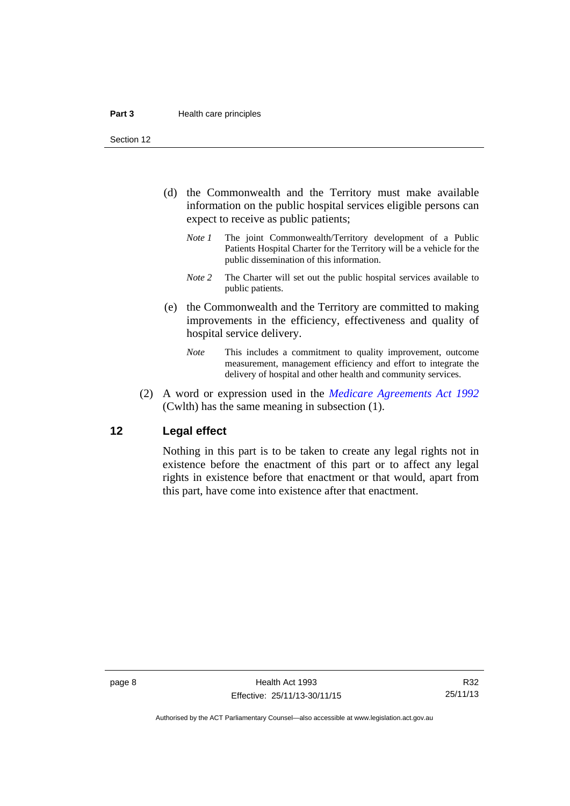Section 12

- (d) the Commonwealth and the Territory must make available information on the public hospital services eligible persons can expect to receive as public patients;
	- *Note 1* The joint Commonwealth/Territory development of a Public Patients Hospital Charter for the Territory will be a vehicle for the public dissemination of this information.
	- *Note 2* The Charter will set out the public hospital services available to public patients.
- (e) the Commonwealth and the Territory are committed to making improvements in the efficiency, effectiveness and quality of hospital service delivery.
	- *Note* This includes a commitment to quality improvement, outcome measurement, management efficiency and effort to integrate the delivery of hospital and other health and community services.
- (2) A word or expression used in the *[Medicare Agreements Act 1992](http://www.comlaw.gov.au/Details/C2006C00041)* (Cwlth) has the same meaning in subsection (1).

#### <span id="page-15-0"></span>**12 Legal effect**

Nothing in this part is to be taken to create any legal rights not in existence before the enactment of this part or to affect any legal rights in existence before that enactment or that would, apart from this part, have come into existence after that enactment.

R32 25/11/13

Authorised by the ACT Parliamentary Counsel—also accessible at www.legislation.act.gov.au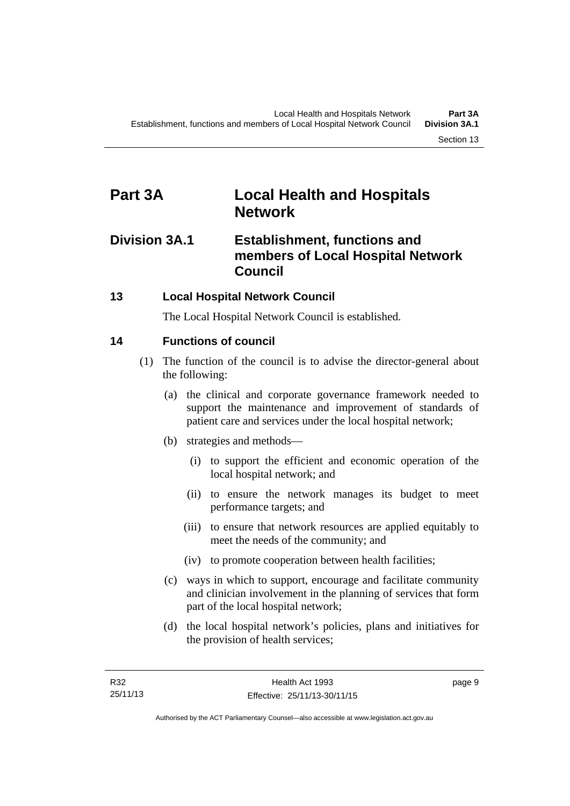### <span id="page-16-0"></span>**Part 3A Local Health and Hospitals Network**

### <span id="page-16-1"></span>**Division 3A.1 Establishment, functions and members of Local Hospital Network Council**

### <span id="page-16-2"></span>**13 Local Hospital Network Council**

The Local Hospital Network Council is established.

### <span id="page-16-3"></span>**14 Functions of council**

- (1) The function of the council is to advise the director-general about the following:
	- (a) the clinical and corporate governance framework needed to support the maintenance and improvement of standards of patient care and services under the local hospital network;
	- (b) strategies and methods—
		- (i) to support the efficient and economic operation of the local hospital network; and
		- (ii) to ensure the network manages its budget to meet performance targets; and
		- (iii) to ensure that network resources are applied equitably to meet the needs of the community; and
		- (iv) to promote cooperation between health facilities;
	- (c) ways in which to support, encourage and facilitate community and clinician involvement in the planning of services that form part of the local hospital network;
	- (d) the local hospital network's policies, plans and initiatives for the provision of health services;

page 9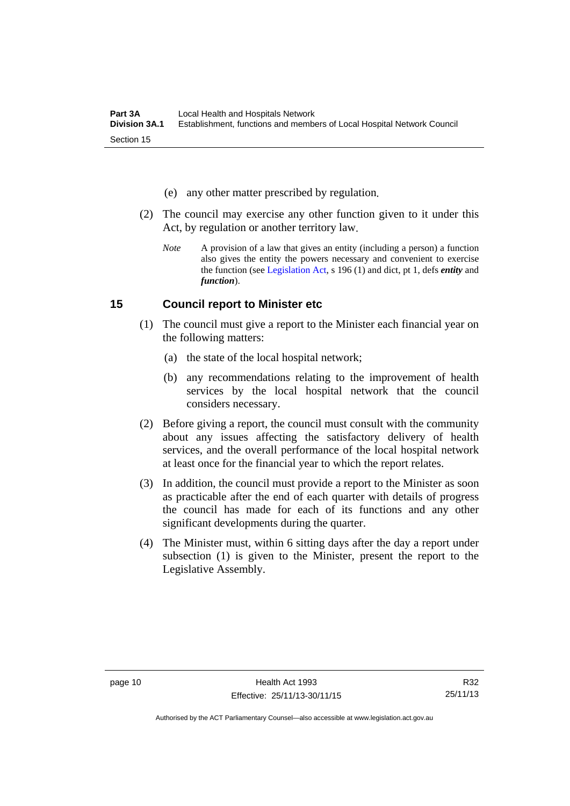- (e) any other matter prescribed by regulation.
- (2) The council may exercise any other function given to it under this Act, by regulation or another territory law.
	- *Note* A provision of a law that gives an entity (including a person) a function also gives the entity the powers necessary and convenient to exercise the function (see [Legislation Act](http://www.legislation.act.gov.au/a/2001-14), s 196 (1) and dict, pt 1, defs *entity* and *function*).

#### <span id="page-17-0"></span>**15 Council report to Minister etc**

- (1) The council must give a report to the Minister each financial year on the following matters:
	- (a) the state of the local hospital network;
	- (b) any recommendations relating to the improvement of health services by the local hospital network that the council considers necessary.
- (2) Before giving a report, the council must consult with the community about any issues affecting the satisfactory delivery of health services, and the overall performance of the local hospital network at least once for the financial year to which the report relates.
- (3) In addition, the council must provide a report to the Minister as soon as practicable after the end of each quarter with details of progress the council has made for each of its functions and any other significant developments during the quarter.
- (4) The Minister must, within 6 sitting days after the day a report under subsection (1) is given to the Minister, present the report to the Legislative Assembly.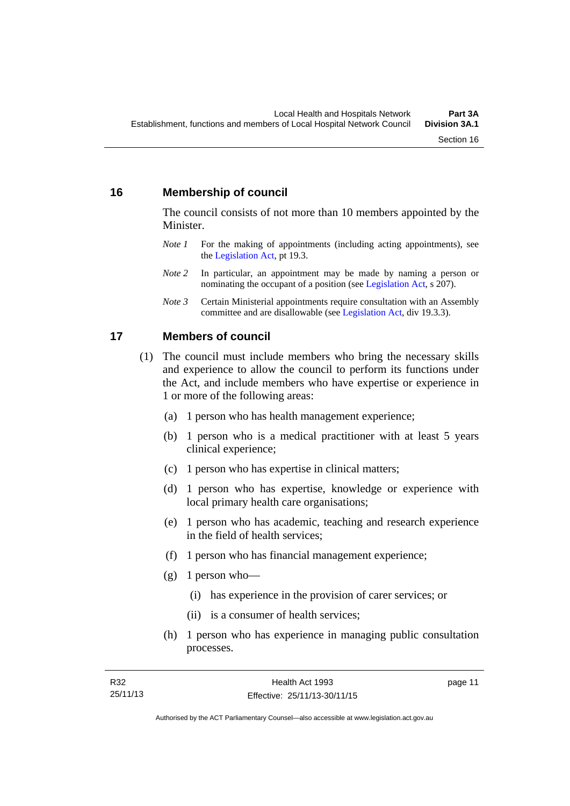#### <span id="page-18-0"></span>**16 Membership of council**

The council consists of not more than 10 members appointed by the Minister.

- *Note 1* For the making of appointments (including acting appointments), see the [Legislation Act,](http://www.legislation.act.gov.au/a/2001-14) pt 19.3.
- *Note 2* In particular, an appointment may be made by naming a person or nominating the occupant of a position (see [Legislation Act](http://www.legislation.act.gov.au/a/2001-14), s 207).
- *Note 3* Certain Ministerial appointments require consultation with an Assembly committee and are disallowable (see [Legislation Act,](http://www.legislation.act.gov.au/a/2001-14) div 19.3.3).

#### <span id="page-18-1"></span>**17 Members of council**

- (1) The council must include members who bring the necessary skills and experience to allow the council to perform its functions under the Act, and include members who have expertise or experience in 1 or more of the following areas:
	- (a) 1 person who has health management experience;
	- (b) 1 person who is a medical practitioner with at least 5 years clinical experience;
	- (c) 1 person who has expertise in clinical matters;
	- (d) 1 person who has expertise, knowledge or experience with local primary health care organisations;
	- (e) 1 person who has academic, teaching and research experience in the field of health services;
	- (f) 1 person who has financial management experience;
	- $(g)$  1 person who—
		- (i) has experience in the provision of carer services; or
		- (ii) is a consumer of health services;
	- (h) 1 person who has experience in managing public consultation processes.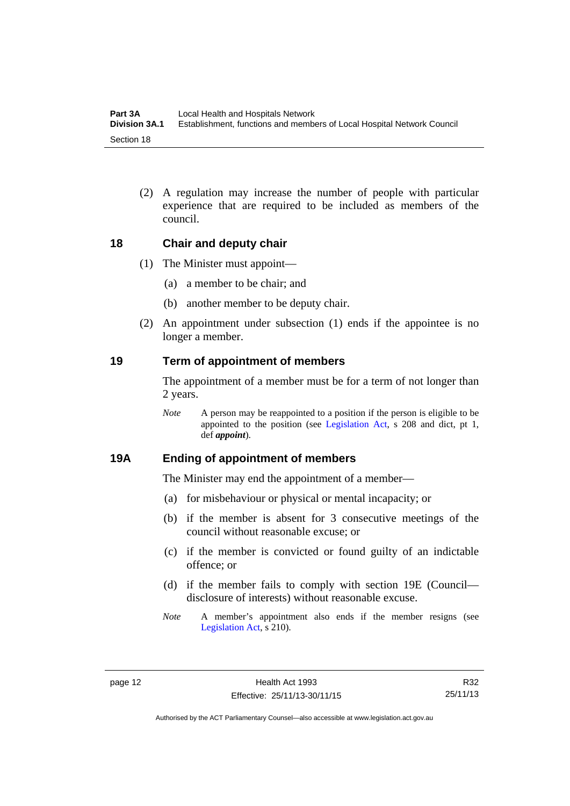(2) A regulation may increase the number of people with particular experience that are required to be included as members of the council.

#### <span id="page-19-0"></span>**18 Chair and deputy chair**

- (1) The Minister must appoint—
	- (a) a member to be chair; and
	- (b) another member to be deputy chair.
- (2) An appointment under subsection (1) ends if the appointee is no longer a member.

#### <span id="page-19-1"></span>**19 Term of appointment of members**

The appointment of a member must be for a term of not longer than 2 years.

*Note* A person may be reappointed to a position if the person is eligible to be appointed to the position (see [Legislation Act,](http://www.legislation.act.gov.au/a/2001-14) s 208 and dict, pt 1, def *appoint*).

#### <span id="page-19-2"></span>**19A Ending of appointment of members**

The Minister may end the appointment of a member—

- (a) for misbehaviour or physical or mental incapacity; or
- (b) if the member is absent for 3 consecutive meetings of the council without reasonable excuse; or
- (c) if the member is convicted or found guilty of an indictable offence; or
- (d) if the member fails to comply with section 19E (Council disclosure of interests) without reasonable excuse.
- *Note* A member's appointment also ends if the member resigns (see [Legislation Act,](http://www.legislation.act.gov.au/a/2001-14) s 210).

R32 25/11/13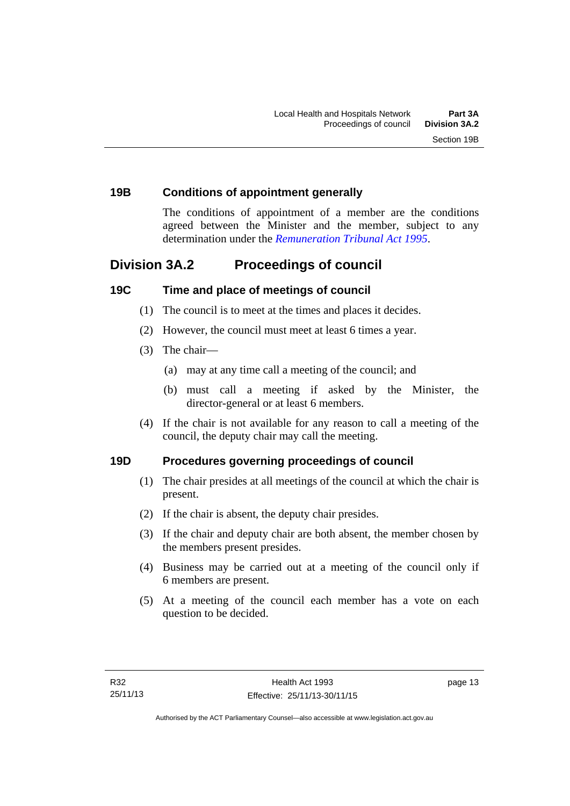#### <span id="page-20-0"></span>**19B Conditions of appointment generally**

The conditions of appointment of a member are the conditions agreed between the Minister and the member, subject to any determination under the *[Remuneration Tribunal Act 1995](http://www.legislation.act.gov.au/a/1995-55)*.

### <span id="page-20-1"></span>**Division 3A.2 Proceedings of council**

#### <span id="page-20-2"></span>**19C Time and place of meetings of council**

- (1) The council is to meet at the times and places it decides.
- (2) However, the council must meet at least 6 times a year.
- (3) The chair—
	- (a) may at any time call a meeting of the council; and
	- (b) must call a meeting if asked by the Minister, the director-general or at least 6 members.
- (4) If the chair is not available for any reason to call a meeting of the council, the deputy chair may call the meeting.

#### <span id="page-20-3"></span>**19D Procedures governing proceedings of council**

- (1) The chair presides at all meetings of the council at which the chair is present.
- (2) If the chair is absent, the deputy chair presides.
- (3) If the chair and deputy chair are both absent, the member chosen by the members present presides.
- (4) Business may be carried out at a meeting of the council only if 6 members are present.
- (5) At a meeting of the council each member has a vote on each question to be decided.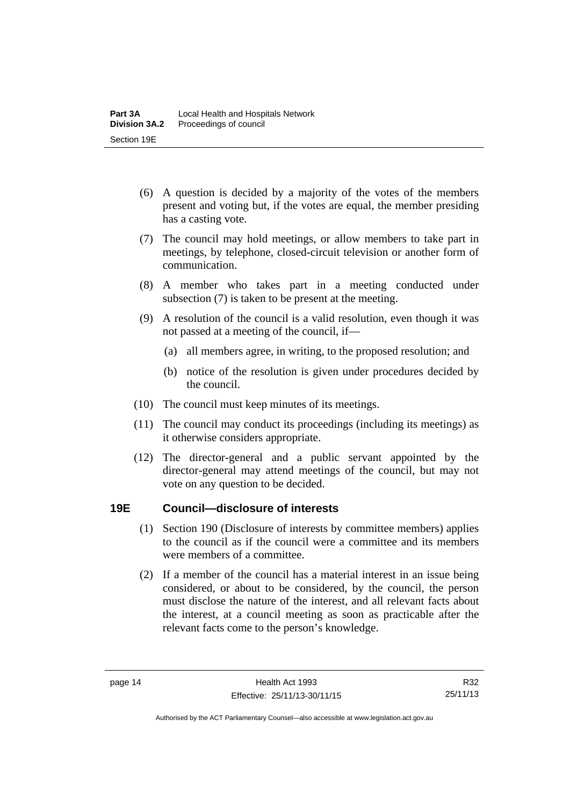- (6) A question is decided by a majority of the votes of the members present and voting but, if the votes are equal, the member presiding has a casting vote.
- (7) The council may hold meetings, or allow members to take part in meetings, by telephone, closed-circuit television or another form of communication.
- (8) A member who takes part in a meeting conducted under subsection (7) is taken to be present at the meeting.
- (9) A resolution of the council is a valid resolution, even though it was not passed at a meeting of the council, if—
	- (a) all members agree, in writing, to the proposed resolution; and
	- (b) notice of the resolution is given under procedures decided by the council.
- (10) The council must keep minutes of its meetings.
- (11) The council may conduct its proceedings (including its meetings) as it otherwise considers appropriate.
- (12) The director-general and a public servant appointed by the director-general may attend meetings of the council, but may not vote on any question to be decided.

#### <span id="page-21-0"></span>**19E Council—disclosure of interests**

- (1) Section 190 (Disclosure of interests by committee members) applies to the council as if the council were a committee and its members were members of a committee.
- (2) If a member of the council has a material interest in an issue being considered, or about to be considered, by the council, the person must disclose the nature of the interest, and all relevant facts about the interest, at a council meeting as soon as practicable after the relevant facts come to the person's knowledge.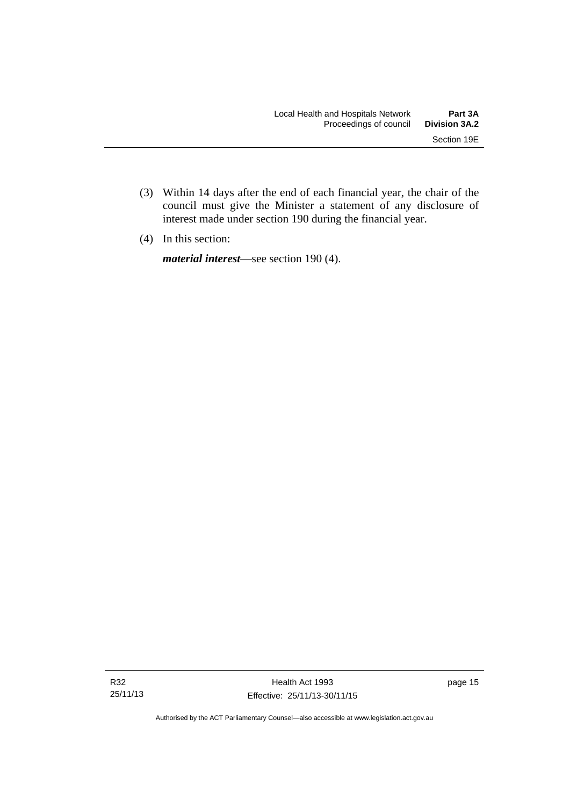- (3) Within 14 days after the end of each financial year, the chair of the council must give the Minister a statement of any disclosure of interest made under section 190 during the financial year.
- (4) In this section:

*material interest*—see section 190 (4).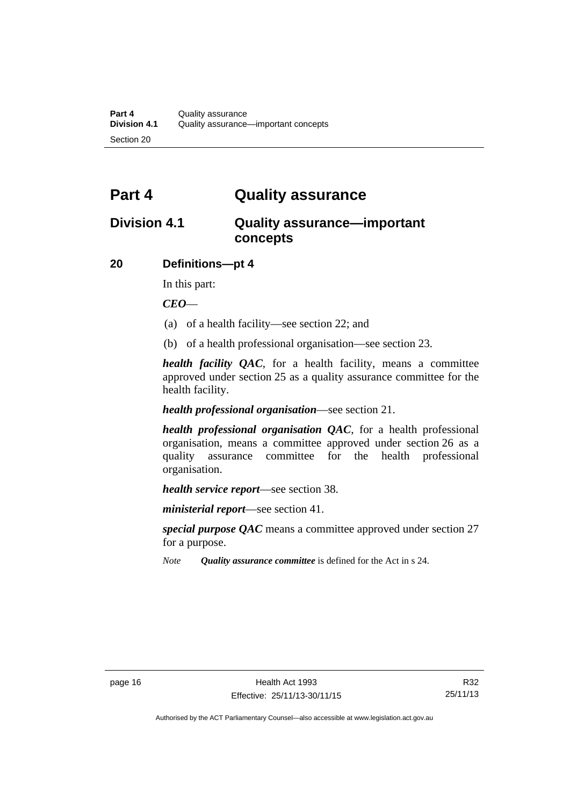### <span id="page-23-0"></span>**Part 4 Quality assurance**

### <span id="page-23-1"></span>**Division 4.1 Quality assurance—important concepts**

#### <span id="page-23-2"></span>**20 Definitions—pt 4**

In this part:

*CEO*—

- (a) of a health facility—see section 22; and
- (b) of a health professional organisation—see section 23.

*health facility QAC*, for a health facility, means a committee approved under section 25 as a quality assurance committee for the health facility.

#### *health professional organisation*—see section 21.

*health professional organisation QAC*, for a health professional organisation, means a committee approved under section 26 as a quality assurance committee for the health professional organisation.

*health service report*—see section 38.

*ministerial report*—see section 41.

*special purpose QAC* means a committee approved under section 27 for a purpose.

*Note Quality assurance committee* is defined for the Act in s 24.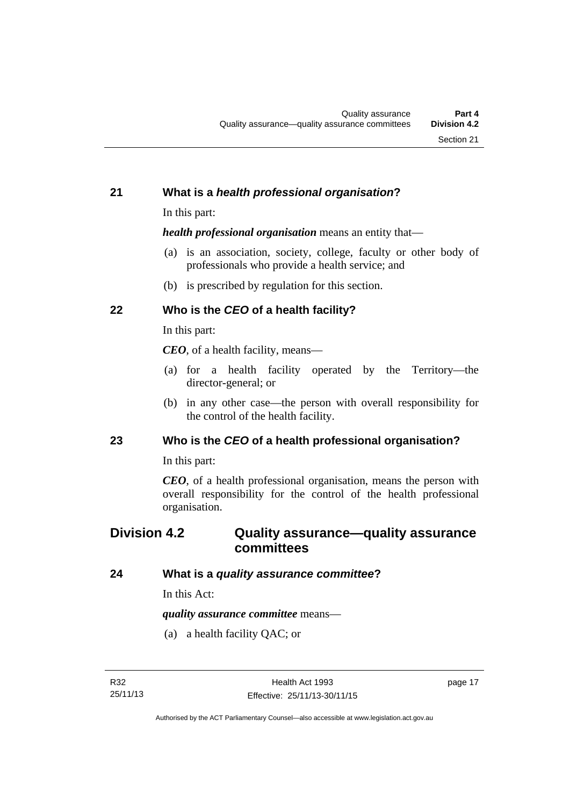#### <span id="page-24-0"></span>**21 What is a** *health professional organisation***?**

In this part:

*health professional organisation* means an entity that—

- (a) is an association, society, college, faculty or other body of professionals who provide a health service; and
- (b) is prescribed by regulation for this section.

### <span id="page-24-1"></span>**22 Who is the** *CEO* **of a health facility?**

In this part:

*CEO*, of a health facility, means—

- (a) for a health facility operated by the Territory—the director-general; or
- (b) in any other case—the person with overall responsibility for the control of the health facility.

#### <span id="page-24-2"></span>**23 Who is the** *CEO* **of a health professional organisation?**

In this part:

*CEO*, of a health professional organisation, means the person with overall responsibility for the control of the health professional organisation.

### <span id="page-24-3"></span>**Division 4.2 Quality assurance—quality assurance committees**

#### <span id="page-24-4"></span>**24 What is a** *quality assurance committee***?**

In this Act:

*quality assurance committee* means—

(a) a health facility QAC; or

page 17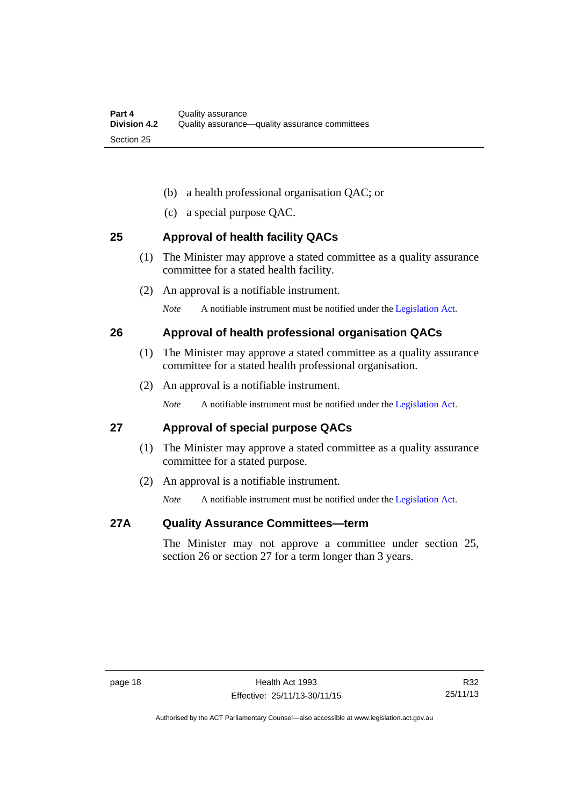- (b) a health professional organisation QAC; or
- (c) a special purpose QAC.

#### <span id="page-25-0"></span>**25 Approval of health facility QACs**

- (1) The Minister may approve a stated committee as a quality assurance committee for a stated health facility.
- (2) An approval is a notifiable instrument.

*Note* A notifiable instrument must be notified under the [Legislation Act](http://www.legislation.act.gov.au/a/2001-14).

#### <span id="page-25-1"></span>**26 Approval of health professional organisation QACs**

- (1) The Minister may approve a stated committee as a quality assurance committee for a stated health professional organisation.
- (2) An approval is a notifiable instrument.

*Note* A notifiable instrument must be notified under the [Legislation Act](http://www.legislation.act.gov.au/a/2001-14).

#### <span id="page-25-2"></span>**27 Approval of special purpose QACs**

- (1) The Minister may approve a stated committee as a quality assurance committee for a stated purpose.
- (2) An approval is a notifiable instrument.

*Note* A notifiable instrument must be notified under the [Legislation Act](http://www.legislation.act.gov.au/a/2001-14).

#### <span id="page-25-3"></span>**27A Quality Assurance Committees—term**

The Minister may not approve a committee under section 25, section 26 or section 27 for a term longer than 3 years.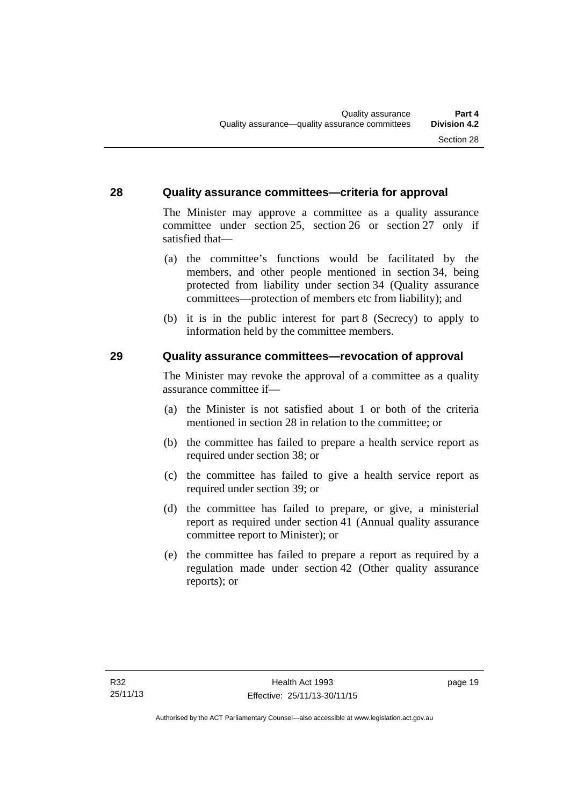#### <span id="page-26-0"></span>**28 Quality assurance committees—criteria for approval**

The Minister may approve a committee as a quality assurance committee under section 25, section 26 or section 27 only if satisfied that—

- (a) the committee's functions would be facilitated by the members, and other people mentioned in section 34, being protected from liability under section 34 (Quality assurance committees—protection of members etc from liability); and
- (b) it is in the public interest for part 8 (Secrecy) to apply to information held by the committee members.

#### <span id="page-26-1"></span>**29 Quality assurance committees—revocation of approval**

The Minister may revoke the approval of a committee as a quality assurance committee if—

- (a) the Minister is not satisfied about 1 or both of the criteria mentioned in section 28 in relation to the committee; or
- (b) the committee has failed to prepare a health service report as required under section 38; or
- (c) the committee has failed to give a health service report as required under section 39; or
- (d) the committee has failed to prepare, or give, a ministerial report as required under section 41 (Annual quality assurance committee report to Minister); or
- (e) the committee has failed to prepare a report as required by a regulation made under section 42 (Other quality assurance reports); or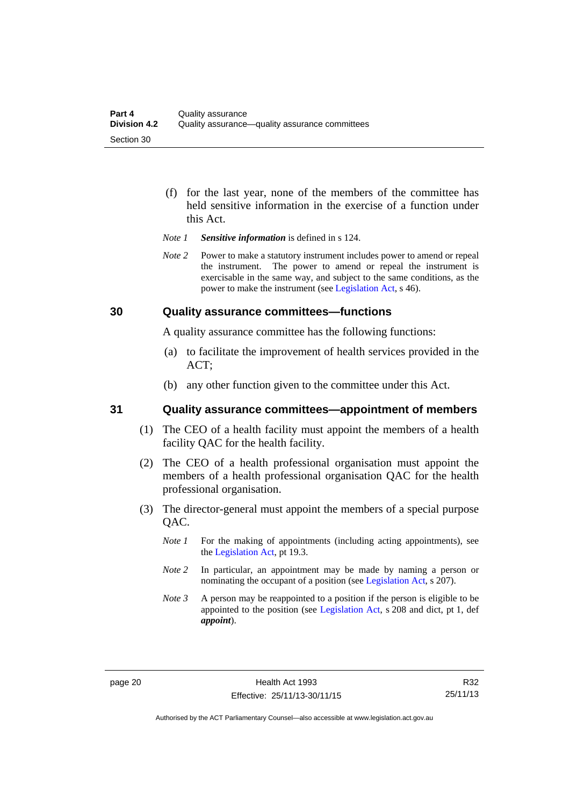- (f) for the last year, none of the members of the committee has held sensitive information in the exercise of a function under this Act.
- *Note 1 Sensitive information* is defined in s 124.
- *Note* 2 Power to make a statutory instrument includes power to amend or repeal the instrument. The power to amend or repeal the instrument is exercisable in the same way, and subject to the same conditions, as the power to make the instrument (see [Legislation Act,](http://www.legislation.act.gov.au/a/2001-14) s 46).

#### <span id="page-27-0"></span>**30 Quality assurance committees—functions**

A quality assurance committee has the following functions:

- (a) to facilitate the improvement of health services provided in the ACT;
- (b) any other function given to the committee under this Act.

#### <span id="page-27-1"></span>**31 Quality assurance committees—appointment of members**

- (1) The CEO of a health facility must appoint the members of a health facility QAC for the health facility.
- (2) The CEO of a health professional organisation must appoint the members of a health professional organisation QAC for the health professional organisation.
- (3) The director-general must appoint the members of a special purpose QAC.
	- *Note 1* For the making of appointments (including acting appointments), see the [Legislation Act,](http://www.legislation.act.gov.au/a/2001-14) pt 19.3.
	- *Note 2* In particular, an appointment may be made by naming a person or nominating the occupant of a position (see [Legislation Act](http://www.legislation.act.gov.au/a/2001-14), s 207).
	- *Note 3* A person may be reappointed to a position if the person is eligible to be appointed to the position (see [Legislation Act](http://www.legislation.act.gov.au/a/2001-14), s 208 and dict, pt 1, def *appoint*).

R32 25/11/13

Authorised by the ACT Parliamentary Counsel—also accessible at www.legislation.act.gov.au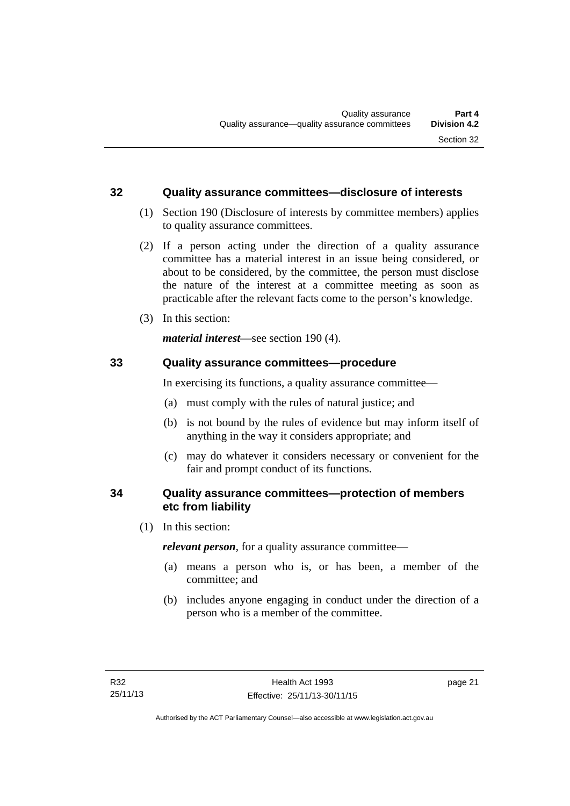#### <span id="page-28-0"></span>**32 Quality assurance committees—disclosure of interests**

- (1) Section 190 (Disclosure of interests by committee members) applies to quality assurance committees.
- (2) If a person acting under the direction of a quality assurance committee has a material interest in an issue being considered, or about to be considered, by the committee, the person must disclose the nature of the interest at a committee meeting as soon as practicable after the relevant facts come to the person's knowledge.
- (3) In this section:

*material interest*—see section 190 (4).

#### <span id="page-28-1"></span>**33 Quality assurance committees—procedure**

In exercising its functions, a quality assurance committee—

- (a) must comply with the rules of natural justice; and
- (b) is not bound by the rules of evidence but may inform itself of anything in the way it considers appropriate; and
- (c) may do whatever it considers necessary or convenient for the fair and prompt conduct of its functions.

#### <span id="page-28-2"></span>**34 Quality assurance committees—protection of members etc from liability**

(1) In this section:

*relevant person*, for a quality assurance committee—

- (a) means a person who is, or has been, a member of the committee; and
- (b) includes anyone engaging in conduct under the direction of a person who is a member of the committee.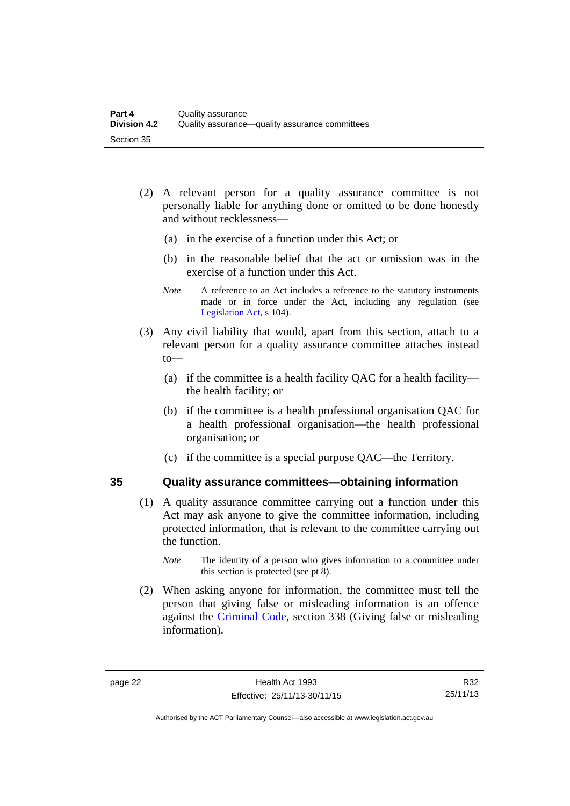- (2) A relevant person for a quality assurance committee is not personally liable for anything done or omitted to be done honestly and without recklessness—
	- (a) in the exercise of a function under this Act; or
	- (b) in the reasonable belief that the act or omission was in the exercise of a function under this Act.
	- *Note* A reference to an Act includes a reference to the statutory instruments made or in force under the Act, including any regulation (see [Legislation Act,](http://www.legislation.act.gov.au/a/2001-14) s 104).
- (3) Any civil liability that would, apart from this section, attach to a relevant person for a quality assurance committee attaches instead to—
	- (a) if the committee is a health facility QAC for a health facility the health facility; or
	- (b) if the committee is a health professional organisation QAC for a health professional organisation—the health professional organisation; or
	- (c) if the committee is a special purpose QAC—the Territory.

#### <span id="page-29-0"></span>**35 Quality assurance committees—obtaining information**

- (1) A quality assurance committee carrying out a function under this Act may ask anyone to give the committee information, including protected information, that is relevant to the committee carrying out the function.
	- *Note* The identity of a person who gives information to a committee under this section is protected (see pt 8).
- (2) When asking anyone for information, the committee must tell the person that giving false or misleading information is an offence against the [Criminal Code](http://www.legislation.act.gov.au/a/2002-51), section 338 (Giving false or misleading information).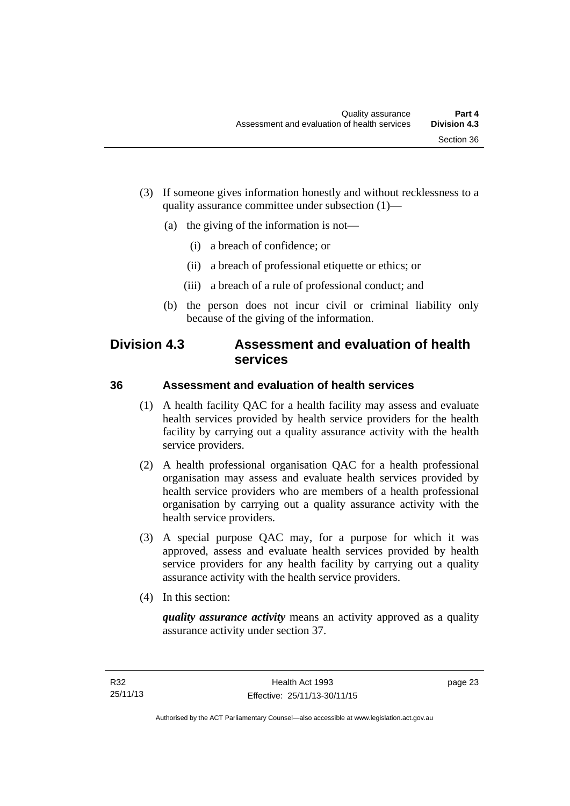- (3) If someone gives information honestly and without recklessness to a quality assurance committee under subsection (1)—
	- (a) the giving of the information is not—
		- (i) a breach of confidence; or
		- (ii) a breach of professional etiquette or ethics; or
		- (iii) a breach of a rule of professional conduct; and
	- (b) the person does not incur civil or criminal liability only because of the giving of the information.

### <span id="page-30-0"></span>**Division 4.3 Assessment and evaluation of health services**

#### <span id="page-30-1"></span>**36 Assessment and evaluation of health services**

- (1) A health facility QAC for a health facility may assess and evaluate health services provided by health service providers for the health facility by carrying out a quality assurance activity with the health service providers.
- (2) A health professional organisation QAC for a health professional organisation may assess and evaluate health services provided by health service providers who are members of a health professional organisation by carrying out a quality assurance activity with the health service providers.
- (3) A special purpose QAC may, for a purpose for which it was approved, assess and evaluate health services provided by health service providers for any health facility by carrying out a quality assurance activity with the health service providers.
- (4) In this section:

*quality assurance activity* means an activity approved as a quality assurance activity under section 37.

page 23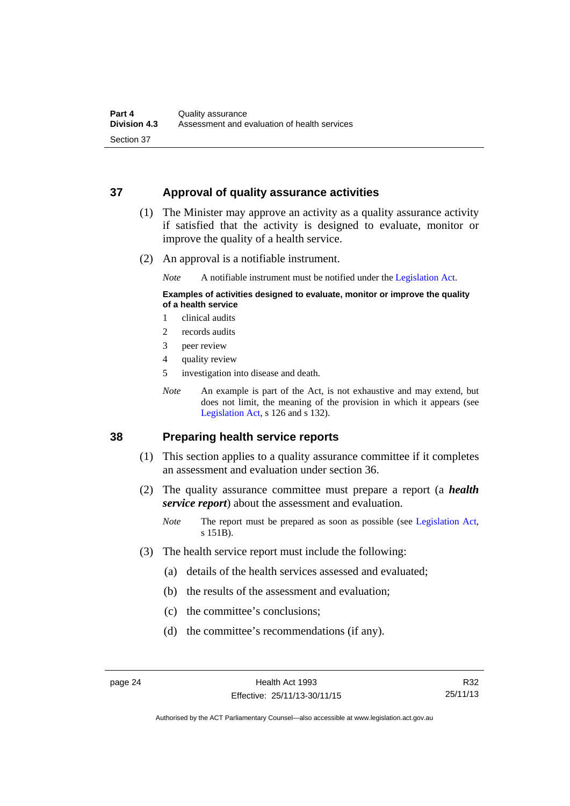#### <span id="page-31-0"></span>**37 Approval of quality assurance activities**

- (1) The Minister may approve an activity as a quality assurance activity if satisfied that the activity is designed to evaluate, monitor or improve the quality of a health service.
- (2) An approval is a notifiable instrument.

*Note* A notifiable instrument must be notified under the [Legislation Act](http://www.legislation.act.gov.au/a/2001-14).

#### **Examples of activities designed to evaluate, monitor or improve the quality of a health service**

- 1 clinical audits
- 2 records audits
- 3 peer review
- 4 quality review
- 5 investigation into disease and death.
- *Note* An example is part of the Act, is not exhaustive and may extend, but does not limit, the meaning of the provision in which it appears (see [Legislation Act,](http://www.legislation.act.gov.au/a/2001-14) s 126 and s 132).

#### <span id="page-31-1"></span>**38 Preparing health service reports**

- (1) This section applies to a quality assurance committee if it completes an assessment and evaluation under section 36.
- (2) The quality assurance committee must prepare a report (a *health service report*) about the assessment and evaluation.
	- *Note* The report must be prepared as soon as possible (see [Legislation Act,](http://www.legislation.act.gov.au/a/2001-14) s 151B).
- (3) The health service report must include the following:
	- (a) details of the health services assessed and evaluated;
	- (b) the results of the assessment and evaluation;
	- (c) the committee's conclusions;
	- (d) the committee's recommendations (if any).

Authorised by the ACT Parliamentary Counsel—also accessible at www.legislation.act.gov.au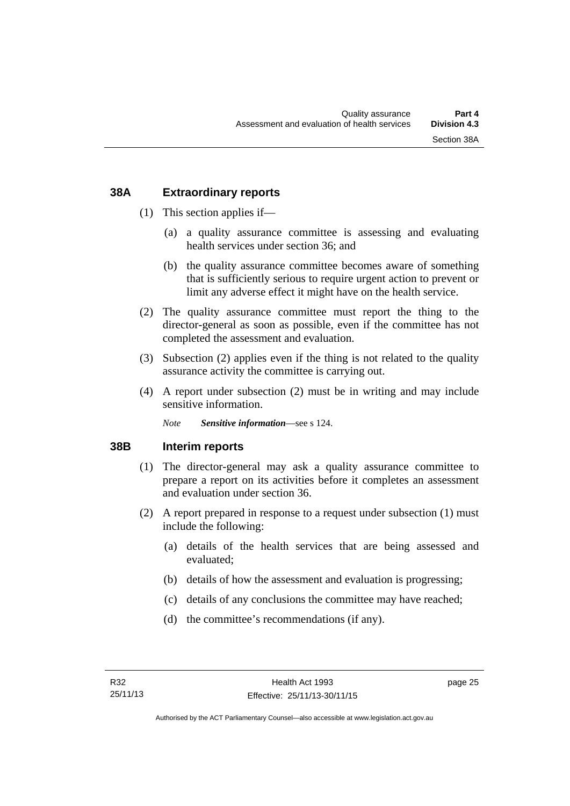#### <span id="page-32-0"></span>**38A Extraordinary reports**

- (1) This section applies if—
	- (a) a quality assurance committee is assessing and evaluating health services under section 36; and
	- (b) the quality assurance committee becomes aware of something that is sufficiently serious to require urgent action to prevent or limit any adverse effect it might have on the health service.
- (2) The quality assurance committee must report the thing to the director-general as soon as possible, even if the committee has not completed the assessment and evaluation.
- (3) Subsection (2) applies even if the thing is not related to the quality assurance activity the committee is carrying out.
- (4) A report under subsection (2) must be in writing and may include sensitive information.

*Note Sensitive information*—see s 124.

#### <span id="page-32-1"></span>**38B Interim reports**

- (1) The director-general may ask a quality assurance committee to prepare a report on its activities before it completes an assessment and evaluation under section 36.
- (2) A report prepared in response to a request under subsection (1) must include the following:
	- (a) details of the health services that are being assessed and evaluated;
	- (b) details of how the assessment and evaluation is progressing;
	- (c) details of any conclusions the committee may have reached;
	- (d) the committee's recommendations (if any).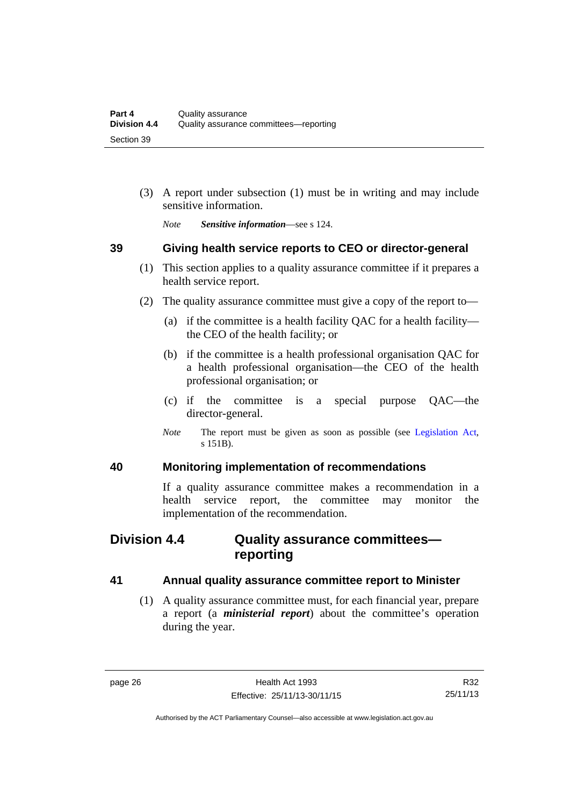(3) A report under subsection (1) must be in writing and may include sensitive information.

*Note Sensitive information*—see s 124.

#### <span id="page-33-0"></span>**39 Giving health service reports to CEO or director-general**

- (1) This section applies to a quality assurance committee if it prepares a health service report.
- (2) The quality assurance committee must give a copy of the report to—
	- (a) if the committee is a health facility QAC for a health facility the CEO of the health facility; or
	- (b) if the committee is a health professional organisation QAC for a health professional organisation—the CEO of the health professional organisation; or
	- (c) if the committee is a special purpose QAC—the director-general.
	- *Note* The report must be given as soon as possible (see [Legislation Act,](http://www.legislation.act.gov.au/a/2001-14) s 151B).

#### <span id="page-33-1"></span>**40 Monitoring implementation of recommendations**

If a quality assurance committee makes a recommendation in a health service report, the committee may monitor the implementation of the recommendation.

### <span id="page-33-2"></span>**Division 4.4 Quality assurance committees reporting**

#### <span id="page-33-3"></span>**41 Annual quality assurance committee report to Minister**

 (1) A quality assurance committee must, for each financial year, prepare a report (a *ministerial report*) about the committee's operation during the year.

Authorised by the ACT Parliamentary Counsel—also accessible at www.legislation.act.gov.au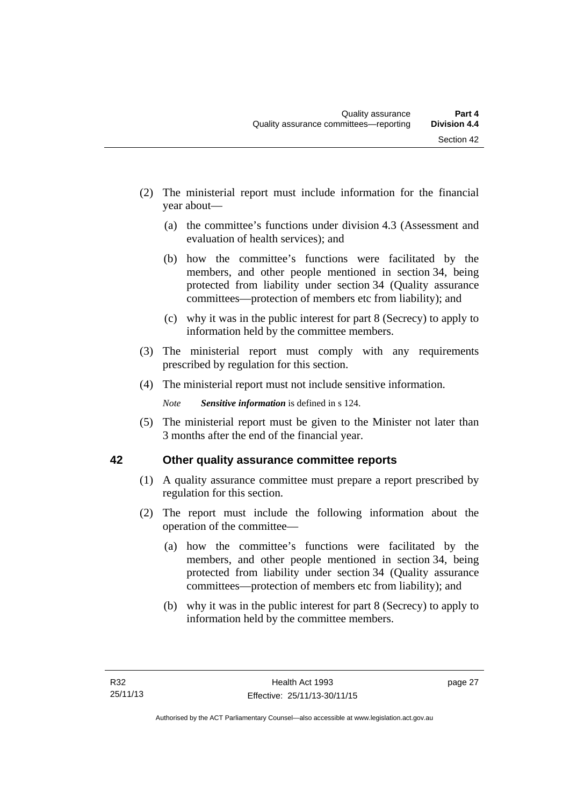- (2) The ministerial report must include information for the financial year about—
	- (a) the committee's functions under division 4.3 (Assessment and evaluation of health services); and
	- (b) how the committee's functions were facilitated by the members, and other people mentioned in section 34, being protected from liability under section 34 (Quality assurance committees—protection of members etc from liability); and
	- (c) why it was in the public interest for part 8 (Secrecy) to apply to information held by the committee members.
- (3) The ministerial report must comply with any requirements prescribed by regulation for this section.
- (4) The ministerial report must not include sensitive information.

*Note Sensitive information* is defined in s 124.

 (5) The ministerial report must be given to the Minister not later than 3 months after the end of the financial year.

### <span id="page-34-0"></span>**42 Other quality assurance committee reports**

- (1) A quality assurance committee must prepare a report prescribed by regulation for this section.
- (2) The report must include the following information about the operation of the committee—
	- (a) how the committee's functions were facilitated by the members, and other people mentioned in section 34, being protected from liability under section 34 (Quality assurance committees—protection of members etc from liability); and
	- (b) why it was in the public interest for part 8 (Secrecy) to apply to information held by the committee members.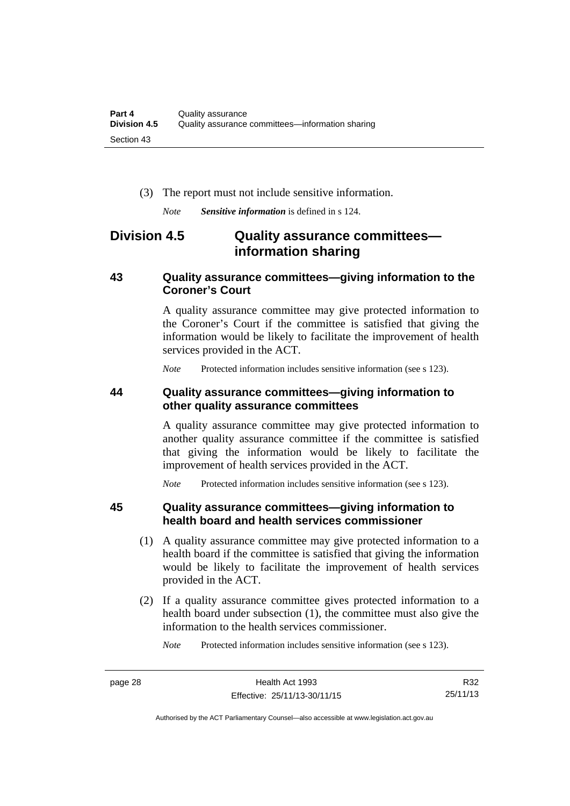(3) The report must not include sensitive information.

*Note Sensitive information* is defined in s 124.

### <span id="page-35-0"></span>**Division 4.5 Quality assurance committees information sharing**

#### <span id="page-35-1"></span>**43 Quality assurance committees—giving information to the Coroner's Court**

A quality assurance committee may give protected information to the Coroner's Court if the committee is satisfied that giving the information would be likely to facilitate the improvement of health services provided in the ACT.

*Note* Protected information includes sensitive information (see s 123).

#### <span id="page-35-2"></span>**44 Quality assurance committees—giving information to other quality assurance committees**

A quality assurance committee may give protected information to another quality assurance committee if the committee is satisfied that giving the information would be likely to facilitate the improvement of health services provided in the ACT.

*Note* Protected information includes sensitive information (see s 123).

#### <span id="page-35-3"></span>**45 Quality assurance committees—giving information to health board and health services commissioner**

- (1) A quality assurance committee may give protected information to a health board if the committee is satisfied that giving the information would be likely to facilitate the improvement of health services provided in the ACT.
- (2) If a quality assurance committee gives protected information to a health board under subsection (1), the committee must also give the information to the health services commissioner.

*Note* Protected information includes sensitive information (see s 123).

R32 25/11/13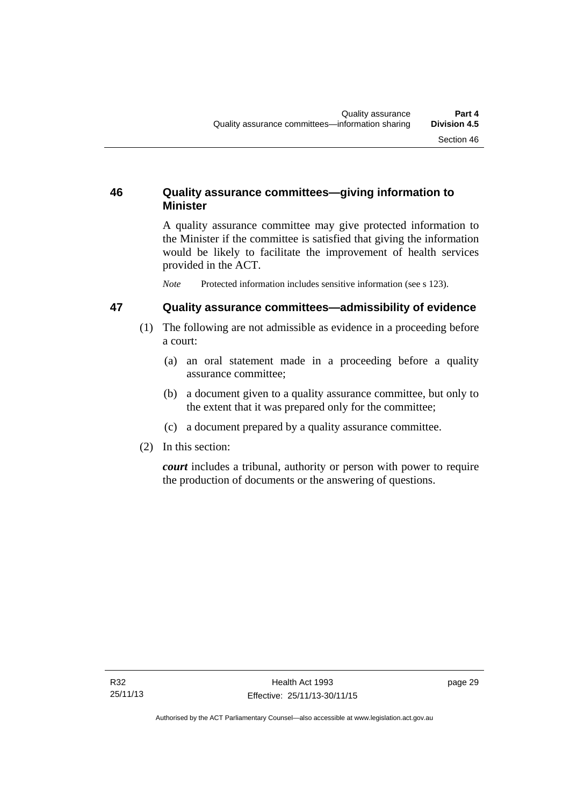# **46 Quality assurance committees—giving information to Minister**

A quality assurance committee may give protected information to the Minister if the committee is satisfied that giving the information would be likely to facilitate the improvement of health services provided in the ACT.

*Note* Protected information includes sensitive information (see s 123).

# **47 Quality assurance committees—admissibility of evidence**

- (1) The following are not admissible as evidence in a proceeding before a court:
	- (a) an oral statement made in a proceeding before a quality assurance committee;
	- (b) a document given to a quality assurance committee, but only to the extent that it was prepared only for the committee;
	- (c) a document prepared by a quality assurance committee.
- (2) In this section:

*court* includes a tribunal, authority or person with power to require the production of documents or the answering of questions.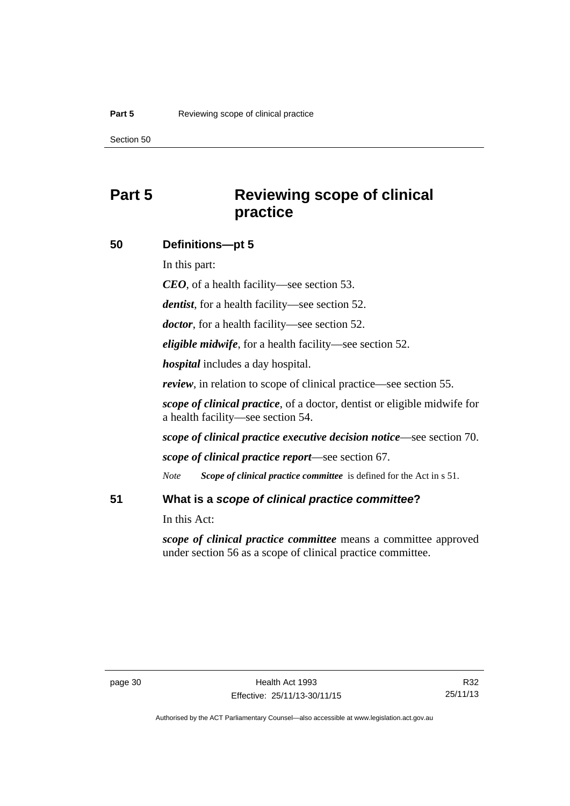# **Part 5 Reviewing scope of clinical practice**

### **50 Definitions—pt 5**

In this part:

*CEO*, of a health facility—see section 53.

*dentist*, for a health facility—see section 52.

*doctor*, for a health facility—see section 52.

*eligible midwife*, for a health facility—see section 52.

*hospital* includes a day hospital.

*review*, in relation to scope of clinical practice—see section 55.

*scope of clinical practice*, of a doctor, dentist or eligible midwife for a health facility—see section 54.

*scope of clinical practice executive decision notice*—see section 70.

*scope of clinical practice report*—see section 67.

*Note Scope of clinical practice committee* is defined for the Act in s 51.

# **51 What is a** *scope of clinical practice committee***?**

In this Act:

*scope of clinical practice committee* means a committee approved under section 56 as a scope of clinical practice committee.

Authorised by the ACT Parliamentary Counsel—also accessible at www.legislation.act.gov.au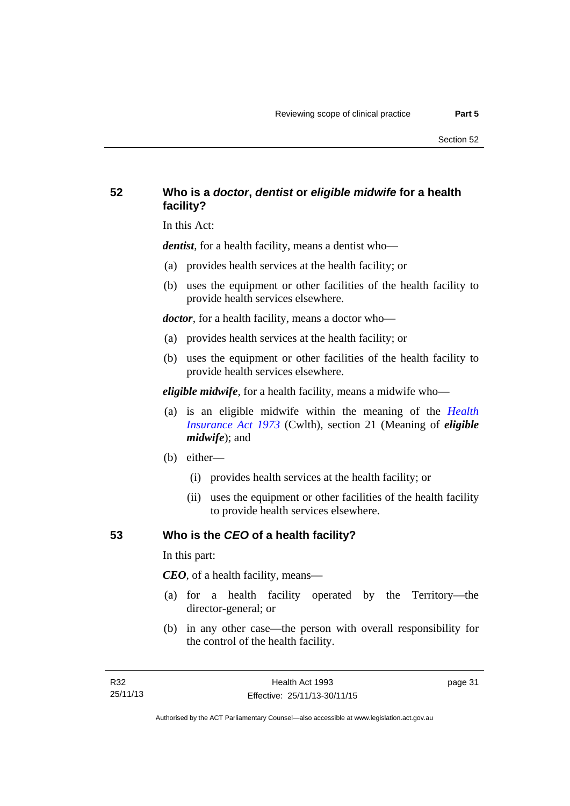# **52 Who is a** *doctor***,** *dentist* **or** *eligible midwife* **for a health facility?**

In this Act:

*dentist*, for a health facility, means a dentist who—

- (a) provides health services at the health facility; or
- (b) uses the equipment or other facilities of the health facility to provide health services elsewhere.

*doctor*, for a health facility, means a doctor who—

- (a) provides health services at the health facility; or
- (b) uses the equipment or other facilities of the health facility to provide health services elsewhere.

*eligible midwife*, for a health facility, means a midwife who—

- (a) is an eligible midwife within the meaning of the *[Health](http://www.comlaw.gov.au/Series/C2004A00101)  [Insurance Act 1973](http://www.comlaw.gov.au/Series/C2004A00101)* (Cwlth), section 21 (Meaning of *eligible midwife*); and
- (b) either—
	- (i) provides health services at the health facility; or
	- (ii) uses the equipment or other facilities of the health facility to provide health services elsewhere.

# **53 Who is the** *CEO* **of a health facility?**

In this part:

*CEO*, of a health facility, means—

- (a) for a health facility operated by the Territory—the director-general; or
- (b) in any other case—the person with overall responsibility for the control of the health facility.

page 31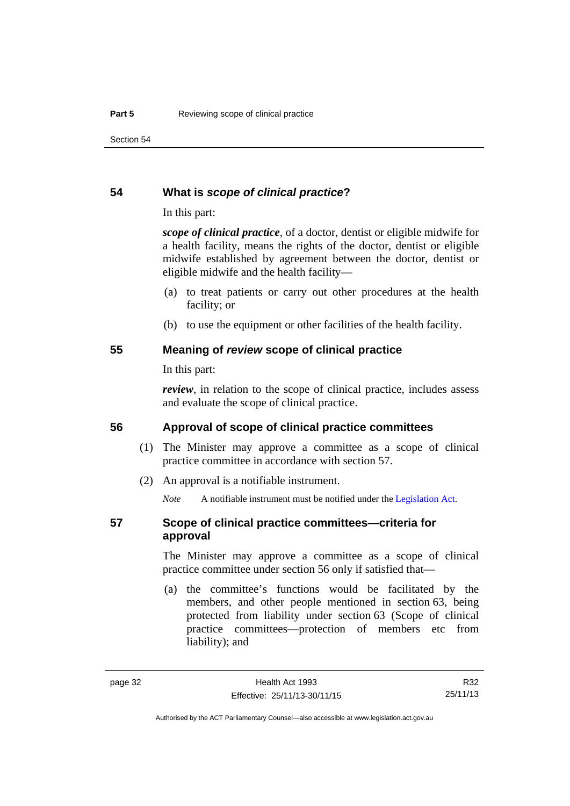### **54 What is** *scope of clinical practice***?**

In this part:

*scope of clinical practice*, of a doctor, dentist or eligible midwife for a health facility, means the rights of the doctor, dentist or eligible midwife established by agreement between the doctor, dentist or eligible midwife and the health facility—

- (a) to treat patients or carry out other procedures at the health facility; or
- (b) to use the equipment or other facilities of the health facility.

### **55 Meaning of** *review* **scope of clinical practice**

In this part:

*review*, in relation to the scope of clinical practice, includes assess and evaluate the scope of clinical practice.

# **56 Approval of scope of clinical practice committees**

- (1) The Minister may approve a committee as a scope of clinical practice committee in accordance with section 57.
- (2) An approval is a notifiable instrument.

*Note* A notifiable instrument must be notified under the [Legislation Act](http://www.legislation.act.gov.au/a/2001-14).

# **57 Scope of clinical practice committees—criteria for approval**

The Minister may approve a committee as a scope of clinical practice committee under section 56 only if satisfied that—

 (a) the committee's functions would be facilitated by the members, and other people mentioned in section 63, being protected from liability under section 63 (Scope of clinical practice committees—protection of members etc from liability); and

R32 25/11/13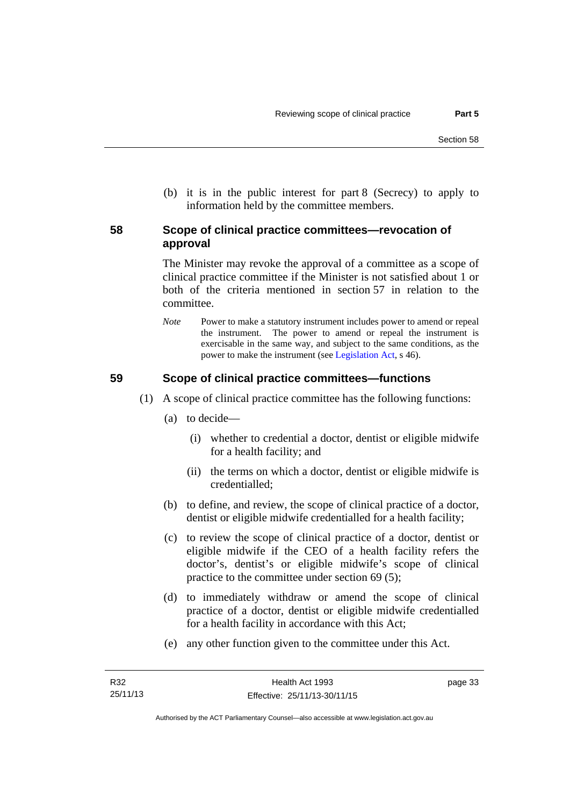(b) it is in the public interest for part 8 (Secrecy) to apply to information held by the committee members.

# **58 Scope of clinical practice committees—revocation of approval**

The Minister may revoke the approval of a committee as a scope of clinical practice committee if the Minister is not satisfied about 1 or both of the criteria mentioned in section 57 in relation to the committee.

*Note* Power to make a statutory instrument includes power to amend or repeal the instrument. The power to amend or repeal the instrument is exercisable in the same way, and subject to the same conditions, as the power to make the instrument (see [Legislation Act,](http://www.legislation.act.gov.au/a/2001-14) s 46).

# **59 Scope of clinical practice committees—functions**

- (1) A scope of clinical practice committee has the following functions:
	- (a) to decide—
		- (i) whether to credential a doctor, dentist or eligible midwife for a health facility; and
		- (ii) the terms on which a doctor, dentist or eligible midwife is credentialled;
	- (b) to define, and review, the scope of clinical practice of a doctor, dentist or eligible midwife credentialled for a health facility;
	- (c) to review the scope of clinical practice of a doctor, dentist or eligible midwife if the CEO of a health facility refers the doctor's, dentist's or eligible midwife's scope of clinical practice to the committee under section 69 (5);
	- (d) to immediately withdraw or amend the scope of clinical practice of a doctor, dentist or eligible midwife credentialled for a health facility in accordance with this Act;
	- (e) any other function given to the committee under this Act.

page 33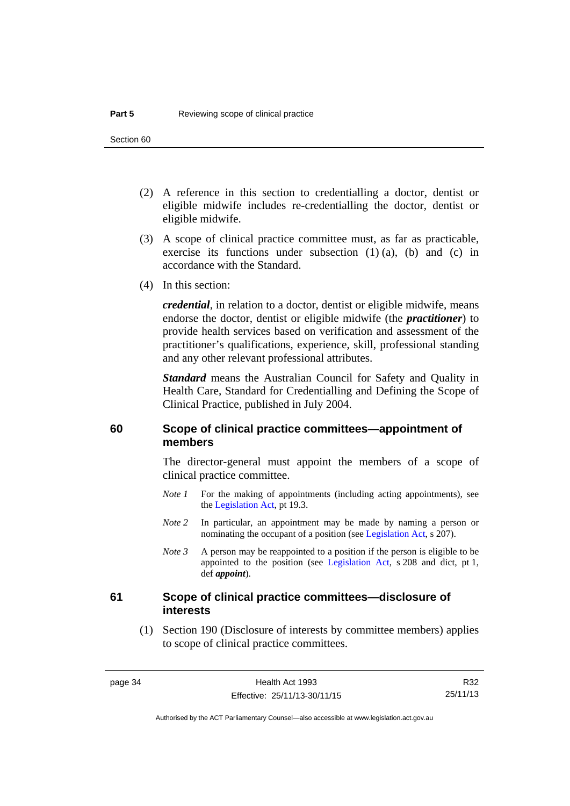- (2) A reference in this section to credentialling a doctor, dentist or eligible midwife includes re-credentialling the doctor, dentist or eligible midwife.
- (3) A scope of clinical practice committee must, as far as practicable, exercise its functions under subsection (1) (a), (b) and (c) in accordance with the Standard.
- (4) In this section:

*credential*, in relation to a doctor, dentist or eligible midwife, means endorse the doctor, dentist or eligible midwife (the *practitioner*) to provide health services based on verification and assessment of the practitioner's qualifications, experience, skill, professional standing and any other relevant professional attributes.

*Standard* means the Australian Council for Safety and Quality in Health Care, Standard for Credentialling and Defining the Scope of Clinical Practice, published in July 2004.

# **60 Scope of clinical practice committees—appointment of members**

The director-general must appoint the members of a scope of clinical practice committee.

- *Note 1* For the making of appointments (including acting appointments), see the [Legislation Act,](http://www.legislation.act.gov.au/a/2001-14) pt 19.3.
- *Note 2* In particular, an appointment may be made by naming a person or nominating the occupant of a position (see [Legislation Act](http://www.legislation.act.gov.au/a/2001-14), s 207).
- *Note 3* A person may be reappointed to a position if the person is eligible to be appointed to the position (see [Legislation Act,](http://www.legislation.act.gov.au/a/2001-14) s 208 and dict, pt 1, def *appoint*).

# **61 Scope of clinical practice committees—disclosure of interests**

 (1) Section 190 (Disclosure of interests by committee members) applies to scope of clinical practice committees.

R32 25/11/13

Authorised by the ACT Parliamentary Counsel—also accessible at www.legislation.act.gov.au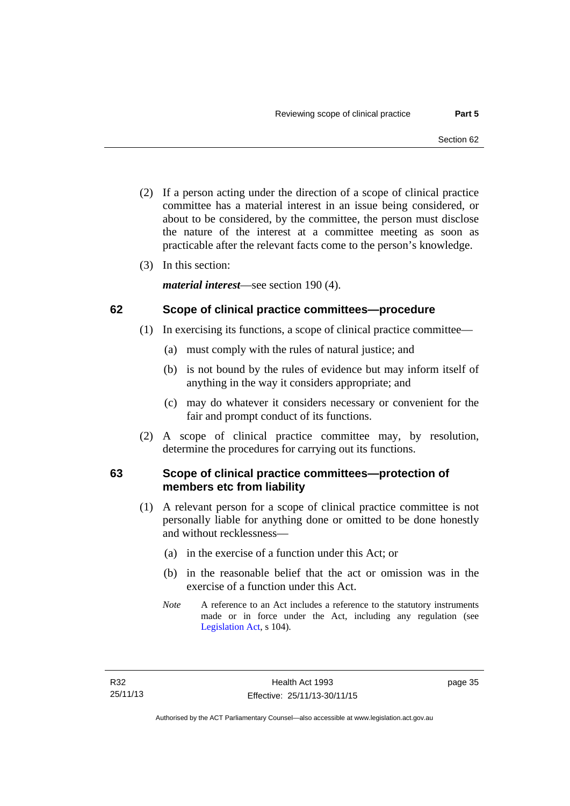- (2) If a person acting under the direction of a scope of clinical practice committee has a material interest in an issue being considered, or about to be considered, by the committee, the person must disclose the nature of the interest at a committee meeting as soon as practicable after the relevant facts come to the person's knowledge.
- (3) In this section:

*material interest*—see section 190 (4).

# **62 Scope of clinical practice committees—procedure**

- (1) In exercising its functions, a scope of clinical practice committee—
	- (a) must comply with the rules of natural justice; and
	- (b) is not bound by the rules of evidence but may inform itself of anything in the way it considers appropriate; and
	- (c) may do whatever it considers necessary or convenient for the fair and prompt conduct of its functions.
- (2) A scope of clinical practice committee may, by resolution, determine the procedures for carrying out its functions.

# **63 Scope of clinical practice committees—protection of members etc from liability**

- (1) A relevant person for a scope of clinical practice committee is not personally liable for anything done or omitted to be done honestly and without recklessness—
	- (a) in the exercise of a function under this Act; or
	- (b) in the reasonable belief that the act or omission was in the exercise of a function under this Act.
	- *Note* A reference to an Act includes a reference to the statutory instruments made or in force under the Act, including any regulation (see [Legislation Act,](http://www.legislation.act.gov.au/a/2001-14) s 104).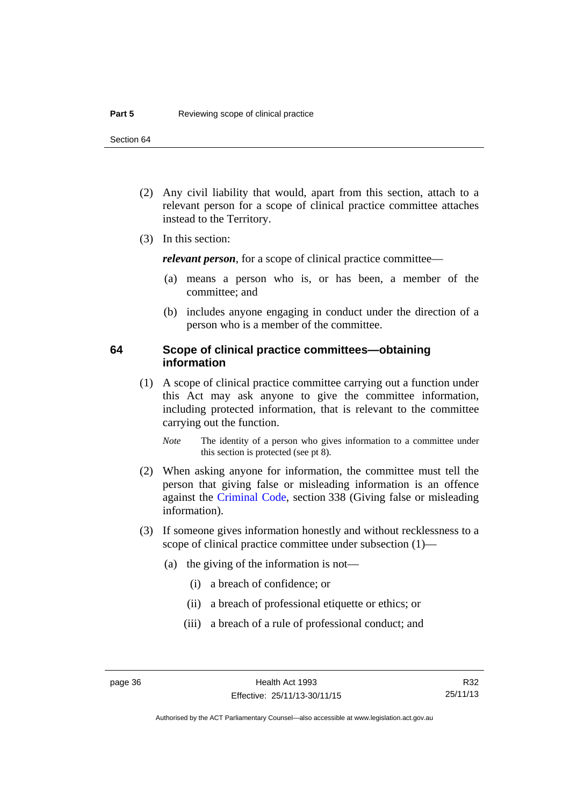- (2) Any civil liability that would, apart from this section, attach to a relevant person for a scope of clinical practice committee attaches instead to the Territory.
- (3) In this section:

*relevant person*, for a scope of clinical practice committee—

- (a) means a person who is, or has been, a member of the committee; and
- (b) includes anyone engaging in conduct under the direction of a person who is a member of the committee.

# **64 Scope of clinical practice committees—obtaining information**

 (1) A scope of clinical practice committee carrying out a function under this Act may ask anyone to give the committee information, including protected information, that is relevant to the committee carrying out the function.

*Note* The identity of a person who gives information to a committee under this section is protected (see pt 8).

- (2) When asking anyone for information, the committee must tell the person that giving false or misleading information is an offence against the [Criminal Code](http://www.legislation.act.gov.au/a/2002-51), section 338 (Giving false or misleading information).
- (3) If someone gives information honestly and without recklessness to a scope of clinical practice committee under subsection (1)—
	- (a) the giving of the information is not—
		- (i) a breach of confidence; or
		- (ii) a breach of professional etiquette or ethics; or
		- (iii) a breach of a rule of professional conduct; and

R32 25/11/13

Authorised by the ACT Parliamentary Counsel—also accessible at www.legislation.act.gov.au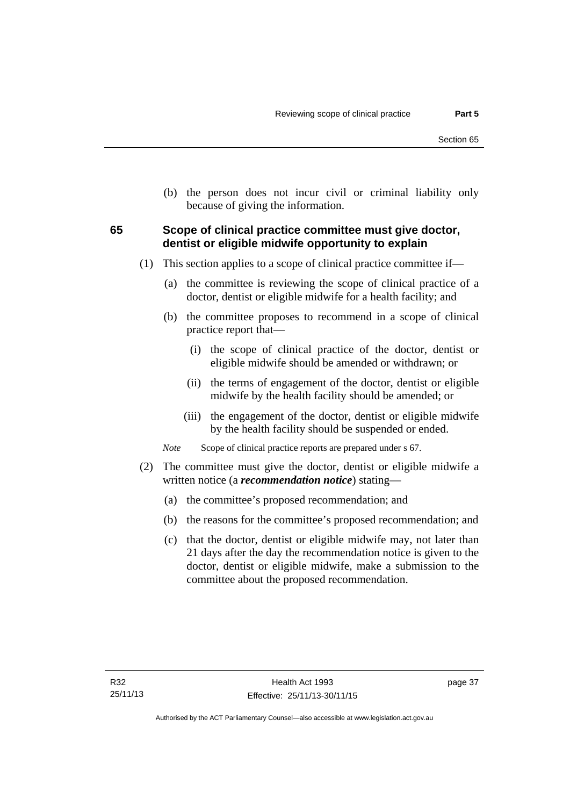(b) the person does not incur civil or criminal liability only because of giving the information.

# **65 Scope of clinical practice committee must give doctor, dentist or eligible midwife opportunity to explain**

- (1) This section applies to a scope of clinical practice committee if—
	- (a) the committee is reviewing the scope of clinical practice of a doctor, dentist or eligible midwife for a health facility; and
	- (b) the committee proposes to recommend in a scope of clinical practice report that—
		- (i) the scope of clinical practice of the doctor, dentist or eligible midwife should be amended or withdrawn; or
		- (ii) the terms of engagement of the doctor, dentist or eligible midwife by the health facility should be amended; or
		- (iii) the engagement of the doctor, dentist or eligible midwife by the health facility should be suspended or ended.

*Note* Scope of clinical practice reports are prepared under s 67.

- (2) The committee must give the doctor, dentist or eligible midwife a written notice (a *recommendation notice*) stating—
	- (a) the committee's proposed recommendation; and
	- (b) the reasons for the committee's proposed recommendation; and
	- (c) that the doctor, dentist or eligible midwife may, not later than 21 days after the day the recommendation notice is given to the doctor, dentist or eligible midwife, make a submission to the committee about the proposed recommendation.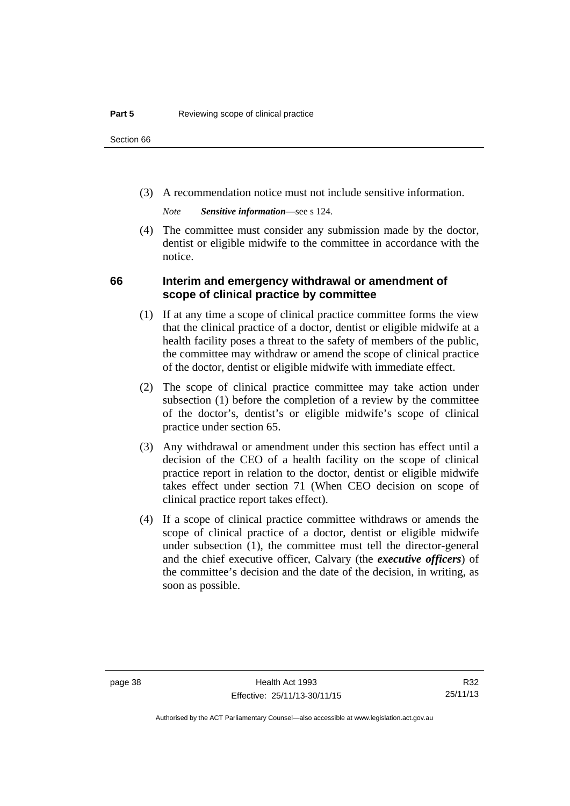(3) A recommendation notice must not include sensitive information.

*Note Sensitive information*—see s 124.

 (4) The committee must consider any submission made by the doctor, dentist or eligible midwife to the committee in accordance with the notice.

# **66 Interim and emergency withdrawal or amendment of scope of clinical practice by committee**

- (1) If at any time a scope of clinical practice committee forms the view that the clinical practice of a doctor, dentist or eligible midwife at a health facility poses a threat to the safety of members of the public, the committee may withdraw or amend the scope of clinical practice of the doctor, dentist or eligible midwife with immediate effect.
- (2) The scope of clinical practice committee may take action under subsection (1) before the completion of a review by the committee of the doctor's, dentist's or eligible midwife's scope of clinical practice under section 65.
- (3) Any withdrawal or amendment under this section has effect until a decision of the CEO of a health facility on the scope of clinical practice report in relation to the doctor, dentist or eligible midwife takes effect under section 71 (When CEO decision on scope of clinical practice report takes effect).
- (4) If a scope of clinical practice committee withdraws or amends the scope of clinical practice of a doctor, dentist or eligible midwife under subsection (1), the committee must tell the director-general and the chief executive officer, Calvary (the *executive officers*) of the committee's decision and the date of the decision, in writing, as soon as possible.

Authorised by the ACT Parliamentary Counsel—also accessible at www.legislation.act.gov.au

R32 25/11/13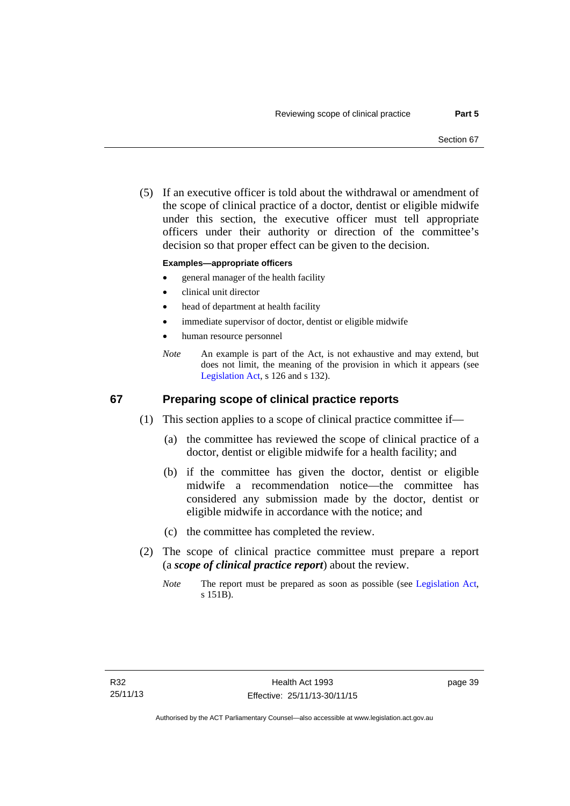(5) If an executive officer is told about the withdrawal or amendment of the scope of clinical practice of a doctor, dentist or eligible midwife under this section, the executive officer must tell appropriate officers under their authority or direction of the committee's decision so that proper effect can be given to the decision.

### **Examples—appropriate officers**

- general manager of the health facility
- clinical unit director
- head of department at health facility
- immediate supervisor of doctor, dentist or eligible midwife
- human resource personnel
- *Note* An example is part of the Act, is not exhaustive and may extend, but does not limit, the meaning of the provision in which it appears (see [Legislation Act,](http://www.legislation.act.gov.au/a/2001-14) s 126 and s 132).

# **67 Preparing scope of clinical practice reports**

- (1) This section applies to a scope of clinical practice committee if—
	- (a) the committee has reviewed the scope of clinical practice of a doctor, dentist or eligible midwife for a health facility; and
	- (b) if the committee has given the doctor, dentist or eligible midwife a recommendation notice—the committee has considered any submission made by the doctor, dentist or eligible midwife in accordance with the notice; and
	- (c) the committee has completed the review.
- (2) The scope of clinical practice committee must prepare a report (a *scope of clinical practice report*) about the review.
	- *Note* The report must be prepared as soon as possible (see [Legislation Act,](http://www.legislation.act.gov.au/a/2001-14) s 151B).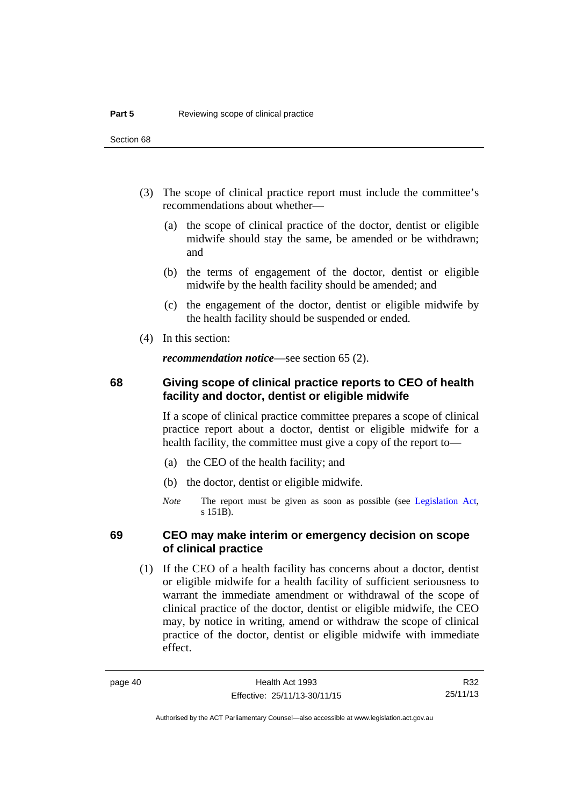- (3) The scope of clinical practice report must include the committee's recommendations about whether—
	- (a) the scope of clinical practice of the doctor, dentist or eligible midwife should stay the same, be amended or be withdrawn; and
	- (b) the terms of engagement of the doctor, dentist or eligible midwife by the health facility should be amended; and
	- (c) the engagement of the doctor, dentist or eligible midwife by the health facility should be suspended or ended.
- (4) In this section:

*recommendation notice*—see section 65 (2).

# **68 Giving scope of clinical practice reports to CEO of health facility and doctor, dentist or eligible midwife**

If a scope of clinical practice committee prepares a scope of clinical practice report about a doctor, dentist or eligible midwife for a health facility, the committee must give a copy of the report to—

- (a) the CEO of the health facility; and
- (b) the doctor, dentist or eligible midwife.
- *Note* The report must be given as soon as possible (see [Legislation Act,](http://www.legislation.act.gov.au/a/2001-14) s 151B).

# **69 CEO may make interim or emergency decision on scope of clinical practice**

 (1) If the CEO of a health facility has concerns about a doctor, dentist or eligible midwife for a health facility of sufficient seriousness to warrant the immediate amendment or withdrawal of the scope of clinical practice of the doctor, dentist or eligible midwife, the CEO may, by notice in writing, amend or withdraw the scope of clinical practice of the doctor, dentist or eligible midwife with immediate effect.

Authorised by the ACT Parliamentary Counsel—also accessible at www.legislation.act.gov.au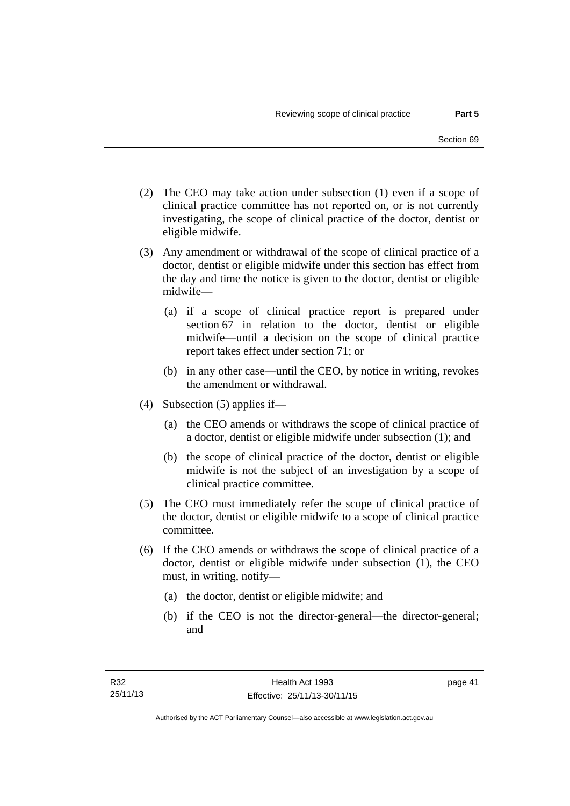- (2) The CEO may take action under subsection (1) even if a scope of clinical practice committee has not reported on, or is not currently investigating, the scope of clinical practice of the doctor, dentist or eligible midwife.
- (3) Any amendment or withdrawal of the scope of clinical practice of a doctor, dentist or eligible midwife under this section has effect from the day and time the notice is given to the doctor, dentist or eligible midwife—
	- (a) if a scope of clinical practice report is prepared under section 67 in relation to the doctor, dentist or eligible midwife—until a decision on the scope of clinical practice report takes effect under section 71; or
	- (b) in any other case—until the CEO, by notice in writing, revokes the amendment or withdrawal.
- (4) Subsection (5) applies if—
	- (a) the CEO amends or withdraws the scope of clinical practice of a doctor, dentist or eligible midwife under subsection (1); and
	- (b) the scope of clinical practice of the doctor, dentist or eligible midwife is not the subject of an investigation by a scope of clinical practice committee.
- (5) The CEO must immediately refer the scope of clinical practice of the doctor, dentist or eligible midwife to a scope of clinical practice committee.
- (6) If the CEO amends or withdraws the scope of clinical practice of a doctor, dentist or eligible midwife under subsection (1), the CEO must, in writing, notify—
	- (a) the doctor, dentist or eligible midwife; and
	- (b) if the CEO is not the director-general—the director-general; and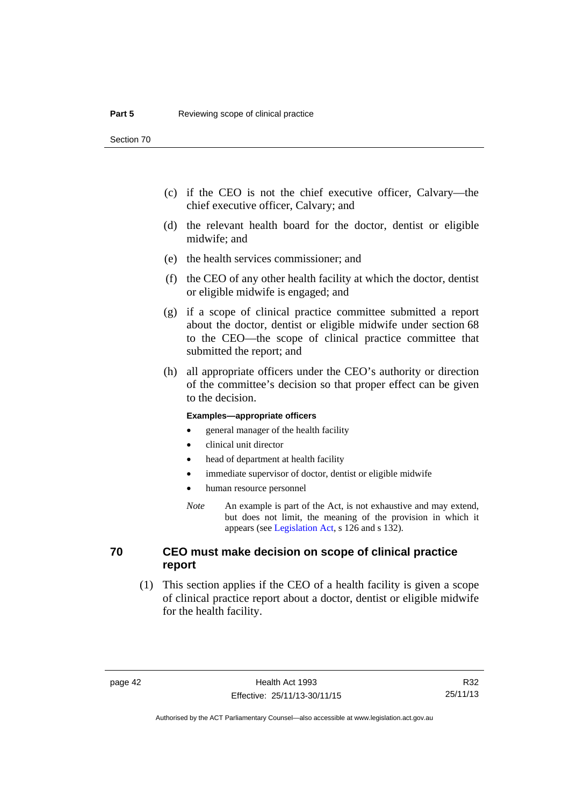- (c) if the CEO is not the chief executive officer, Calvary—the chief executive officer, Calvary; and
- (d) the relevant health board for the doctor, dentist or eligible midwife; and
- (e) the health services commissioner; and
- (f) the CEO of any other health facility at which the doctor, dentist or eligible midwife is engaged; and
- (g) if a scope of clinical practice committee submitted a report about the doctor, dentist or eligible midwife under section 68 to the CEO—the scope of clinical practice committee that submitted the report; and
- (h) all appropriate officers under the CEO's authority or direction of the committee's decision so that proper effect can be given to the decision.

### **Examples—appropriate officers**

- general manager of the health facility
- clinical unit director
- head of department at health facility
- immediate supervisor of doctor, dentist or eligible midwife
- human resource personnel
- *Note* An example is part of the Act, is not exhaustive and may extend, but does not limit, the meaning of the provision in which it appears (see [Legislation Act,](http://www.legislation.act.gov.au/a/2001-14) s 126 and s 132).

# **70 CEO must make decision on scope of clinical practice report**

 (1) This section applies if the CEO of a health facility is given a scope of clinical practice report about a doctor, dentist or eligible midwife for the health facility.

R32 25/11/13

Authorised by the ACT Parliamentary Counsel—also accessible at www.legislation.act.gov.au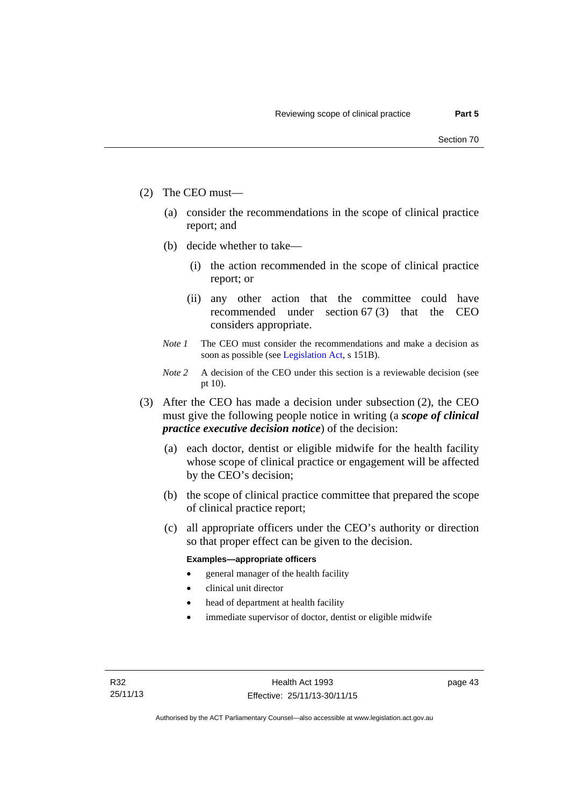- (2) The CEO must—
	- (a) consider the recommendations in the scope of clinical practice report; and
	- (b) decide whether to take—
		- (i) the action recommended in the scope of clinical practice report; or
		- (ii) any other action that the committee could have recommended under section 67 (3) that the CEO considers appropriate.
	- *Note 1* The CEO must consider the recommendations and make a decision as soon as possible (see [Legislation Act](http://www.legislation.act.gov.au/a/2001-14), s 151B).
	- *Note* 2 A decision of the CEO under this section is a reviewable decision (see pt 10).
- (3) After the CEO has made a decision under subsection (2), the CEO must give the following people notice in writing (a *scope of clinical practice executive decision notice*) of the decision:
	- (a) each doctor, dentist or eligible midwife for the health facility whose scope of clinical practice or engagement will be affected by the CEO's decision;
	- (b) the scope of clinical practice committee that prepared the scope of clinical practice report;
	- (c) all appropriate officers under the CEO's authority or direction so that proper effect can be given to the decision.

### **Examples—appropriate officers**

- general manager of the health facility
- clinical unit director
- head of department at health facility
- immediate supervisor of doctor, dentist or eligible midwife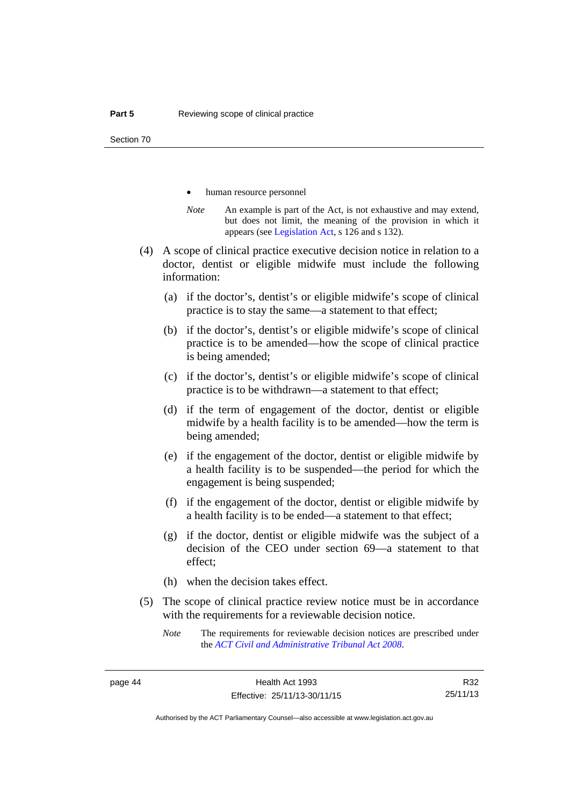- human resource personnel
- *Note* An example is part of the Act, is not exhaustive and may extend, but does not limit, the meaning of the provision in which it appears (see [Legislation Act,](http://www.legislation.act.gov.au/a/2001-14) s 126 and s 132).
- (4) A scope of clinical practice executive decision notice in relation to a doctor, dentist or eligible midwife must include the following information:
	- (a) if the doctor's, dentist's or eligible midwife's scope of clinical practice is to stay the same—a statement to that effect;
	- (b) if the doctor's, dentist's or eligible midwife's scope of clinical practice is to be amended—how the scope of clinical practice is being amended;
	- (c) if the doctor's, dentist's or eligible midwife's scope of clinical practice is to be withdrawn—a statement to that effect;
	- (d) if the term of engagement of the doctor, dentist or eligible midwife by a health facility is to be amended—how the term is being amended;
	- (e) if the engagement of the doctor, dentist or eligible midwife by a health facility is to be suspended—the period for which the engagement is being suspended;
	- (f) if the engagement of the doctor, dentist or eligible midwife by a health facility is to be ended—a statement to that effect;
	- (g) if the doctor, dentist or eligible midwife was the subject of a decision of the CEO under section 69—a statement to that effect;
	- (h) when the decision takes effect.
- (5) The scope of clinical practice review notice must be in accordance with the requirements for a reviewable decision notice.
	- *Note* The requirements for reviewable decision notices are prescribed under the *[ACT Civil and Administrative Tribunal Act 2008](http://www.legislation.act.gov.au/a/2008-35)*.

R32 25/11/13

Authorised by the ACT Parliamentary Counsel—also accessible at www.legislation.act.gov.au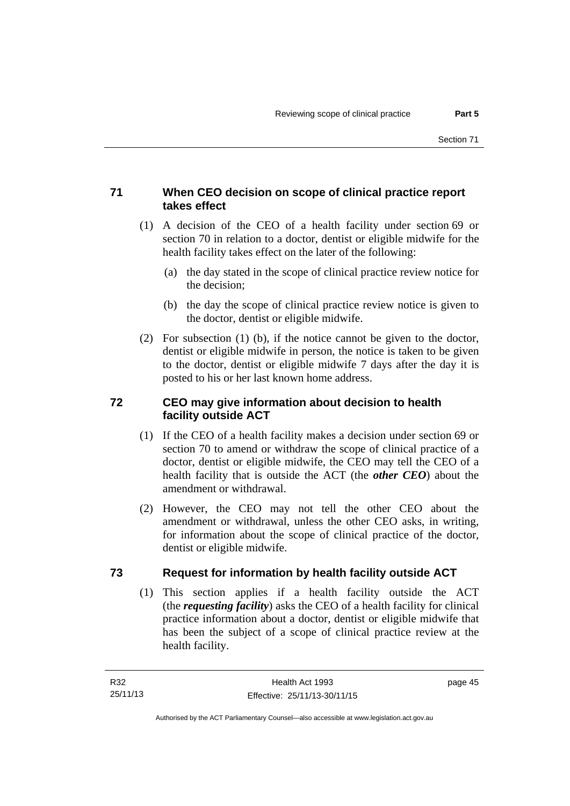# **71 When CEO decision on scope of clinical practice report takes effect**

- (1) A decision of the CEO of a health facility under section 69 or section 70 in relation to a doctor, dentist or eligible midwife for the health facility takes effect on the later of the following:
	- (a) the day stated in the scope of clinical practice review notice for the decision;
	- (b) the day the scope of clinical practice review notice is given to the doctor, dentist or eligible midwife.
- (2) For subsection (1) (b), if the notice cannot be given to the doctor, dentist or eligible midwife in person, the notice is taken to be given to the doctor, dentist or eligible midwife 7 days after the day it is posted to his or her last known home address.

# **72 CEO may give information about decision to health facility outside ACT**

- (1) If the CEO of a health facility makes a decision under section 69 or section 70 to amend or withdraw the scope of clinical practice of a doctor, dentist or eligible midwife, the CEO may tell the CEO of a health facility that is outside the ACT (the *other CEO*) about the amendment or withdrawal.
- (2) However, the CEO may not tell the other CEO about the amendment or withdrawal, unless the other CEO asks, in writing, for information about the scope of clinical practice of the doctor, dentist or eligible midwife.

# **73 Request for information by health facility outside ACT**

(1) This section applies if a health facility outside the ACT (the *requesting facility*) asks the CEO of a health facility for clinical practice information about a doctor, dentist or eligible midwife that has been the subject of a scope of clinical practice review at the health facility.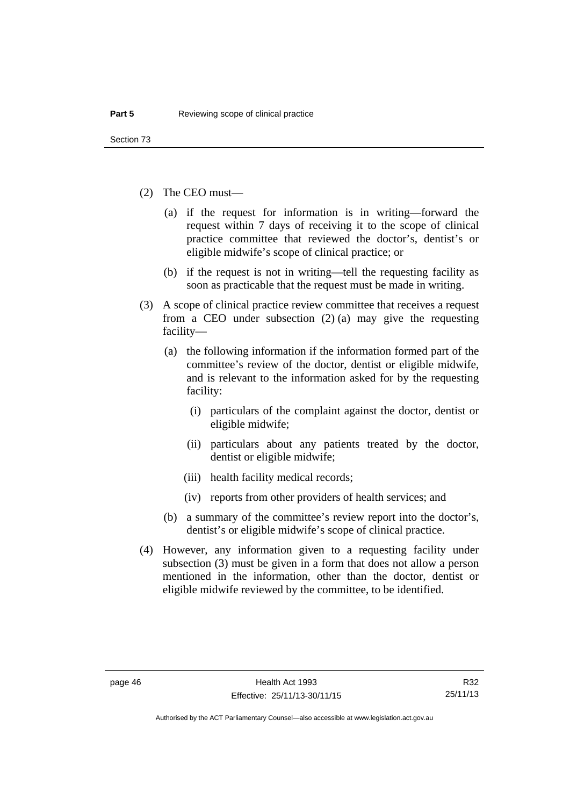- (2) The CEO must—
	- (a) if the request for information is in writing—forward the request within 7 days of receiving it to the scope of clinical practice committee that reviewed the doctor's, dentist's or eligible midwife's scope of clinical practice; or
	- (b) if the request is not in writing—tell the requesting facility as soon as practicable that the request must be made in writing.
- (3) A scope of clinical practice review committee that receives a request from a CEO under subsection (2) (a) may give the requesting facility—
	- (a) the following information if the information formed part of the committee's review of the doctor, dentist or eligible midwife, and is relevant to the information asked for by the requesting facility:
		- (i) particulars of the complaint against the doctor, dentist or eligible midwife;
		- (ii) particulars about any patients treated by the doctor, dentist or eligible midwife;
		- (iii) health facility medical records;
		- (iv) reports from other providers of health services; and
	- (b) a summary of the committee's review report into the doctor's, dentist's or eligible midwife's scope of clinical practice.
- (4) However, any information given to a requesting facility under subsection (3) must be given in a form that does not allow a person mentioned in the information, other than the doctor, dentist or eligible midwife reviewed by the committee, to be identified.

R32 25/11/13

Authorised by the ACT Parliamentary Counsel—also accessible at www.legislation.act.gov.au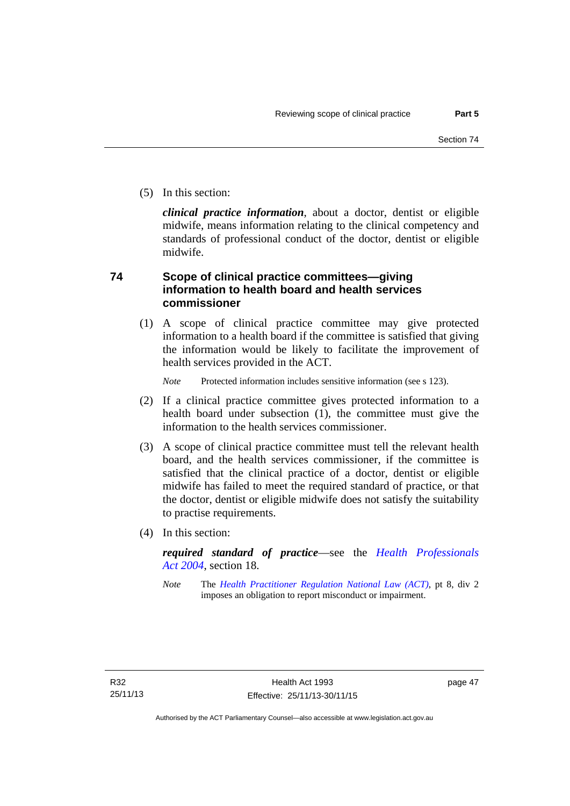(5) In this section:

*clinical practice information*, about a doctor, dentist or eligible midwife, means information relating to the clinical competency and standards of professional conduct of the doctor, dentist or eligible midwife.

# **74 Scope of clinical practice committees—giving information to health board and health services commissioner**

(1) A scope of clinical practice committee may give protected information to a health board if the committee is satisfied that giving the information would be likely to facilitate the improvement of health services provided in the ACT.

*Note* Protected information includes sensitive information (see s 123).

- (2) If a clinical practice committee gives protected information to a health board under subsection (1), the committee must give the information to the health services commissioner.
- (3) A scope of clinical practice committee must tell the relevant health board, and the health services commissioner, if the committee is satisfied that the clinical practice of a doctor, dentist or eligible midwife has failed to meet the required standard of practice, or that the doctor, dentist or eligible midwife does not satisfy the suitability to practise requirements.
- (4) In this section:

*required standard of practice*—see the *[Health Professionals](http://www.legislation.act.gov.au/a/2004-38)  [Act 2004](http://www.legislation.act.gov.au/a/2004-38)*, section 18.

*Note* The *[Health Practitioner Regulation National Law \(ACT\)](http://www.legislation.act.gov.au/a/db_39269/default.asp)*, pt 8, div 2 imposes an obligation to report misconduct or impairment.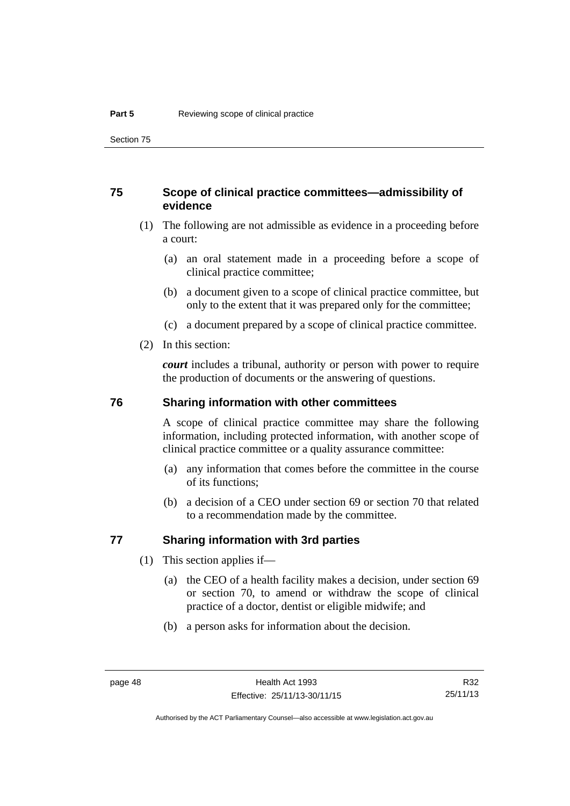# **75 Scope of clinical practice committees—admissibility of evidence**

- (1) The following are not admissible as evidence in a proceeding before a court:
	- (a) an oral statement made in a proceeding before a scope of clinical practice committee;
	- (b) a document given to a scope of clinical practice committee, but only to the extent that it was prepared only for the committee;
	- (c) a document prepared by a scope of clinical practice committee.
- (2) In this section:

*court* includes a tribunal, authority or person with power to require the production of documents or the answering of questions.

### **76 Sharing information with other committees**

A scope of clinical practice committee may share the following information, including protected information, with another scope of clinical practice committee or a quality assurance committee:

- (a) any information that comes before the committee in the course of its functions;
- (b) a decision of a CEO under section 69 or section 70 that related to a recommendation made by the committee.

# **77 Sharing information with 3rd parties**

- (1) This section applies if—
	- (a) the CEO of a health facility makes a decision, under section 69 or section 70, to amend or withdraw the scope of clinical practice of a doctor, dentist or eligible midwife; and
	- (b) a person asks for information about the decision.

R32 25/11/13

Authorised by the ACT Parliamentary Counsel—also accessible at www.legislation.act.gov.au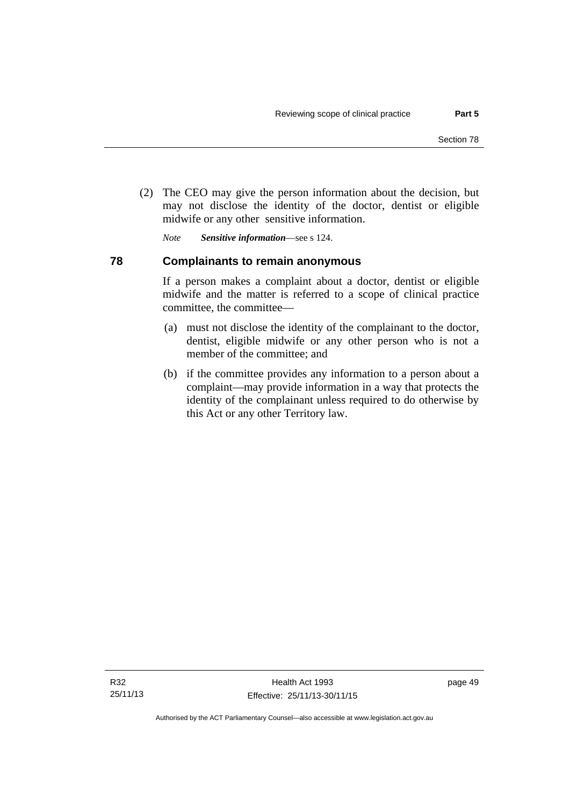(2) The CEO may give the person information about the decision, but may not disclose the identity of the doctor, dentist or eligible midwife or any other sensitive information.

*Note Sensitive information*—see s 124.

# **78 Complainants to remain anonymous**

If a person makes a complaint about a doctor, dentist or eligible midwife and the matter is referred to a scope of clinical practice committee, the committee—

- (a) must not disclose the identity of the complainant to the doctor, dentist, eligible midwife or any other person who is not a member of the committee; and
- (b) if the committee provides any information to a person about a complaint—may provide information in a way that protects the identity of the complainant unless required to do otherwise by this Act or any other Territory law.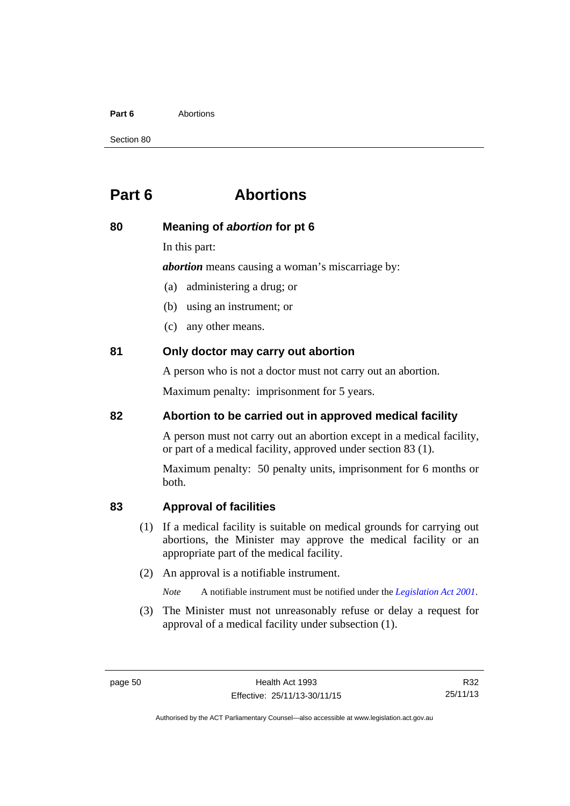#### **Part 6** Abortions

Section 80

# **Part 6 Abortions**

# **80 Meaning of** *abortion* **for pt 6**

In this part:

*abortion* means causing a woman's miscarriage by:

- (a) administering a drug; or
- (b) using an instrument; or
- (c) any other means.

# **81 Only doctor may carry out abortion**

A person who is not a doctor must not carry out an abortion.

Maximum penalty: imprisonment for 5 years.

# **82 Abortion to be carried out in approved medical facility**

A person must not carry out an abortion except in a medical facility, or part of a medical facility, approved under section 83 (1).

Maximum penalty: 50 penalty units, imprisonment for 6 months or both.

# **83 Approval of facilities**

- (1) If a medical facility is suitable on medical grounds for carrying out abortions, the Minister may approve the medical facility or an appropriate part of the medical facility.
- (2) An approval is a notifiable instrument.

*Note* A notifiable instrument must be notified under the *[Legislation Act 2001](http://www.legislation.act.gov.au/a/2001-14)*.

 (3) The Minister must not unreasonably refuse or delay a request for approval of a medical facility under subsection (1).

R32 25/11/13

Authorised by the ACT Parliamentary Counsel—also accessible at www.legislation.act.gov.au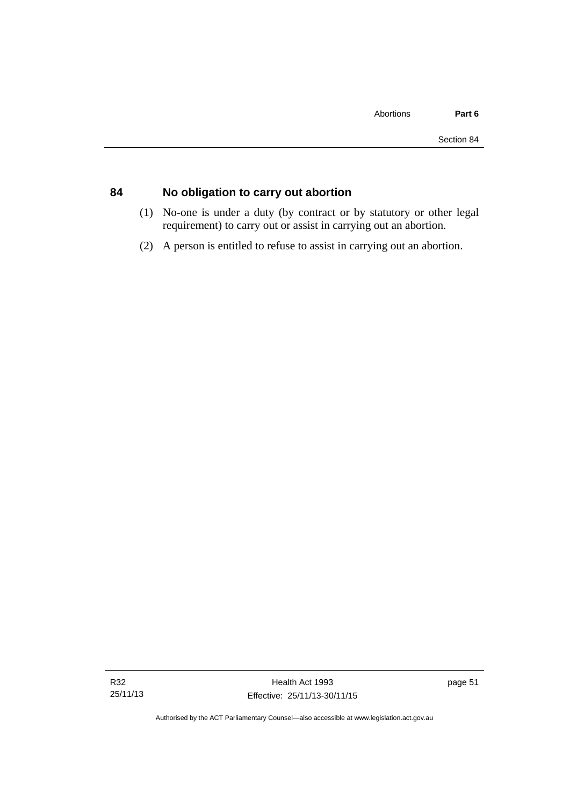# **84 No obligation to carry out abortion**

- (1) No-one is under a duty (by contract or by statutory or other legal requirement) to carry out or assist in carrying out an abortion.
- (2) A person is entitled to refuse to assist in carrying out an abortion.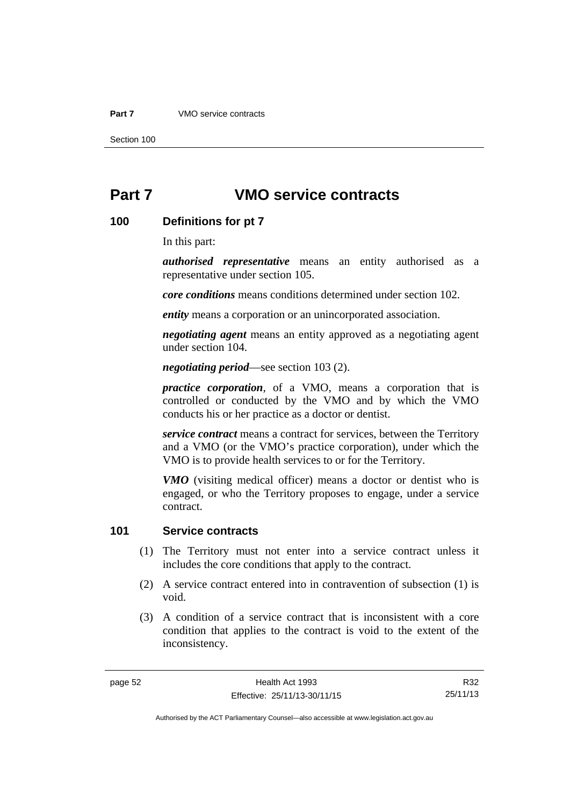#### **Part 7** VMO service contracts

Section 100

# **Part 7 VMO service contracts**

# **100 Definitions for pt 7**

In this part:

*authorised representative* means an entity authorised as a representative under section 105.

*core conditions* means conditions determined under section 102.

*entity* means a corporation or an unincorporated association.

*negotiating agent* means an entity approved as a negotiating agent under section 104.

*negotiating period*—see section 103 (2).

*practice corporation*, of a VMO, means a corporation that is controlled or conducted by the VMO and by which the VMO conducts his or her practice as a doctor or dentist.

*service contract* means a contract for services, between the Territory and a VMO (or the VMO's practice corporation), under which the VMO is to provide health services to or for the Territory.

*VMO* (visiting medical officer) means a doctor or dentist who is engaged, or who the Territory proposes to engage, under a service contract.

# **101 Service contracts**

- (1) The Territory must not enter into a service contract unless it includes the core conditions that apply to the contract.
- (2) A service contract entered into in contravention of subsection (1) is void.
- (3) A condition of a service contract that is inconsistent with a core condition that applies to the contract is void to the extent of the inconsistency.

R32 25/11/13

Authorised by the ACT Parliamentary Counsel—also accessible at www.legislation.act.gov.au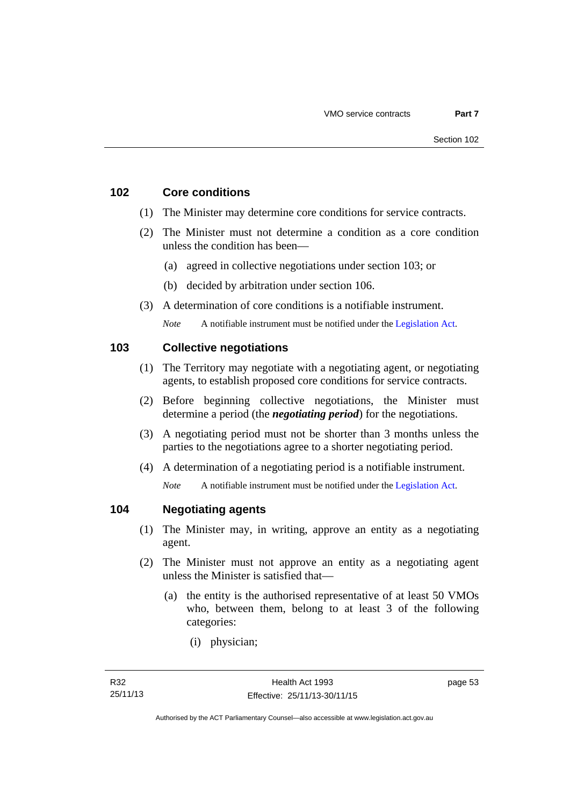# **102 Core conditions**

- (1) The Minister may determine core conditions for service contracts.
- (2) The Minister must not determine a condition as a core condition unless the condition has been—
	- (a) agreed in collective negotiations under section 103; or
	- (b) decided by arbitration under section 106.
- (3) A determination of core conditions is a notifiable instrument.

*Note* A notifiable instrument must be notified under the [Legislation Act](http://www.legislation.act.gov.au/a/2001-14).

# **103 Collective negotiations**

- (1) The Territory may negotiate with a negotiating agent, or negotiating agents, to establish proposed core conditions for service contracts.
- (2) Before beginning collective negotiations, the Minister must determine a period (the *negotiating period*) for the negotiations.
- (3) A negotiating period must not be shorter than 3 months unless the parties to the negotiations agree to a shorter negotiating period.
- (4) A determination of a negotiating period is a notifiable instrument.

*Note* A notifiable instrument must be notified under the [Legislation Act](http://www.legislation.act.gov.au/a/2001-14).

# **104 Negotiating agents**

- (1) The Minister may, in writing, approve an entity as a negotiating agent.
- (2) The Minister must not approve an entity as a negotiating agent unless the Minister is satisfied that—
	- (a) the entity is the authorised representative of at least 50 VMOs who, between them, belong to at least 3 of the following categories:
		- (i) physician;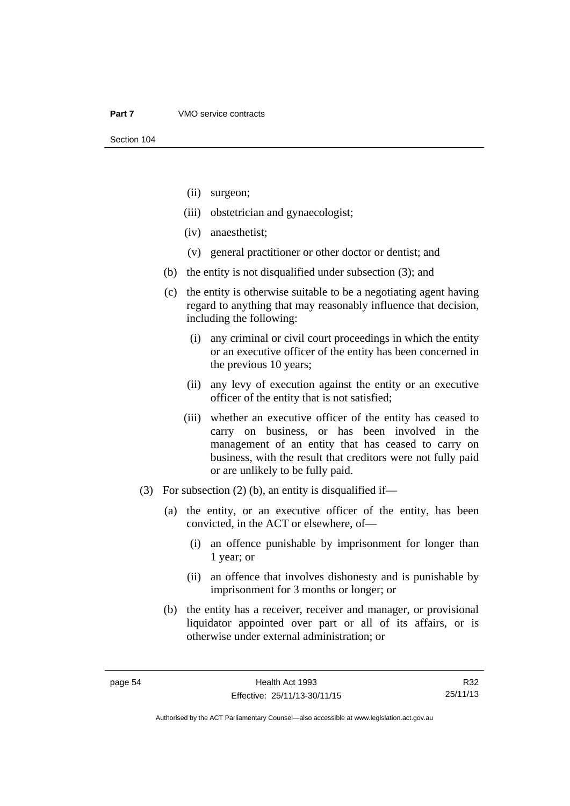- (ii) surgeon;
- (iii) obstetrician and gynaecologist;
- (iv) anaesthetist;
- (v) general practitioner or other doctor or dentist; and
- (b) the entity is not disqualified under subsection (3); and
- (c) the entity is otherwise suitable to be a negotiating agent having regard to anything that may reasonably influence that decision, including the following:
	- (i) any criminal or civil court proceedings in which the entity or an executive officer of the entity has been concerned in the previous 10 years;
	- (ii) any levy of execution against the entity or an executive officer of the entity that is not satisfied;
	- (iii) whether an executive officer of the entity has ceased to carry on business, or has been involved in the management of an entity that has ceased to carry on business, with the result that creditors were not fully paid or are unlikely to be fully paid.
- (3) For subsection (2) (b), an entity is disqualified if—
	- (a) the entity, or an executive officer of the entity, has been convicted, in the ACT or elsewhere, of—
		- (i) an offence punishable by imprisonment for longer than 1 year; or
		- (ii) an offence that involves dishonesty and is punishable by imprisonment for 3 months or longer; or
	- (b) the entity has a receiver, receiver and manager, or provisional liquidator appointed over part or all of its affairs, or is otherwise under external administration; or

R32 25/11/13

Authorised by the ACT Parliamentary Counsel—also accessible at www.legislation.act.gov.au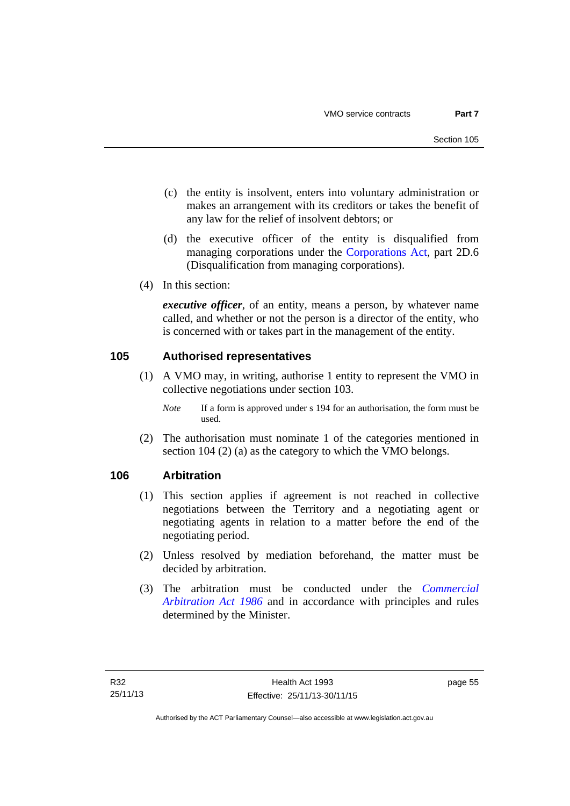- (c) the entity is insolvent, enters into voluntary administration or makes an arrangement with its creditors or takes the benefit of any law for the relief of insolvent debtors; or
- (d) the executive officer of the entity is disqualified from managing corporations under the [Corporations Act](http://www.comlaw.gov.au/Series/C2004A00818), part 2D.6 (Disqualification from managing corporations).
- (4) In this section:

*executive officer*, of an entity, means a person, by whatever name called, and whether or not the person is a director of the entity, who is concerned with or takes part in the management of the entity.

# **105 Authorised representatives**

- (1) A VMO may, in writing, authorise 1 entity to represent the VMO in collective negotiations under section 103.
	- *Note* If a form is approved under s 194 for an authorisation, the form must be used.
- (2) The authorisation must nominate 1 of the categories mentioned in section 104 (2) (a) as the category to which the VMO belongs.

# **106 Arbitration**

- (1) This section applies if agreement is not reached in collective negotiations between the Territory and a negotiating agent or negotiating agents in relation to a matter before the end of the negotiating period.
- (2) Unless resolved by mediation beforehand, the matter must be decided by arbitration.
- (3) The arbitration must be conducted under the *[Commercial](http://www.legislation.act.gov.au/a/1986-84)  [Arbitration Act 1986](http://www.legislation.act.gov.au/a/1986-84)* and in accordance with principles and rules determined by the Minister.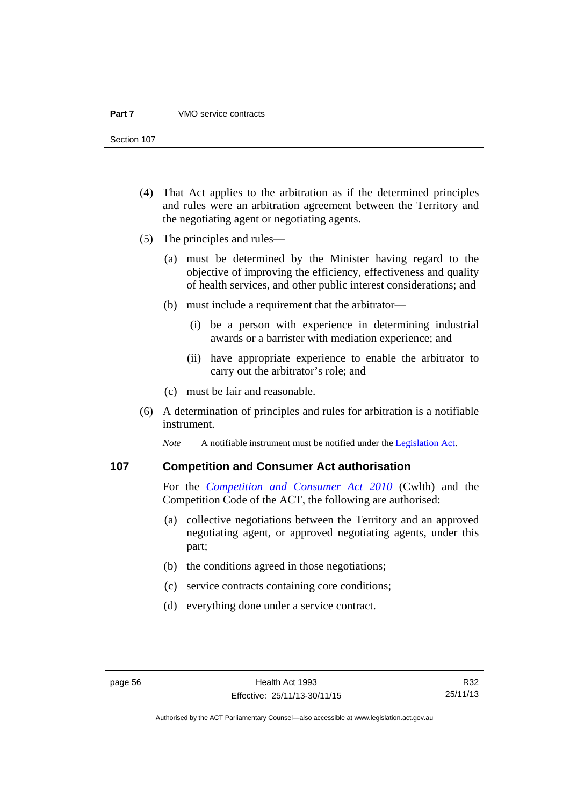#### **Part 7** VMO service contracts

Section 107

- (4) That Act applies to the arbitration as if the determined principles and rules were an arbitration agreement between the Territory and the negotiating agent or negotiating agents.
- (5) The principles and rules—
	- (a) must be determined by the Minister having regard to the objective of improving the efficiency, effectiveness and quality of health services, and other public interest considerations; and
	- (b) must include a requirement that the arbitrator—
		- (i) be a person with experience in determining industrial awards or a barrister with mediation experience; and
		- (ii) have appropriate experience to enable the arbitrator to carry out the arbitrator's role; and
	- (c) must be fair and reasonable.
- (6) A determination of principles and rules for arbitration is a notifiable instrument.

*Note* A notifiable instrument must be notified under the [Legislation Act](http://www.legislation.act.gov.au/a/2001-14).

# **107 Competition and Consumer Act authorisation**

For the *[Competition and Consumer Act 2010](http://www.comlaw.gov.au/Details/C2013C00004)* (Cwlth) and the Competition Code of the ACT, the following are authorised:

- (a) collective negotiations between the Territory and an approved negotiating agent, or approved negotiating agents, under this part;
- (b) the conditions agreed in those negotiations;
- (c) service contracts containing core conditions;
- (d) everything done under a service contract.

R32 25/11/13

Authorised by the ACT Parliamentary Counsel—also accessible at www.legislation.act.gov.au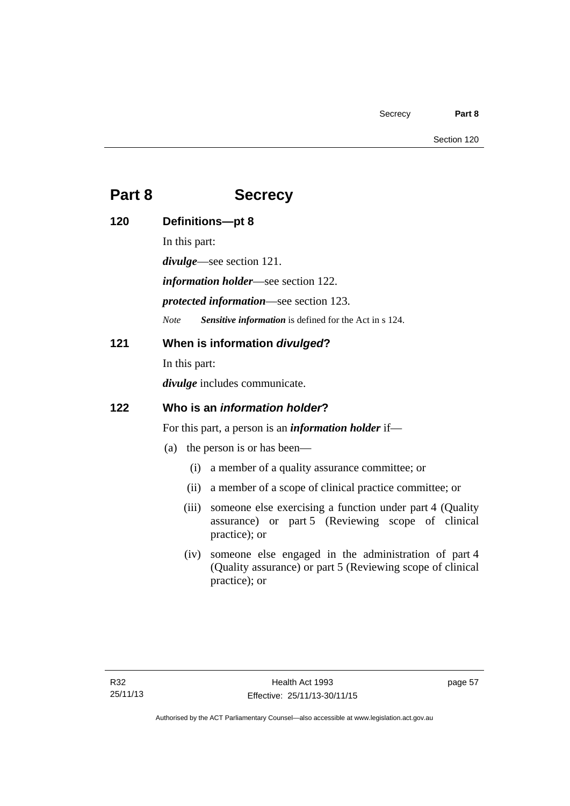# **Part 8 Secrecy**

| 120 | Definitions-pt 8                                            |                                                                                                                                     |
|-----|-------------------------------------------------------------|-------------------------------------------------------------------------------------------------------------------------------------|
|     | In this part:                                               |                                                                                                                                     |
|     | <i>divulge</i> —see section 121.                            |                                                                                                                                     |
|     | <i>information holder</i> —see section 122.                 |                                                                                                                                     |
|     | <i>protected information—see section 123.</i>               |                                                                                                                                     |
|     | <b>Note</b>                                                 | Sensitive information is defined for the Act in s 124.                                                                              |
| 121 | When is information divulged?                               |                                                                                                                                     |
|     | In this part:                                               |                                                                                                                                     |
|     | <i>divulge</i> includes communicate.                        |                                                                                                                                     |
| 122 | Who is an <i>information holder</i> ?                       |                                                                                                                                     |
|     | For this part, a person is an <i>information holder</i> if— |                                                                                                                                     |
|     |                                                             | (a) the person is or has been—                                                                                                      |
|     | (i)                                                         | a member of a quality assurance committee; or                                                                                       |
|     | (ii)                                                        | a member of a scope of clinical practice committee; or                                                                              |
|     | (iii)                                                       | someone else exercising a function under part 4 (Quality<br>assurance) or part 5 (Reviewing scope of clinical<br>practice); or      |
|     | (iv)                                                        | someone else engaged in the administration of part 4<br>(Quality assurance) or part 5 (Reviewing scope of clinical<br>practice); or |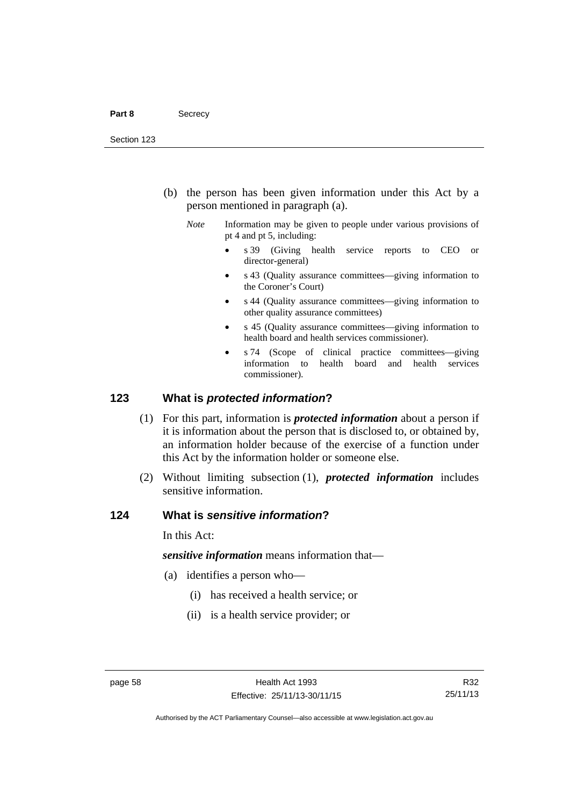- (b) the person has been given information under this Act by a person mentioned in paragraph (a).
	- *Note* Information may be given to people under various provisions of pt 4 and pt 5, including:
		- s 39 (Giving health service reports to CEO or director-general)
		- s 43 (Quality assurance committees—giving information to the Coroner's Court)
		- s 44 (Quality assurance committees—giving information to other quality assurance committees)
		- s 45 (Quality assurance committees—giving information to health board and health services commissioner).
		- s 74 (Scope of clinical practice committees—giving information to health board and health services commissioner).

# **123 What is** *protected information***?**

- (1) For this part, information is *protected information* about a person if it is information about the person that is disclosed to, or obtained by, an information holder because of the exercise of a function under this Act by the information holder or someone else.
- (2) Without limiting subsection (1), *protected information* includes sensitive information.

# **124 What is** *sensitive information***?**

In this Act:

*sensitive information* means information that—

- (a) identifies a person who—
	- (i) has received a health service; or
	- (ii) is a health service provider; or

Authorised by the ACT Parliamentary Counsel—also accessible at www.legislation.act.gov.au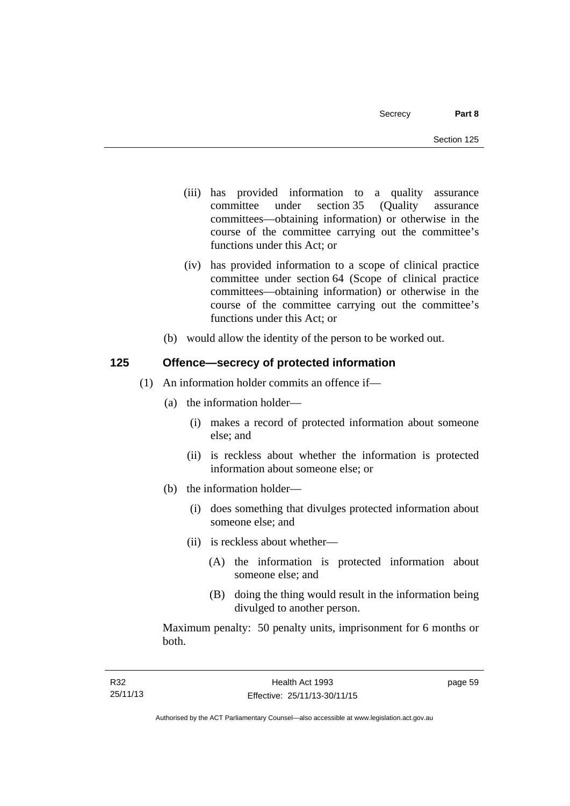- (iii) has provided information to a quality assurance committee under section 35 (Quality assurance committees—obtaining information) or otherwise in the course of the committee carrying out the committee's functions under this Act; or
- (iv) has provided information to a scope of clinical practice committee under section 64 (Scope of clinical practice committees—obtaining information) or otherwise in the course of the committee carrying out the committee's functions under this Act; or
- (b) would allow the identity of the person to be worked out.

# **125 Offence—secrecy of protected information**

- (1) An information holder commits an offence if—
	- (a) the information holder—
		- (i) makes a record of protected information about someone else; and
		- (ii) is reckless about whether the information is protected information about someone else; or
	- (b) the information holder—
		- (i) does something that divulges protected information about someone else; and
		- (ii) is reckless about whether—
			- (A) the information is protected information about someone else; and
			- (B) doing the thing would result in the information being divulged to another person.

Maximum penalty: 50 penalty units, imprisonment for 6 months or both.

page 59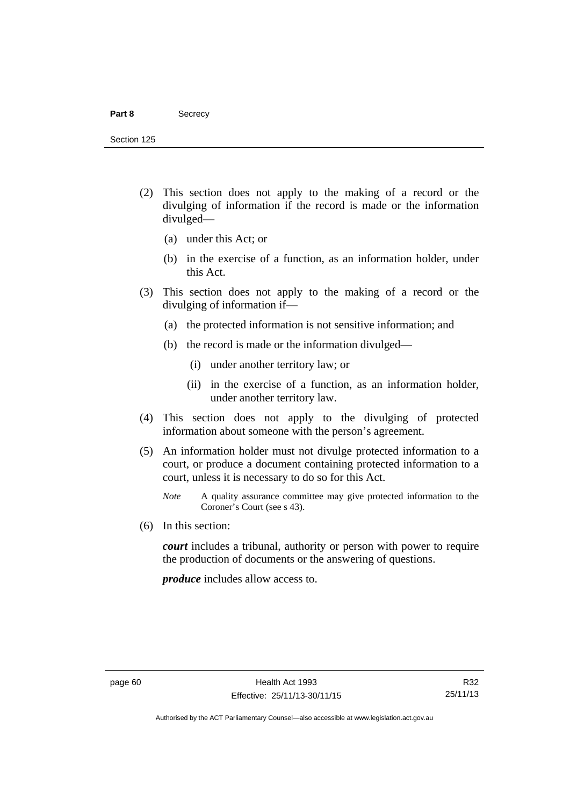#### Part 8 **Secrecy**

Section 125

- (2) This section does not apply to the making of a record or the divulging of information if the record is made or the information divulged—
	- (a) under this Act; or
	- (b) in the exercise of a function, as an information holder, under this Act.
- (3) This section does not apply to the making of a record or the divulging of information if—
	- (a) the protected information is not sensitive information; and
	- (b) the record is made or the information divulged—
		- (i) under another territory law; or
		- (ii) in the exercise of a function, as an information holder, under another territory law.
- (4) This section does not apply to the divulging of protected information about someone with the person's agreement.
- (5) An information holder must not divulge protected information to a court, or produce a document containing protected information to a court, unless it is necessary to do so for this Act.
	- *Note* A quality assurance committee may give protected information to the Coroner's Court (see s 43).
- (6) In this section:

*court* includes a tribunal, authority or person with power to require the production of documents or the answering of questions.

*produce* includes allow access to.

Authorised by the ACT Parliamentary Counsel—also accessible at www.legislation.act.gov.au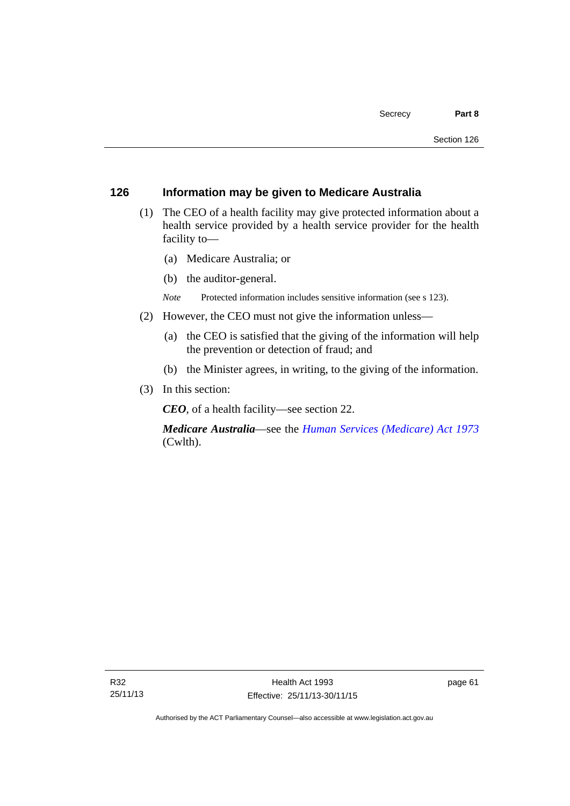# **126 Information may be given to Medicare Australia**

- (1) The CEO of a health facility may give protected information about a health service provided by a health service provider for the health facility to—
	- (a) Medicare Australia; or
	- (b) the auditor-general.
	- *Note* Protected information includes sensitive information (see s 123).
- (2) However, the CEO must not give the information unless—
	- (a) the CEO is satisfied that the giving of the information will help the prevention or detection of fraud; and
	- (b) the Minister agrees, in writing, to the giving of the information.
- (3) In this section:

*CEO*, of a health facility—see section 22.

*Medicare Australia*—see the *[Human Services \(Medicare\) Act 1973](http://www.comlaw.gov.au/Details/C2012C00755)*  (Cwlth).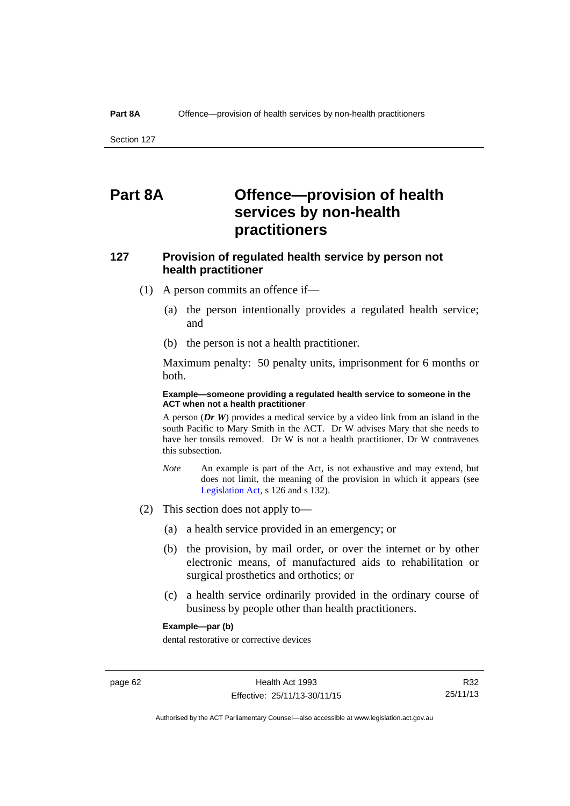# **Part 8A Offence—provision of health services by non-health practitioners**

# **127 Provision of regulated health service by person not health practitioner**

- (1) A person commits an offence if—
	- (a) the person intentionally provides a regulated health service; and
	- (b) the person is not a health practitioner.

Maximum penalty: 50 penalty units, imprisonment for 6 months or both.

### **Example—someone providing a regulated health service to someone in the ACT when not a health practitioner**

A person (*Dr W*) provides a medical service by a video link from an island in the south Pacific to Mary Smith in the ACT. Dr W advises Mary that she needs to have her tonsils removed. Dr W is not a health practitioner. Dr W contravenes this subsection.

- *Note* An example is part of the Act, is not exhaustive and may extend, but does not limit, the meaning of the provision in which it appears (see [Legislation Act,](http://www.legislation.act.gov.au/a/2001-14) s 126 and s 132).
- (2) This section does not apply to—
	- (a) a health service provided in an emergency; or
	- (b) the provision, by mail order, or over the internet or by other electronic means, of manufactured aids to rehabilitation or surgical prosthetics and orthotics; or
	- (c) a health service ordinarily provided in the ordinary course of business by people other than health practitioners.

### **Example—par (b)**

dental restorative or corrective devices

Authorised by the ACT Parliamentary Counsel—also accessible at www.legislation.act.gov.au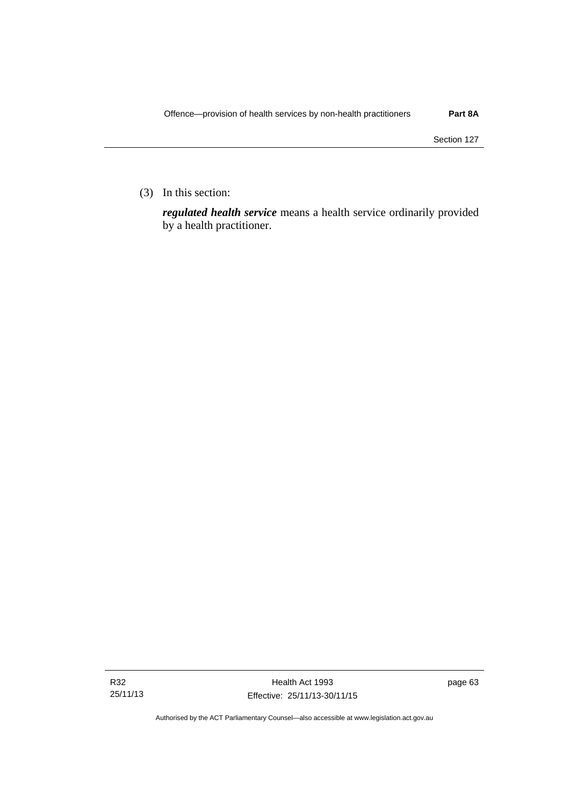(3) In this section:

*regulated health service* means a health service ordinarily provided by a health practitioner.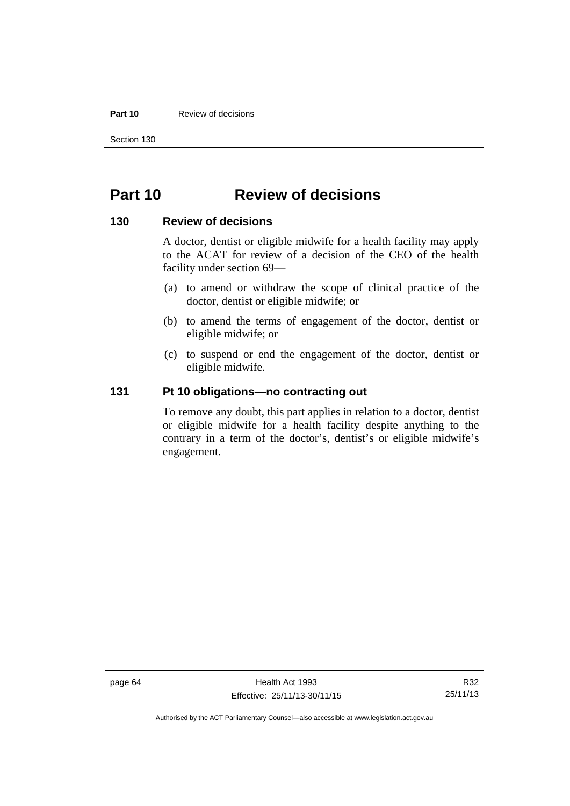### **Part 10** Review of decisions

Section 130

# **Part 10 Review of decisions**

# **130 Review of decisions**

A doctor, dentist or eligible midwife for a health facility may apply to the ACAT for review of a decision of the CEO of the health facility under section 69—

- (a) to amend or withdraw the scope of clinical practice of the doctor, dentist or eligible midwife; or
- (b) to amend the terms of engagement of the doctor, dentist or eligible midwife; or
- (c) to suspend or end the engagement of the doctor, dentist or eligible midwife.

# **131 Pt 10 obligations—no contracting out**

To remove any doubt, this part applies in relation to a doctor, dentist or eligible midwife for a health facility despite anything to the contrary in a term of the doctor's, dentist's or eligible midwife's engagement.

Authorised by the ACT Parliamentary Counsel—also accessible at www.legislation.act.gov.au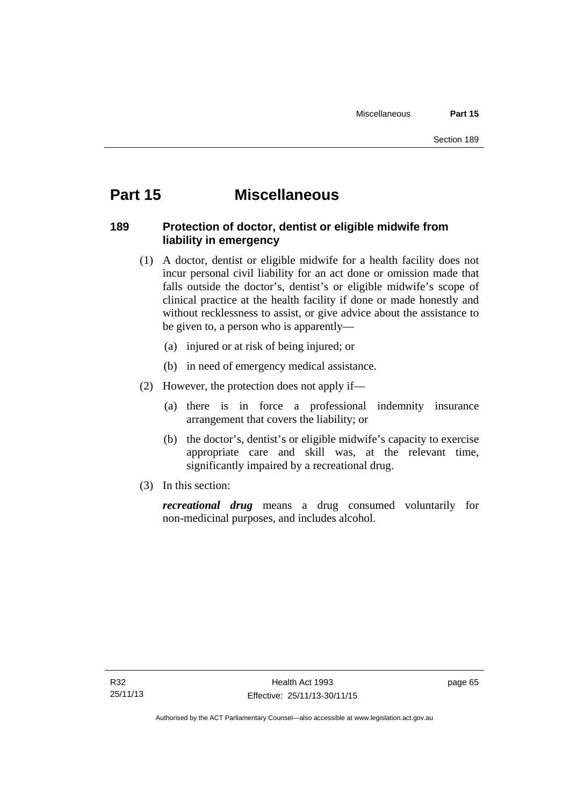## **Part 15 Miscellaneous**

## **189 Protection of doctor, dentist or eligible midwife from liability in emergency**

- (1) A doctor, dentist or eligible midwife for a health facility does not incur personal civil liability for an act done or omission made that falls outside the doctor's, dentist's or eligible midwife's scope of clinical practice at the health facility if done or made honestly and without recklessness to assist, or give advice about the assistance to be given to, a person who is apparently—
	- (a) injured or at risk of being injured; or
	- (b) in need of emergency medical assistance.
- (2) However, the protection does not apply if—
	- (a) there is in force a professional indemnity insurance arrangement that covers the liability; or
	- (b) the doctor's, dentist's or eligible midwife's capacity to exercise appropriate care and skill was, at the relevant time, significantly impaired by a recreational drug.
- (3) In this section:

*recreational drug* means a drug consumed voluntarily for non-medicinal purposes, and includes alcohol.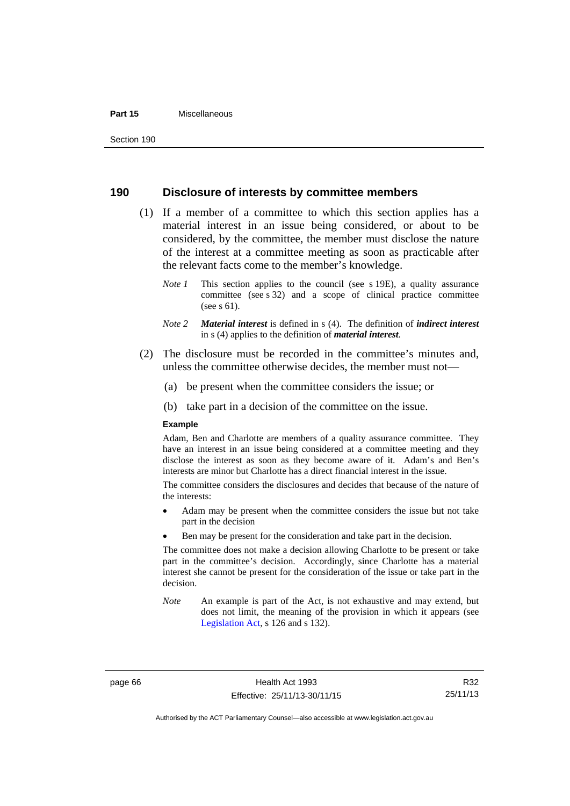#### **Part 15** Miscellaneous

## **190 Disclosure of interests by committee members**

- (1) If a member of a committee to which this section applies has a material interest in an issue being considered, or about to be considered, by the committee, the member must disclose the nature of the interest at a committee meeting as soon as practicable after the relevant facts come to the member's knowledge.
	- *Note 1* This section applies to the council (see s 19E), a quality assurance committee (see s 32) and a scope of clinical practice committee (see s 61).
	- *Note 2 Material interest* is defined in s (4). The definition of *indirect interest* in s (4) applies to the definition of *material interest*.
- (2) The disclosure must be recorded in the committee's minutes and, unless the committee otherwise decides, the member must not—
	- (a) be present when the committee considers the issue; or
	- (b) take part in a decision of the committee on the issue.

#### **Example**

Adam, Ben and Charlotte are members of a quality assurance committee. They have an interest in an issue being considered at a committee meeting and they disclose the interest as soon as they become aware of it. Adam's and Ben's interests are minor but Charlotte has a direct financial interest in the issue.

The committee considers the disclosures and decides that because of the nature of the interests:

- Adam may be present when the committee considers the issue but not take part in the decision
- Ben may be present for the consideration and take part in the decision.

The committee does not make a decision allowing Charlotte to be present or take part in the committee's decision. Accordingly, since Charlotte has a material interest she cannot be present for the consideration of the issue or take part in the decision.

*Note* An example is part of the Act, is not exhaustive and may extend, but does not limit, the meaning of the provision in which it appears (see [Legislation Act,](http://www.legislation.act.gov.au/a/2001-14) s 126 and s 132).

page 66 Health Act 1993 Effective: 25/11/13-30/11/15

R32 25/11/13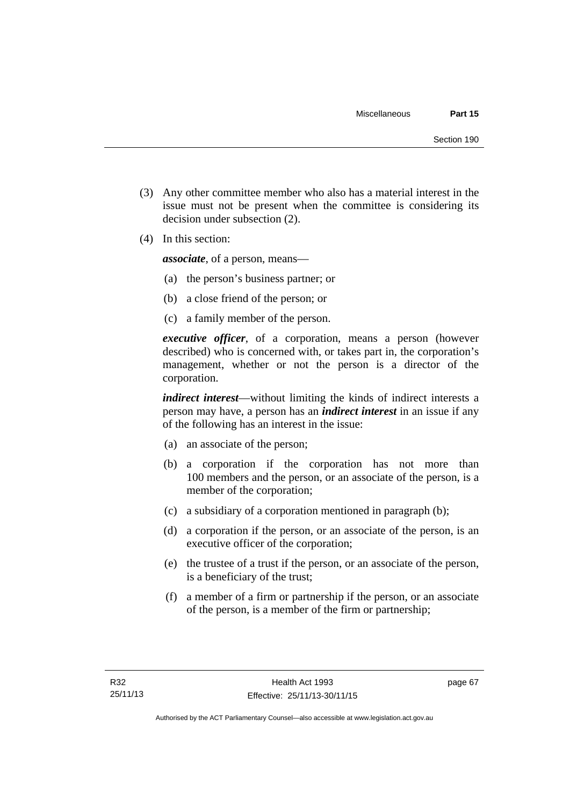- (3) Any other committee member who also has a material interest in the issue must not be present when the committee is considering its decision under subsection (2).
- (4) In this section:

*associate*, of a person, means—

- (a) the person's business partner; or
- (b) a close friend of the person; or
- (c) a family member of the person.

*executive officer*, of a corporation, means a person (however described) who is concerned with, or takes part in, the corporation's management, whether or not the person is a director of the corporation.

*indirect interest*—without limiting the kinds of indirect interests a person may have, a person has an *indirect interest* in an issue if any of the following has an interest in the issue:

- (a) an associate of the person;
- (b) a corporation if the corporation has not more than 100 members and the person, or an associate of the person, is a member of the corporation;
- (c) a subsidiary of a corporation mentioned in paragraph (b);
- (d) a corporation if the person, or an associate of the person, is an executive officer of the corporation;
- (e) the trustee of a trust if the person, or an associate of the person, is a beneficiary of the trust;
- (f) a member of a firm or partnership if the person, or an associate of the person, is a member of the firm or partnership;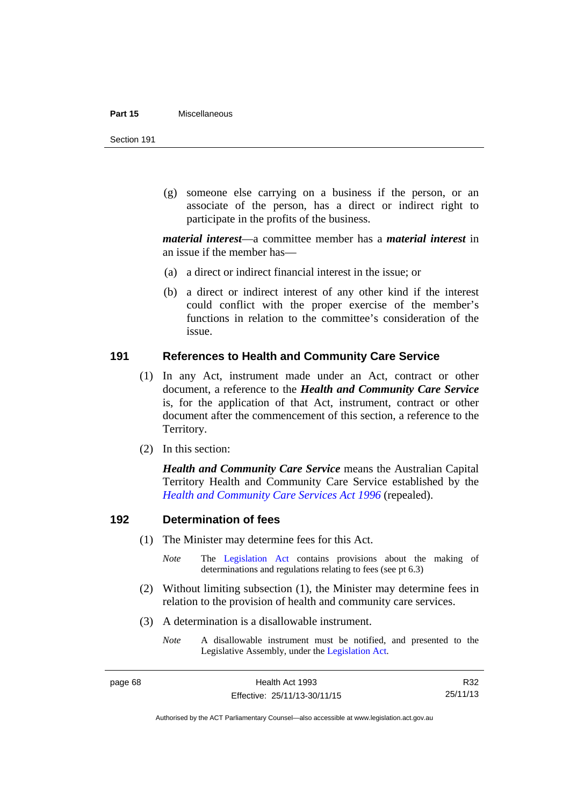#### **Part 15** Miscellaneous

Section 191

 (g) someone else carrying on a business if the person, or an associate of the person, has a direct or indirect right to participate in the profits of the business.

*material interest*—a committee member has a *material interest* in an issue if the member has—

- (a) a direct or indirect financial interest in the issue; or
- (b) a direct or indirect interest of any other kind if the interest could conflict with the proper exercise of the member's functions in relation to the committee's consideration of the issue.

## **191 References to Health and Community Care Service**

- (1) In any Act, instrument made under an Act, contract or other document, a reference to the *Health and Community Care Service* is, for the application of that Act, instrument, contract or other document after the commencement of this section, a reference to the Territory.
- (2) In this section:

*Health and Community Care Service* means the Australian Capital Territory Health and Community Care Service established by the *[Health and Community Care Services Act 1996](http://www.legislation.act.gov.au/a/1996-34)* (repealed).

## **192 Determination of fees**

- (1) The Minister may determine fees for this Act.
	- *Note* The [Legislation Act](http://www.legislation.act.gov.au/a/2001-14) contains provisions about the making of determinations and regulations relating to fees (see pt 6.3)
- (2) Without limiting subsection (1), the Minister may determine fees in relation to the provision of health and community care services.
- (3) A determination is a disallowable instrument.
	- *Note* A disallowable instrument must be notified, and presented to the Legislative Assembly, under the [Legislation Act.](http://www.legislation.act.gov.au/a/2001-14)

R32 25/11/13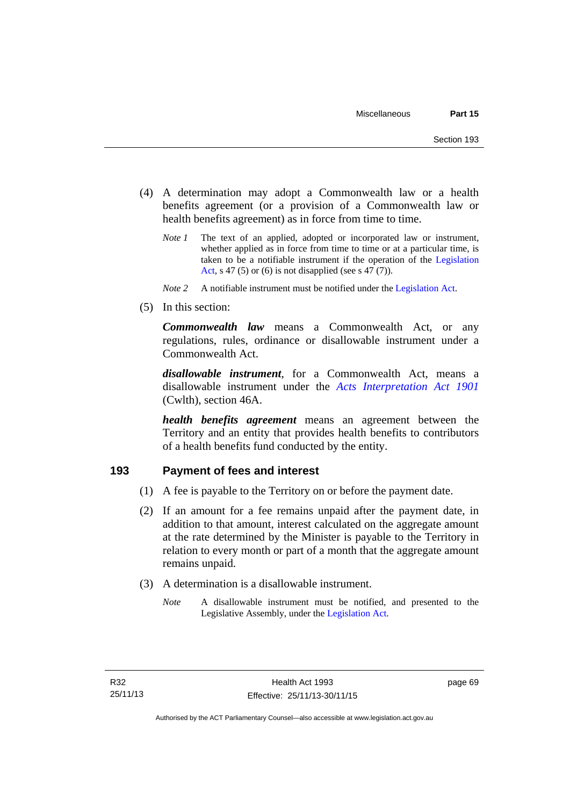- (4) A determination may adopt a Commonwealth law or a health benefits agreement (or a provision of a Commonwealth law or health benefits agreement) as in force from time to time.
	- *Note 1* The text of an applied, adopted or incorporated law or instrument, whether applied as in force from time to time or at a particular time, is taken to be a notifiable instrument if the operation of the [Legislation](http://www.legislation.act.gov.au/a/2001-14)  [Act](http://www.legislation.act.gov.au/a/2001-14), s 47 (5) or (6) is not disapplied (see s 47 (7)).
	- *Note 2* A notifiable instrument must be notified under the [Legislation Act](http://www.legislation.act.gov.au/a/2001-14).
- (5) In this section:

*Commonwealth law* means a Commonwealth Act, or any regulations, rules, ordinance or disallowable instrument under a Commonwealth Act.

*disallowable instrument*, for a Commonwealth Act, means a disallowable instrument under the *[Acts Interpretation Act 1901](http://www.comlaw.gov.au/Details/C2012C00001)* (Cwlth), section 46A.

*health benefits agreement* means an agreement between the Territory and an entity that provides health benefits to contributors of a health benefits fund conducted by the entity.

## **193 Payment of fees and interest**

- (1) A fee is payable to the Territory on or before the payment date.
- (2) If an amount for a fee remains unpaid after the payment date, in addition to that amount, interest calculated on the aggregate amount at the rate determined by the Minister is payable to the Territory in relation to every month or part of a month that the aggregate amount remains unpaid.
- (3) A determination is a disallowable instrument.
	- *Note* A disallowable instrument must be notified, and presented to the Legislative Assembly, under the [Legislation Act.](http://www.legislation.act.gov.au/a/2001-14)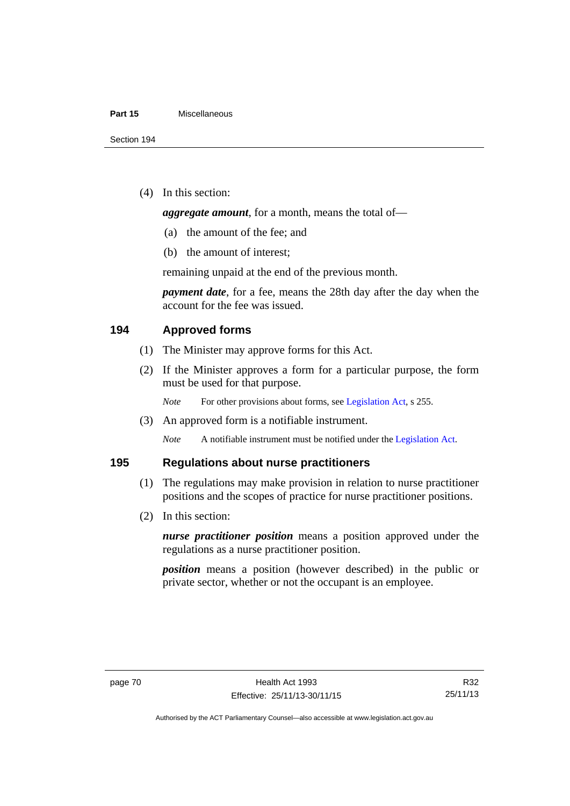#### **Part 15** Miscellaneous

(4) In this section:

*aggregate amount*, for a month, means the total of—

- (a) the amount of the fee; and
- (b) the amount of interest;

remaining unpaid at the end of the previous month.

*payment date*, for a fee, means the 28th day after the day when the account for the fee was issued.

## **194 Approved forms**

- (1) The Minister may approve forms for this Act.
- (2) If the Minister approves a form for a particular purpose, the form must be used for that purpose.

*Note* For other provisions about forms, see [Legislation Act,](http://www.legislation.act.gov.au/a/2001-14) s 255.

(3) An approved form is a notifiable instrument.

*Note* A notifiable instrument must be notified under the [Legislation Act](http://www.legislation.act.gov.au/a/2001-14).

## **195 Regulations about nurse practitioners**

- (1) The regulations may make provision in relation to nurse practitioner positions and the scopes of practice for nurse practitioner positions.
- (2) In this section:

*nurse practitioner position* means a position approved under the regulations as a nurse practitioner position.

*position* means a position (however described) in the public or private sector, whether or not the occupant is an employee.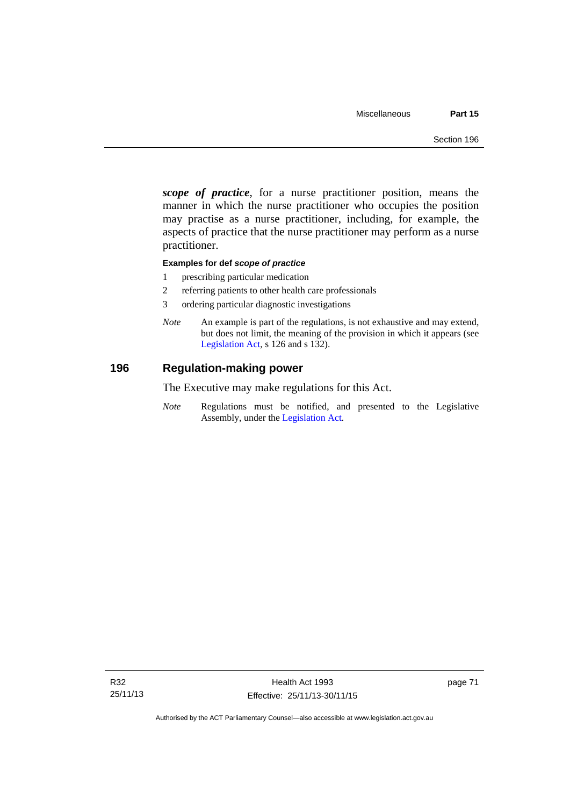*scope of practice*, for a nurse practitioner position, means the manner in which the nurse practitioner who occupies the position may practise as a nurse practitioner, including, for example, the aspects of practice that the nurse practitioner may perform as a nurse practitioner.

#### **Examples for def** *scope of practice*

- 1 prescribing particular medication
- 2 referring patients to other health care professionals
- 3 ordering particular diagnostic investigations
- *Note* An example is part of the regulations, is not exhaustive and may extend, but does not limit, the meaning of the provision in which it appears (see [Legislation Act,](http://www.legislation.act.gov.au/a/2001-14) s 126 and s 132).

## **196 Regulation-making power**

The Executive may make regulations for this Act.

*Note* Regulations must be notified, and presented to the Legislative Assembly, under the [Legislation Act](http://www.legislation.act.gov.au/a/2001-14).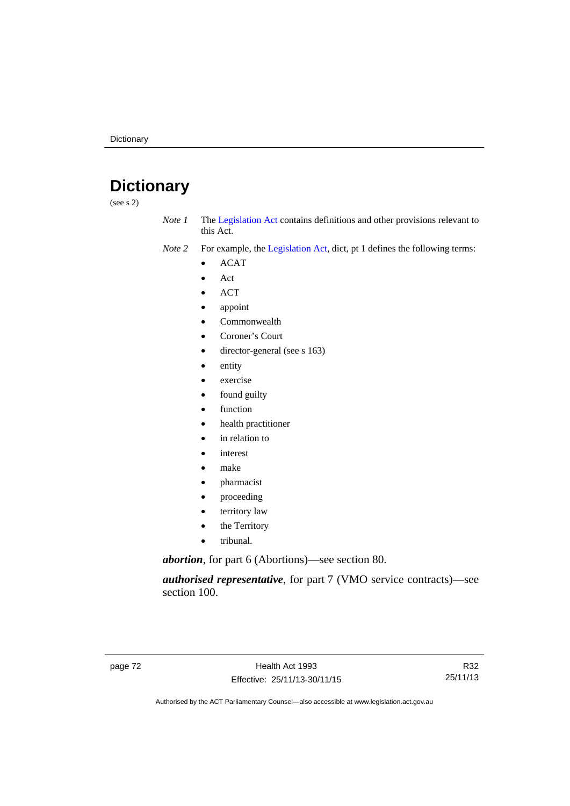# **Dictionary**

(see s 2)

- *Note 1* The [Legislation Act](http://www.legislation.act.gov.au/a/2001-14) contains definitions and other provisions relevant to this Act.
- *Note 2* For example, the [Legislation Act,](http://www.legislation.act.gov.au/a/2001-14) dict, pt 1 defines the following terms:
	- ACAT
	- Act
	- ACT
	- appoint
	- Commonwealth
	- Coroner's Court
	- director-general (see s 163)
	- entity
	- exercise
	- found guilty
	- function
	- health practitioner
	- in relation to
	- interest
	- make
	- pharmacist
	- proceeding
	- territory law
	- the Territory
	- tribunal.

*abortion*, for part 6 (Abortions)—see section 80.

*authorised representative*, for part 7 (VMO service contracts)—see section 100.

R32 25/11/13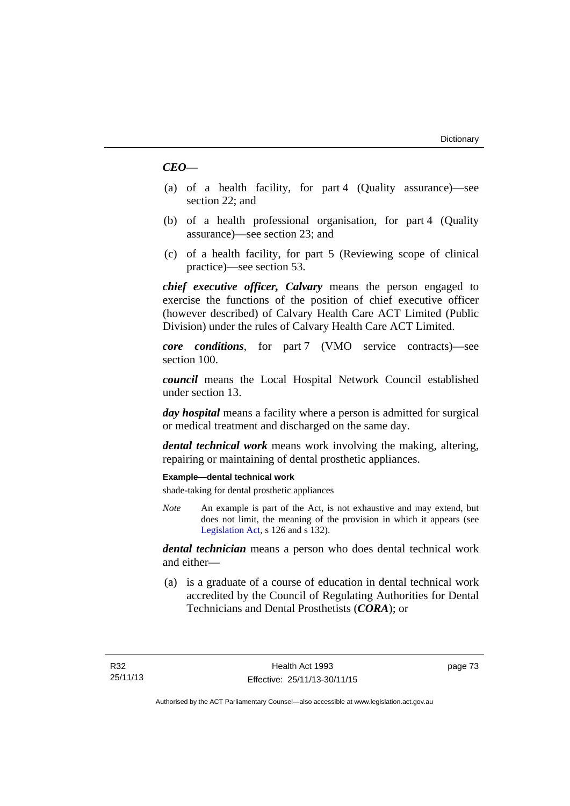## *CEO*—

- (a) of a health facility, for part 4 (Quality assurance)—see section 22; and
- (b) of a health professional organisation, for part 4 (Quality assurance)—see section 23; and
- (c) of a health facility, for part 5 (Reviewing scope of clinical practice)—see section 53.

*chief executive officer, Calvary* means the person engaged to exercise the functions of the position of chief executive officer (however described) of Calvary Health Care ACT Limited (Public Division) under the rules of Calvary Health Care ACT Limited.

*core conditions*, for part 7 (VMO service contracts)—see section 100.

*council* means the Local Hospital Network Council established under section 13.

*day hospital* means a facility where a person is admitted for surgical or medical treatment and discharged on the same day.

*dental technical work* means work involving the making, altering, repairing or maintaining of dental prosthetic appliances.

#### **Example—dental technical work**

shade-taking for dental prosthetic appliances

*Note* An example is part of the Act, is not exhaustive and may extend, but does not limit, the meaning of the provision in which it appears (see [Legislation Act,](http://www.legislation.act.gov.au/a/2001-14) s 126 and s 132).

*dental technician* means a person who does dental technical work and either—

 (a) is a graduate of a course of education in dental technical work accredited by the Council of Regulating Authorities for Dental Technicians and Dental Prosthetists (*CORA*); or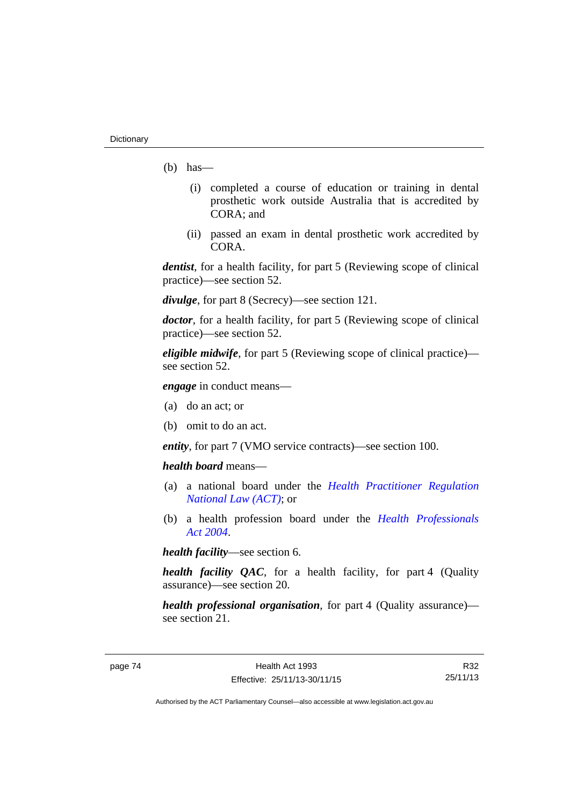- $(b)$  has
	- (i) completed a course of education or training in dental prosthetic work outside Australia that is accredited by CORA; and
	- (ii) passed an exam in dental prosthetic work accredited by CORA.

*dentist*, for a health facility, for part 5 (Reviewing scope of clinical practice)—see section 52.

*divulge*, for part 8 (Secrecy)—see section 121.

*doctor*, for a health facility, for part 5 (Reviewing scope of clinical practice)—see section 52.

*eligible midwife*, for part 5 (Reviewing scope of clinical practice) see section 52.

*engage* in conduct means—

- (a) do an act; or
- (b) omit to do an act.

*entity*, for part 7 (VMO service contracts)—see section 100.

*health board* means—

- (a) a national board under the *[Health Practitioner Regulation](http://www.legislation.act.gov.au/a/db_39269/default.asp)  [National Law \(ACT\)](http://www.legislation.act.gov.au/a/db_39269/default.asp)*; or
- (b) a health profession board under the *[Health Professionals](http://www.legislation.act.gov.au/a/2004-38)  [Act 2004](http://www.legislation.act.gov.au/a/2004-38)*.

*health facility*—see section 6.

*health facility QAC*, for a health facility, for part 4 (Quality assurance)—see section 20.

*health professional organisation*, for part 4 (Quality assurance) see section 21.

R32 25/11/13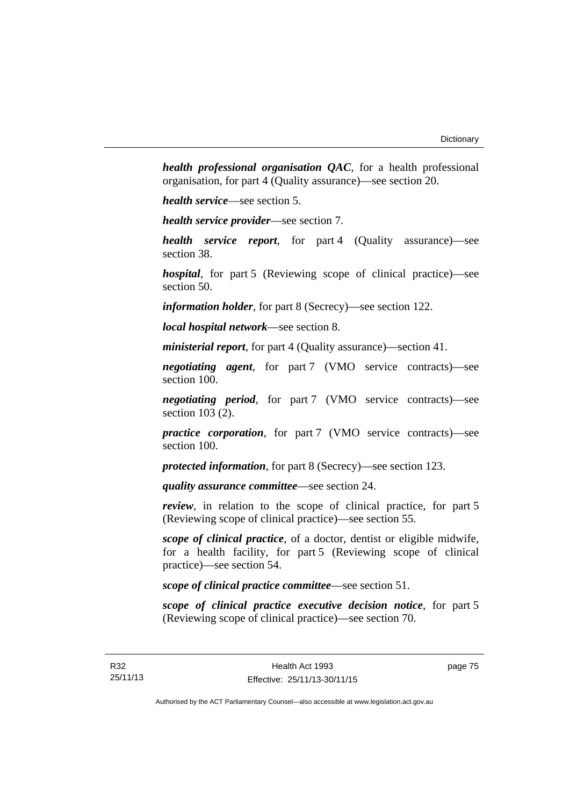*health professional organisation QAC*, for a health professional organisation, for part 4 (Quality assurance)—see section 20.

*health service*—see section 5.

*health service provider*—see section 7.

*health service report*, for part 4 (Quality assurance)—see section 38.

*hospital*, for part 5 (Reviewing scope of clinical practice)—see section 50.

*information holder*, for part 8 (Secrecy)—see section 122.

*local hospital network*—see section 8.

*ministerial report*, for part 4 (Quality assurance)—section 41.

*negotiating agent*, for part 7 (VMO service contracts)—see section 100.

*negotiating period*, for part 7 (VMO service contracts)—see section 103 (2).

*practice corporation*, for part 7 (VMO service contracts)—see section 100.

*protected information*, for part 8 (Secrecy)—see section 123.

*quality assurance committee*—see section 24.

*review*, in relation to the scope of clinical practice, for part 5 (Reviewing scope of clinical practice)—see section 55.

*scope of clinical practice*, of a doctor, dentist or eligible midwife, for a health facility, for part 5 (Reviewing scope of clinical practice)—see section 54.

*scope of clinical practice committee*—see section 51.

*scope of clinical practice executive decision notice*, for part 5 (Reviewing scope of clinical practice)—see section 70.

page 75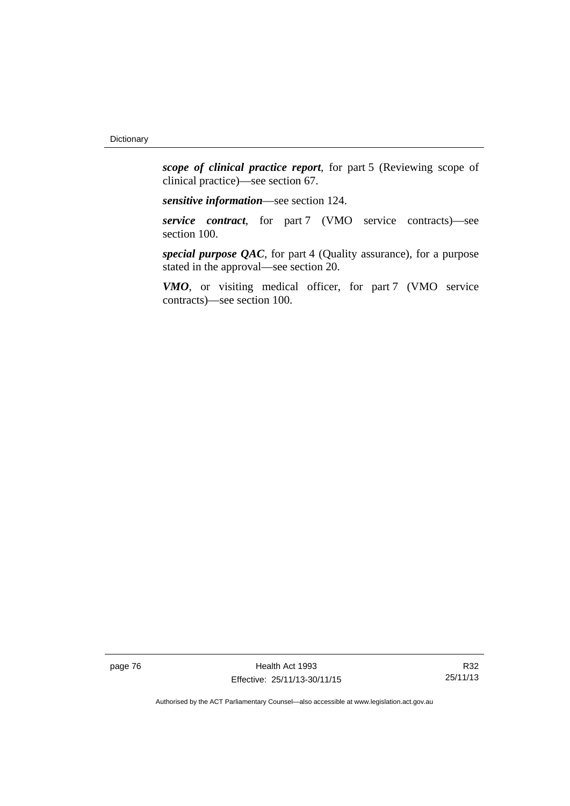*scope of clinical practice report*, for part 5 (Reviewing scope of clinical practice)—see section 67.

*sensitive information*—see section 124.

*service contract*, for part 7 (VMO service contracts)—see section 100.

*special purpose QAC*, for part 4 (Quality assurance), for a purpose stated in the approval—see section 20.

*VMO*, or visiting medical officer, for part 7 (VMO service contracts)—see section 100.

page 76 **Health Act 1993** Effective: 25/11/13-30/11/15

R32 25/11/13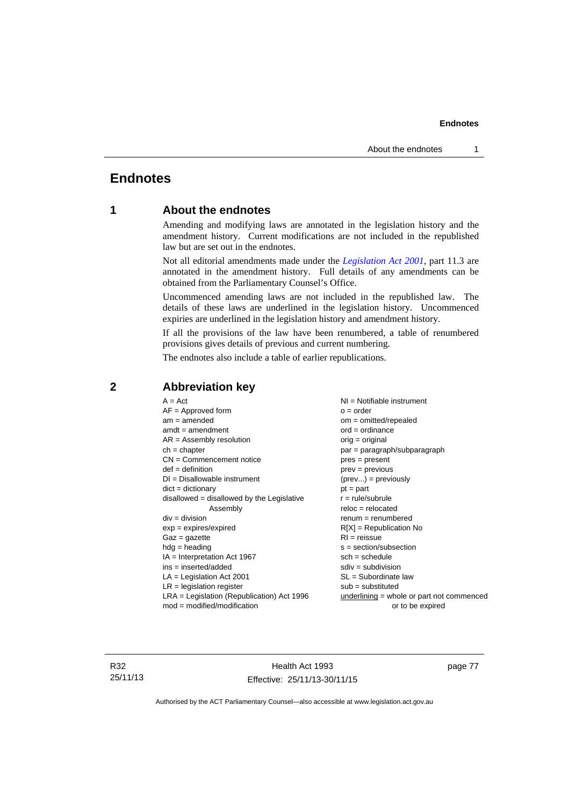## **Endnotes**

## **1 About the endnotes**

Amending and modifying laws are annotated in the legislation history and the amendment history. Current modifications are not included in the republished law but are set out in the endnotes.

Not all editorial amendments made under the *[Legislation Act 2001](http://www.legislation.act.gov.au/a/2001-14)*, part 11.3 are annotated in the amendment history. Full details of any amendments can be obtained from the Parliamentary Counsel's Office.

Uncommenced amending laws are not included in the republished law. The details of these laws are underlined in the legislation history. Uncommenced expiries are underlined in the legislation history and amendment history.

If all the provisions of the law have been renumbered, a table of renumbered provisions gives details of previous and current numbering.

The endnotes also include a table of earlier republications.

| $A = Act$                                    | $NI = Notifiable$ instrument                |
|----------------------------------------------|---------------------------------------------|
| $AF =$ Approved form                         | $o = order$                                 |
| $am = amended$                               | $om = omitted/repealed$                     |
| $amdt = amendment$                           | $ord = ordinance$                           |
| $AR = Assembly resolution$                   | $orig = original$                           |
| $ch = chapter$                               | par = paragraph/subparagraph                |
| $CN =$ Commencement notice                   | $pres = present$                            |
| $def = definition$                           | $prev = previous$                           |
| $DI = Disallowable instrument$               | $(\text{prev}) = \text{previously}$         |
| $dict = dictionary$                          | $pt = part$                                 |
| $disallowed = disallowed by the Legislative$ | $r = rule/subrule$                          |
| Assembly                                     | $reloc = relocated$                         |
| $div = division$                             | $renum = renumbered$                        |
| $exp = expires/expired$                      | $R[X]$ = Republication No                   |
| $Gaz = gazette$                              | $RI = reissue$                              |
| $hdg = heading$                              | $s = section/subsection$                    |
| $IA = Interpretation Act 1967$               | $sch = schedule$                            |
| ins = inserted/added                         | $sdiv = subdivision$                        |
| $LA =$ Legislation Act 2001                  | $SL = Subordinate$ law                      |
| $LR =$ legislation register                  | $sub =$ substituted                         |
| $LRA =$ Legislation (Republication) Act 1996 | $underlining = whole or part not commenced$ |
| $mod = modified/modification$                | or to be expired                            |
|                                              |                                             |

## **2 Abbreviation key**

R32 25/11/13

Health Act 1993 Effective: 25/11/13-30/11/15 page 77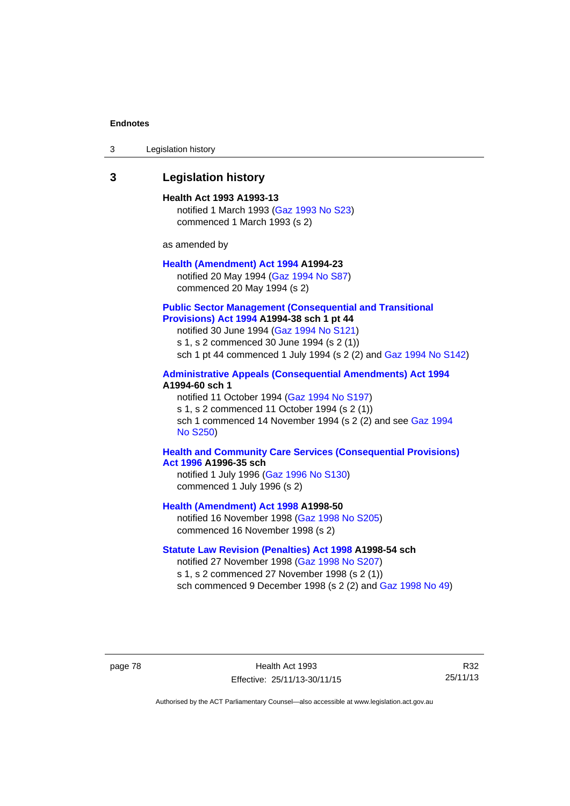| 3 | Legislation history |  |
|---|---------------------|--|
|---|---------------------|--|

## **3 Legislation history**

**Health Act 1993 A1993-13**  notified 1 March 1993 [\(Gaz 1993 No S23\)](http://www.legislation.act.gov.au/gaz/1993-S23/default.asp) commenced 1 March 1993 (s 2)

as amended by

## **[Health \(Amendment\) Act 1994](http://www.legislation.act.gov.au/a/1994-23) A1994-23**  notified 20 May 1994 ([Gaz 1994 No S87](http://www.legislation.act.gov.au/gaz/1994-S87/default.asp))

commenced 20 May 1994 (s 2)

#### **[Public Sector Management \(Consequential and Transitional](http://www.legislation.act.gov.au/a/1994-38)  [Provisions\) Act 1994](http://www.legislation.act.gov.au/a/1994-38) A1994-38 sch 1 pt 44**

notified 30 June 1994 ([Gaz 1994 No S121\)](http://www.legislation.act.gov.au/gaz/1994-S121/default.asp)

s 1, s 2 commenced 30 June 1994 (s 2 (1))

sch 1 pt 44 commenced 1 July 1994 (s 2 (2) and [Gaz 1994 No S142\)](http://www.legislation.act.gov.au/gaz/1994-S142/default.asp)

## **[Administrative Appeals \(Consequential Amendments\) Act 1994](http://www.legislation.act.gov.au/a/1994-60) A1994-60 sch 1**

notified 11 October 1994 ([Gaz 1994 No S197\)](http://www.legislation.act.gov.au/gaz/1994-S197/default.asp) s 1, s 2 commenced 11 October 1994 (s 2 (1)) sch 1 commenced 14 November 1994 (s 2 (2) and see [Gaz 1994](http://www.legislation.act.gov.au/gaz/1994-S250/default.asp)  [No S250\)](http://www.legislation.act.gov.au/gaz/1994-S250/default.asp)

#### **[Health and Community Care Services \(Consequential Provisions\)](http://www.legislation.act.gov.au/a/1996-35)  [Act 1996](http://www.legislation.act.gov.au/a/1996-35) A1996-35 sch**

notified 1 July 1996 [\(Gaz 1996 No S130](http://www.legislation.act.gov.au/gaz/1996-S130/default.asp)) commenced 1 July 1996 (s 2)

**[Health \(Amendment\) Act 1998](http://www.legislation.act.gov.au/a/1998-50) A1998-50** 

notified 16 November 1998 [\(Gaz 1998 No S205](http://www.legislation.act.gov.au/gaz/1998-S205/default.asp)) commenced 16 November 1998 (s 2)

### **[Statute Law Revision \(Penalties\) Act 1998](http://www.legislation.act.gov.au/a/1998-54) A1998-54 sch**

notified 27 November 1998 [\(Gaz 1998 No S207](http://www.legislation.act.gov.au/gaz/1998-S207/default.asp)) s 1, s 2 commenced 27 November 1998 (s 2 (1)) sch commenced 9 December 1998 (s 2 (2) and [Gaz 1998 No 49\)](http://www.legislation.act.gov.au/gaz/1998-49/default.asp)

page 78 Health Act 1993 Effective: 25/11/13-30/11/15

R32 25/11/13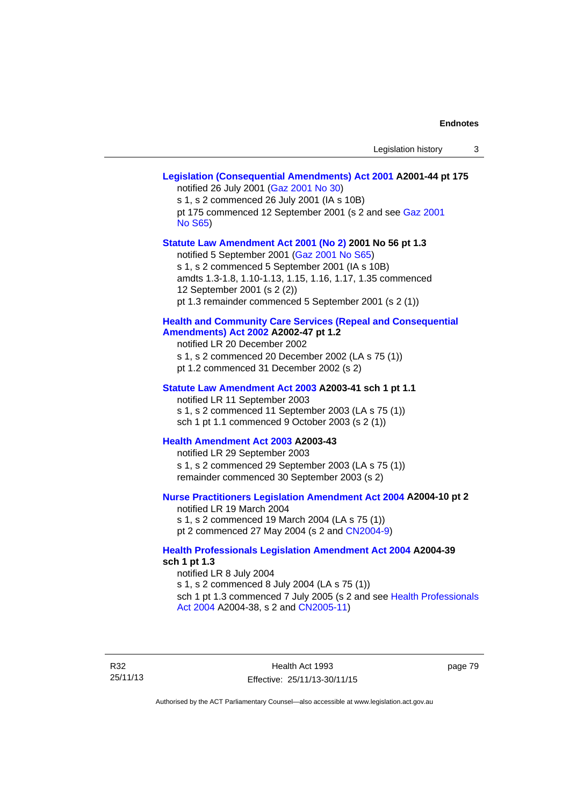## **[Legislation \(Consequential Amendments\) Act 2001](http://www.legislation.act.gov.au/a/2001-44) A2001-44 pt 175**  notified 26 July 2001 ([Gaz 2001 No 30\)](http://www.legislation.act.gov.au/gaz/2001-30/default.asp) s 1, s 2 commenced 26 July 2001 (IA s 10B) pt 175 commenced 12 September 2001 (s 2 and see [Gaz 2001](http://www.legislation.act.gov.au/gaz/2001-S65/default.asp)  [No S65](http://www.legislation.act.gov.au/gaz/2001-S65/default.asp)) **[Statute Law Amendment Act 2001 \(No 2\)](http://www.legislation.act.gov.au/a/2001-56) 2001 No 56 pt 1.3**  notified 5 September 2001 [\(Gaz 2001 No S65\)](http://www.legislation.act.gov.au/gaz/2001-S65/default.asp) s 1, s 2 commenced 5 September 2001 (IA s 10B) amdts 1.3-1.8, 1.10-1.13, 1.15, 1.16, 1.17, 1.35 commenced 12 September 2001 (s 2 (2)) pt 1.3 remainder commenced 5 September 2001 (s 2 (1)) **[Health and Community Care Services \(Repeal and Consequential](http://www.legislation.act.gov.au/a/2002-47)  [Amendments\) Act 2002](http://www.legislation.act.gov.au/a/2002-47) A2002-47 pt 1.2**  notified LR 20 December 2002 s 1, s 2 commenced 20 December 2002 (LA s 75 (1)) pt 1.2 commenced 31 December 2002 (s 2) **[Statute Law Amendment Act 2003](http://www.legislation.act.gov.au/a/2003-41) A2003-41 sch 1 pt 1.1**  notified LR 11 September 2003 s 1, s 2 commenced 11 September 2003 (LA s 75 (1)) sch 1 pt 1.1 commenced 9 October 2003 (s 2 (1)) **[Health Amendment Act 2003](http://www.legislation.act.gov.au/a/2003-43) A2003-43**  notified LR 29 September 2003 s 1, s 2 commenced 29 September 2003 (LA s 75 (1)) remainder commenced 30 September 2003 (s 2) **[Nurse Practitioners Legislation Amendment Act 2004](http://www.legislation.act.gov.au/a/2004-10) A2004-10 pt 2**  notified LR 19 March 2004 s 1, s 2 commenced 19 March 2004 (LA s 75 (1)) pt 2 commenced 27 May 2004 (s 2 and [CN2004-9\)](http://www.legislation.act.gov.au/cn/2004-9/default.asp) **[Health Professionals Legislation Amendment Act 2004](http://www.legislation.act.gov.au/a/2004-39) A2004-39 sch 1 pt 1.3**  notified LR 8 July 2004 s 1, s 2 commenced 8 July 2004 (LA s 75 (1)) sch 1 pt 1.3 commenced 7 July 2005 (s 2 and see [Health Professionals](http://www.legislation.act.gov.au/a/2004-38)  [Act 2004](http://www.legislation.act.gov.au/a/2004-38) A2004-38, s 2 and [CN2005-11\)](http://www.legislation.act.gov.au/cn/2005-11/default.asp)

R32 25/11/13

Health Act 1993 Effective: 25/11/13-30/11/15 page 79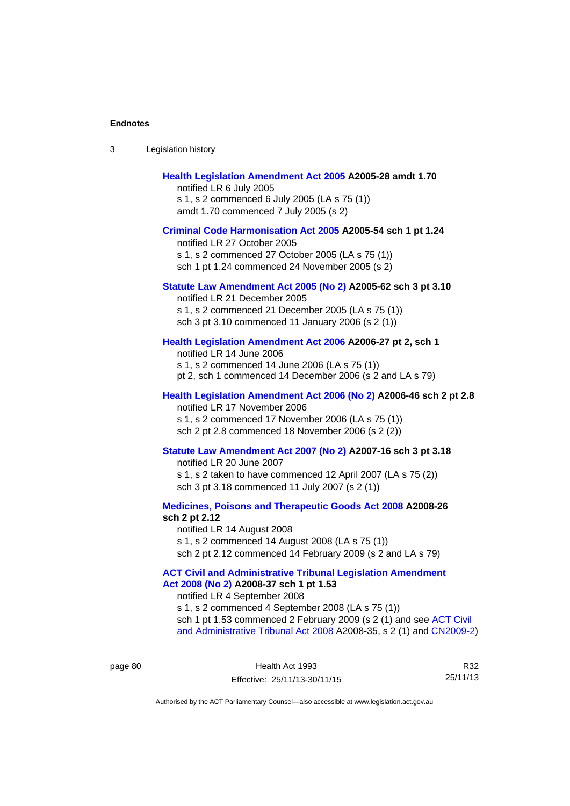| 3 | Legislation history                                                                                                                                                                                                                                                                                                                             |
|---|-------------------------------------------------------------------------------------------------------------------------------------------------------------------------------------------------------------------------------------------------------------------------------------------------------------------------------------------------|
|   | Health Legislation Amendment Act 2005 A2005-28 amdt 1.70<br>notified LR 6 July 2005<br>s 1, s 2 commenced 6 July 2005 (LA s 75 (1))<br>amdt 1.70 commenced 7 July 2005 (s 2)                                                                                                                                                                    |
|   | Criminal Code Harmonisation Act 2005 A2005-54 sch 1 pt 1.24<br>notified LR 27 October 2005<br>s 1, s 2 commenced 27 October 2005 (LA s 75 (1))<br>sch 1 pt 1.24 commenced 24 November 2005 (s 2)                                                                                                                                                |
|   | Statute Law Amendment Act 2005 (No 2) A2005-62 sch 3 pt 3.10<br>notified LR 21 December 2005<br>s 1, s 2 commenced 21 December 2005 (LA s 75 (1))<br>sch 3 pt 3.10 commenced 11 January 2006 (s 2 (1))                                                                                                                                          |
|   | Health Legislation Amendment Act 2006 A2006-27 pt 2, sch 1<br>notified LR 14 June 2006<br>s 1, s 2 commenced 14 June 2006 (LA s 75 (1))<br>pt 2, sch 1 commenced 14 December 2006 (s 2 and LA s 79)                                                                                                                                             |
|   | Health Legislation Amendment Act 2006 (No 2) A2006-46 sch 2 pt 2.8<br>notified LR 17 November 2006<br>s 1, s 2 commenced 17 November 2006 (LA s 75 (1))<br>sch 2 pt 2.8 commenced 18 November 2006 (s 2 (2))                                                                                                                                    |
|   | Statute Law Amendment Act 2007 (No 2) A2007-16 sch 3 pt 3.18<br>notified LR 20 June 2007<br>s 1, s 2 taken to have commenced 12 April 2007 (LA s 75 (2))<br>sch 3 pt 3.18 commenced 11 July 2007 (s 2 (1))                                                                                                                                      |
|   | Medicines, Poisons and Therapeutic Goods Act 2008 A2008-26<br>sch 2 pt 2.12<br>notified LR 14 August 2008<br>s 1, s 2 commenced 14 August 2008 (LA s 75 (1))<br>sch 2 pt 2.12 commenced 14 February 2009 (s 2 and LA s 79)                                                                                                                      |
|   | <b>ACT Civil and Administrative Tribunal Legislation Amendment</b><br>Act 2008 (No 2) A2008-37 sch 1 pt 1.53<br>notified LR 4 September 2008<br>s 1, s 2 commenced 4 September 2008 (LA s 75 (1))<br>sch 1 pt 1.53 commenced 2 February 2009 (s 2 (1) and see ACT Civil<br>and Administrative Tribunal Act 2008 A2008-35, s 2 (1) and CN2009-2) |

page 80 Health Act 1993 Effective: 25/11/13-30/11/15

R32 25/11/13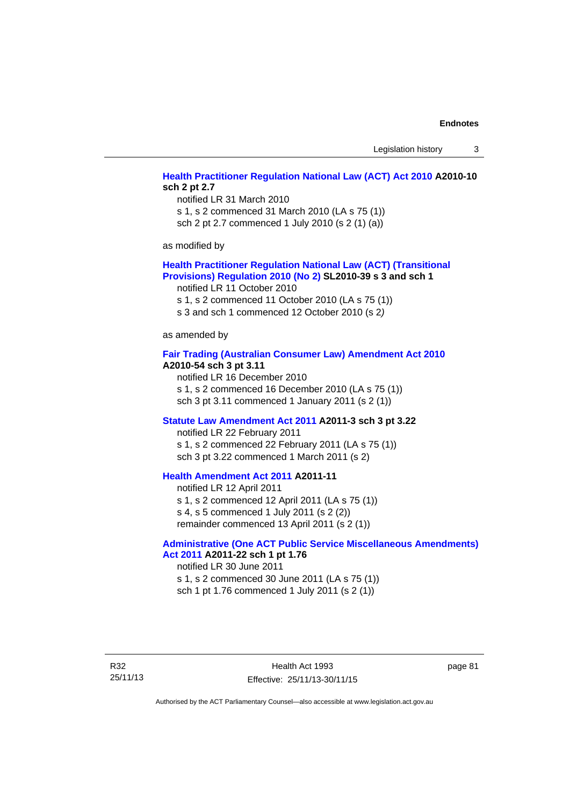Legislation history 3

## **[Health Practitioner Regulation National Law \(ACT\) Act 2010](http://www.legislation.act.gov.au/a/2010-10) A2010-10 sch 2 pt 2.7**

notified LR 31 March 2010 s 1, s 2 commenced 31 March 2010 (LA s 75 (1)) sch 2 pt 2.7 commenced 1 July 2010 (s 2 (1) (a))

as modified by

#### **[Health Practitioner Regulation National Law \(ACT\) \(Transitional](http://www.legislation.act.gov.au/sl/2010-39)  [Provisions\) Regulation 2010 \(No 2\)](http://www.legislation.act.gov.au/sl/2010-39) SL2010-39 s 3 and sch 1**

notified LR 11 October 2010

s 1, s 2 commenced 11 October 2010 (LA s 75 (1))

s 3 and sch 1 commenced 12 October 2010 (s 2*)*

as amended by

#### **[Fair Trading \(Australian Consumer Law\) Amendment Act 2010](http://www.legislation.act.gov.au/a/2010-54) A2010-54 sch 3 pt 3.11**

notified LR 16 December 2010 s 1, s 2 commenced 16 December 2010 (LA s 75 (1)) sch 3 pt 3.11 commenced 1 January 2011 (s 2 (1))

#### **[Statute Law Amendment Act 2011](http://www.legislation.act.gov.au/a/2011-3) A2011-3 sch 3 pt 3.22**

notified LR 22 February 2011 s 1, s 2 commenced 22 February 2011 (LA s 75 (1)) sch 3 pt 3.22 commenced 1 March 2011 (s 2)

## **[Health Amendment Act 2011](http://www.legislation.act.gov.au/a/2011-11) A2011-11**

notified LR 12 April 2011 s 1, s 2 commenced 12 April 2011 (LA s 75 (1)) s 4, s 5 commenced 1 July 2011 (s 2 (2)) remainder commenced 13 April 2011 (s 2 (1))

## **[Administrative \(One ACT Public Service Miscellaneous Amendments\)](http://www.legislation.act.gov.au/a/2011-22)**

**[Act 2011](http://www.legislation.act.gov.au/a/2011-22) A2011-22 sch 1 pt 1.76**  notified LR 30 June 2011 s 1, s 2 commenced 30 June 2011 (LA s 75 (1)) sch 1 pt 1.76 commenced 1 July 2011 (s 2 (1))

R32 25/11/13 page 81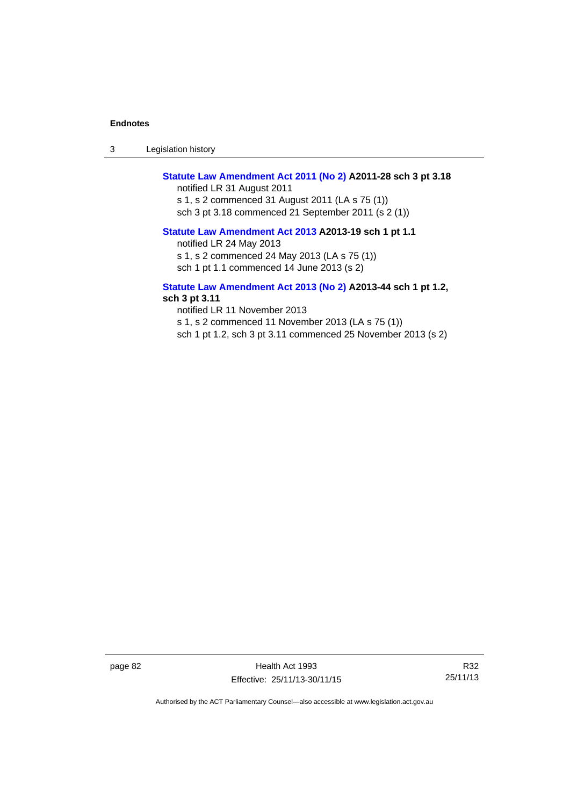3 Legislation history

## **[Statute Law Amendment Act 2011 \(No 2\)](http://www.legislation.act.gov.au/a/2011-28) A2011-28 sch 3 pt 3.18**

notified LR 31 August 2011 s 1, s 2 commenced 31 August 2011 (LA s 75 (1)) sch 3 pt 3.18 commenced 21 September 2011 (s 2 (1))

#### **[Statute Law Amendment Act 2013](http://www.legislation.act.gov.au/a/2013-19) A2013-19 sch 1 pt 1.1**

notified LR 24 May 2013

s 1, s 2 commenced 24 May 2013 (LA s 75 (1))

sch 1 pt 1.1 commenced 14 June 2013 (s 2)

#### **[Statute Law Amendment Act 2013 \(No 2\)](http://www.legislation.act.gov.au/a/2013-44) A2013-44 sch 1 pt 1.2, sch 3 pt 3.11**

notified LR 11 November 2013 s 1, s 2 commenced 11 November 2013 (LA s 75 (1)) sch 1 pt 1.2, sch 3 pt 3.11 commenced 25 November 2013 (s 2)

page 82 Health Act 1993 Effective: 25/11/13-30/11/15

R32 25/11/13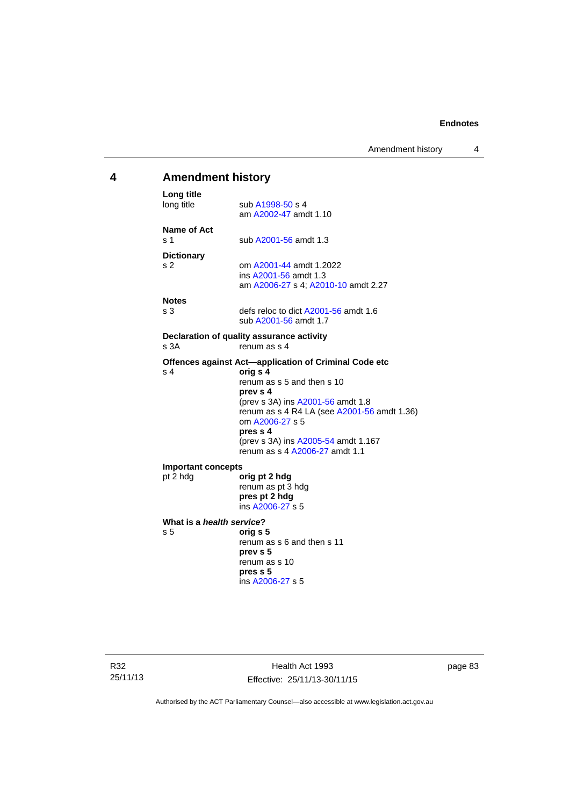## **4 Amendment history Long title**  sub [A1998-50](http://www.legislation.act.gov.au/a/1998-50) s 4 am [A2002-47](http://www.legislation.act.gov.au/a/2002-47) amdt 1.10 **Name of Act**  s 1 sub [A2001-56](http://www.legislation.act.gov.au/a/2001-56) amdt 1.3 **Dictionary**  s 2 om [A2001-44](http://www.legislation.act.gov.au/a/2001-44) amdt 1.2022 ins [A2001-56](http://www.legislation.act.gov.au/a/2001-56) amdt 1.3 am [A2006-27](http://www.legislation.act.gov.au/a/2006-27) s 4; [A2010-10](http://www.legislation.act.gov.au/a/2010-10) amdt 2.27 **Notes**  s 3 defs reloc to dict [A2001-56](http://www.legislation.act.gov.au/a/2001-56) amdt 1.6 sub [A2001-56](http://www.legislation.act.gov.au/a/2001-56) amdt 1.7 **Declaration of quality assurance activity**  s 3A renum as s 4 **Offences against Act—application of Criminal Code etc**  s 4 **orig s 4** renum as s 5 and then s 10 **prev s 4**  (prev s 3A) ins [A2001-56](http://www.legislation.act.gov.au/a/2001-56) amdt 1.8 renum as s 4 R4 LA (see [A2001-56](http://www.legislation.act.gov.au/a/2001-56) amdt 1.36) om [A2006-27](http://www.legislation.act.gov.au/a/2006-27) s 5 **pres s 4**  (prev s 3A) ins [A2005-54](http://www.legislation.act.gov.au/a/2005-54) amdt 1.167 renum as s 4 [A2006-27](http://www.legislation.act.gov.au/a/2006-27) amdt 1.1 **Important concepts**  pt 2 hdg **orig pt 2 hdg** renum as pt 3 hdg **pres pt 2 hdg**  ins [A2006-27](http://www.legislation.act.gov.au/a/2006-27) s 5 **What is a** *health service***?**  s 5 **orig s 5**  renum as s 6 and then s 11 **prev s 5**  renum as s 10 **pres s 5**  ins [A2006-27](http://www.legislation.act.gov.au/a/2006-27) s 5

R32 25/11/13

Health Act 1993 Effective: 25/11/13-30/11/15 page 83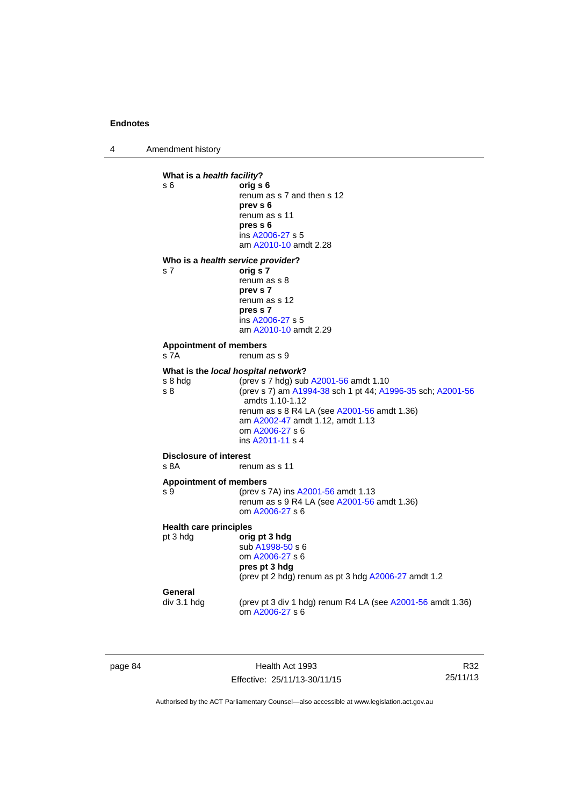4 Amendment history

```
What is a health facility? 
s 6 orig s 6 
                 renum as s 7 and then s 12 
                 prev s 6 
                 renum as s 11 
                  pres s 6 
                  ins A2006-27 s 5
                  am A2010-10 amdt 2.28
Who is a health service provider? 
s 7 orig s 7 
                 renum as s 8 
                 prev s 7 
                 renum as s 12 
                 pres s 7 
                  ins A2006-27 s 5
                  am A2010-10 amdt 2.29
Appointment of members 
s 7A renum as s 9
What is the local hospital network?
s 8 hdg (prev s 7 hdg) sub A2001-56 amdt 1.10 
s 8 (prev s 7) am A1994-38 sch 1 pt 44; A1996-35 sch; A2001-56
                  amdts 1.10-1.12 
                 renum as s 8 R4 LA (see A2001-56 amdt 1.36) 
                  am A2002-47 amdt 1.12, amdt 1.13 
                  om A2006-27 s 6 
                  ins A2011-11 s 4
Disclosure of interest 
s 8A renum as s 11
Appointment of members 
A2001-56 amdt 1.13
                 renum as s 9 R4 LA (see A2001-56 amdt 1.36) 
                  om A2006-27 s 6 
Health care principles
pt 3 hdg orig pt 3 hdg
                  sub A1998-50 s 6 
                  om A2006-27 s 6 
                 pres pt 3 hdg 
                 (prev pt 2 hdg) renum as pt 3 hdg A2006-27 amdt 1.2 
General<br>div 3.1 hdg
                 (prev pt 3 div 1 hdg) renum R4 LA (see A2001-56 amdt 1.36)
                  om A2006-27 s 6
```
page 84 Health Act 1993 Effective: 25/11/13-30/11/15

R32 25/11/13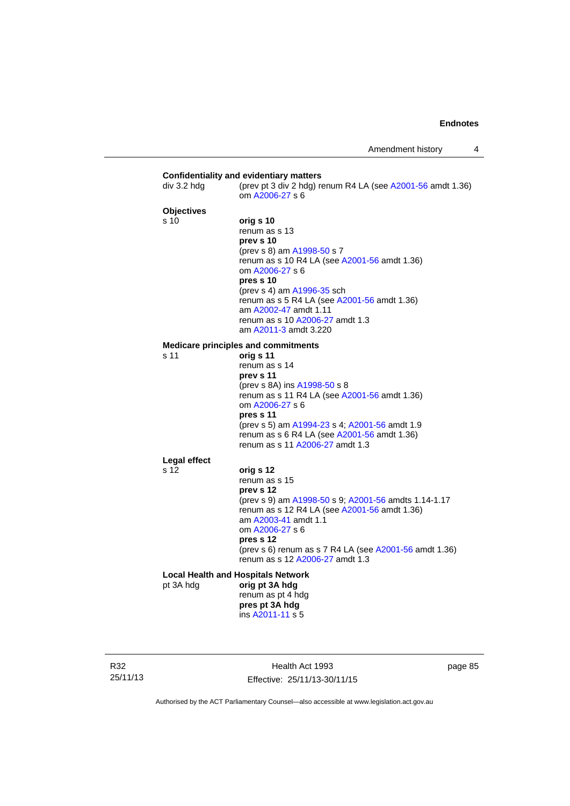| div 3.2 hdg       | (prev pt 3 div 2 hdg) renum R4 LA (see $A2001-56$ amdt 1.36)<br>om A2006-27 s 6                                                                                                                                                                                                                                         |
|-------------------|-------------------------------------------------------------------------------------------------------------------------------------------------------------------------------------------------------------------------------------------------------------------------------------------------------------------------|
| <b>Objectives</b> |                                                                                                                                                                                                                                                                                                                         |
| s 10              | orig s 10<br>renum as s 13<br>prev s 10<br>(prev s 8) am A1998-50 s 7<br>renum as s 10 R4 LA (see A2001-56 amdt 1.36)<br>om A2006-27 s 6<br>pres s 10<br>(prev s 4) am A1996-35 sch<br>renum as s 5 R4 LA (see A2001-56 amdt 1.36)<br>am A2002-47 amdt 1.11<br>renum as s 10 A2006-27 amdt 1.3<br>am A2011-3 amdt 3.220 |
|                   | <b>Medicare principles and commitments</b>                                                                                                                                                                                                                                                                              |
| s 11              | orig s 11<br>renum as s 14<br>prev s 11<br>(prev s 8A) ins A1998-50 s 8<br>renum as s 11 R4 LA (see A2001-56 amdt 1.36)<br>om A2006-27 s 6<br>pres s 11<br>(prev s 5) am A1994-23 s 4; A2001-56 amdt 1.9<br>renum as s 6 R4 LA (see A2001-56 amdt 1.36)<br>renum as s 11 A2006-27 amdt 1.3                              |
| Legal effect      |                                                                                                                                                                                                                                                                                                                         |
| s 12              | orig s 12<br>renum as s 15<br>prev s 12<br>(prev s 9) am A1998-50 s 9; A2001-56 amdts 1.14-1.17<br>renum as s 12 R4 LA (see A2001-56 amdt 1.36)<br>am A2003-41 amdt 1.1<br>om A2006-27 s 6<br>pres s 12<br>(prev s 6) renum as s 7 R4 LA (see A2001-56 amdt 1.36)<br>renum as s 12 A2006-27 amdt 1.3                    |
|                   | <b>Local Health and Hospitals Network</b>                                                                                                                                                                                                                                                                               |
| pt 3A hdg         | orig pt 3A hdg<br>renum as pt 4 hdg<br>pres pt 3A hdg<br>ins A2011-11 s 5                                                                                                                                                                                                                                               |

R32 25/11/13

Health Act 1993 Effective: 25/11/13-30/11/15 page 85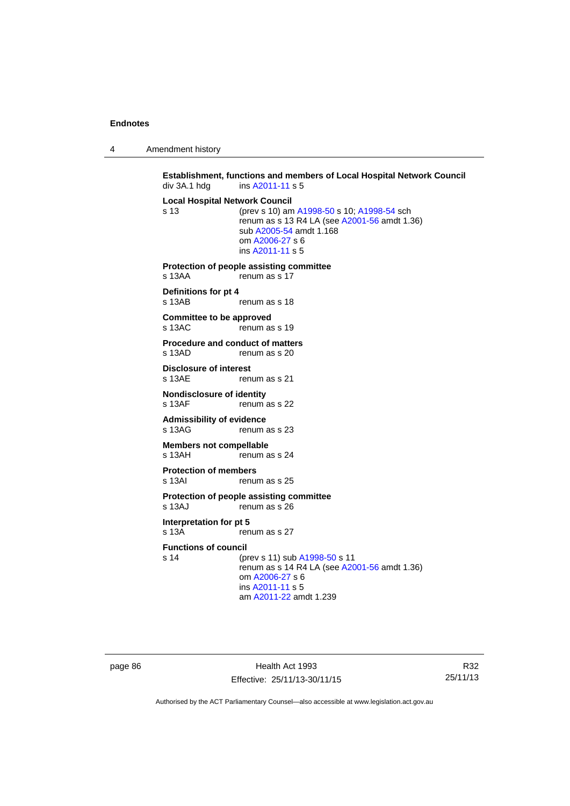4 Amendment history

**Establishment, functions and members of Local Hospital Network Council**  div 3A.1 hdg ins [A2011-11](http://www.legislation.act.gov.au/a/2011-11) s 5 **Local Hospital Network Council** s 13 (prev s 10) am [A1998-50](http://www.legislation.act.gov.au/a/1998-50) s 10; [A1998-54](http://www.legislation.act.gov.au/a/1998-54) sch renum as s 13 R4 LA (see [A2001-56](http://www.legislation.act.gov.au/a/2001-56) amdt 1.36) sub [A2005-54](http://www.legislation.act.gov.au/a/2005-54) amdt 1.168 om [A2006-27](http://www.legislation.act.gov.au/a/2006-27) s 6 ins [A2011-11](http://www.legislation.act.gov.au/a/2011-11) s 5 **Protection of people assisting committee**  s 13AA renum as s 17 **Definitions for pt 4**  renum as s 18 **Committee to be approved**  s 13AC renum as s 19 **Procedure and conduct of matters**<br>s 13AD **repumes** s 20 renum as s 20 **Disclosure of interest**  s 13AE renum as s 21 **Nondisclosure of identity**<br>s 13AF renum renum as s 22 **Admissibility of evidence**  s 13AG renum as s 23 **Members not compellable**  s 13AH renum as s 24 **Protection of members**  s 13AI renum as s 25 **Protection of people assisting committee**  s 13AJ renum as s 26 **Interpretation for pt 5**  s 13A renum as s 27 **Functions of council** s 14 (prev s 11) sub [A1998-50](http://www.legislation.act.gov.au/a/1998-50) s 11 renum as  $s$  14 R4 LA (see [A2001-56](http://www.legislation.act.gov.au/a/2001-56) amdt 1.36) om [A2006-27](http://www.legislation.act.gov.au/a/2006-27) s 6 ins [A2011-11](http://www.legislation.act.gov.au/a/2011-11) s 5 am [A2011-22](http://www.legislation.act.gov.au/a/2011-22) amdt 1.239

page 86 Health Act 1993 Effective: 25/11/13-30/11/15

R32 25/11/13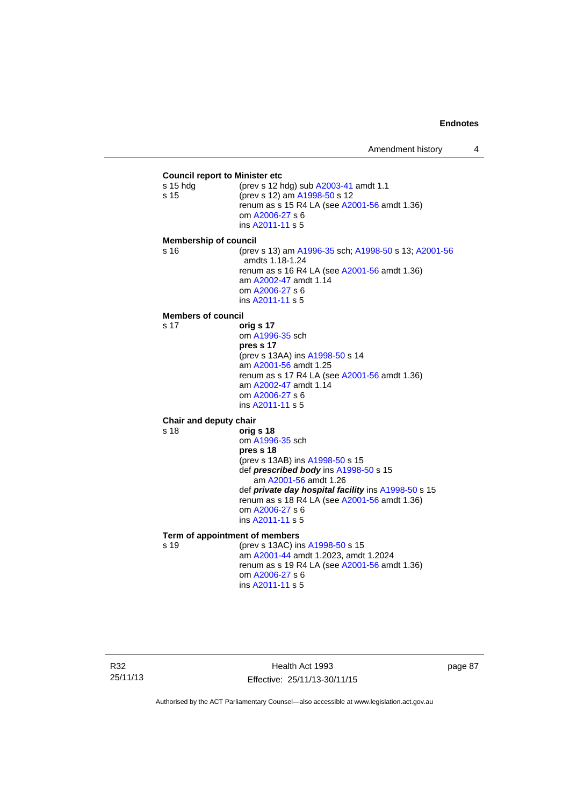#### **Council report to Minister etc** s 15 hdg (prev s 12 hdg) sub [A2003-41](http://www.legislation.act.gov.au/a/2003-41) amdt 1.1 s 15 (prev s 12) am [A1998-50](http://www.legislation.act.gov.au/a/1998-50) s 12 renum as s 15 R4 LA (see [A2001-56](http://www.legislation.act.gov.au/a/2001-56) amdt 1.36) om [A2006-27](http://www.legislation.act.gov.au/a/2006-27) s 6 ins [A2011-11](http://www.legislation.act.gov.au/a/2011-11) s 5 **Membership of council** s 16 (prev s 13) am [A1996-35](http://www.legislation.act.gov.au/a/1996-35) sch; [A1998-50](http://www.legislation.act.gov.au/a/1998-50) s 13; [A2001-56](http://www.legislation.act.gov.au/a/2001-56) amdts 1.18-1.24 renum as s 16 R4 LA (see [A2001-56](http://www.legislation.act.gov.au/a/2001-56) amdt 1.36) am [A2002-47](http://www.legislation.act.gov.au/a/2002-47) amdt 1.14 om [A2006-27](http://www.legislation.act.gov.au/a/2006-27) s 6 ins [A2011-11](http://www.legislation.act.gov.au/a/2011-11) s 5 **Members of council** s 17 **orig s 17** om [A1996-35](http://www.legislation.act.gov.au/a/1996-35) sch **pres s 17**  (prev s 13AA) ins [A1998-50](http://www.legislation.act.gov.au/a/1998-50) s 14 am [A2001-56](http://www.legislation.act.gov.au/a/2001-56) amdt 1.25 renum as s 17 R4 LA (see [A2001-56](http://www.legislation.act.gov.au/a/2001-56) amdt 1.36) am [A2002-47](http://www.legislation.act.gov.au/a/2002-47) amdt 1.14 om [A2006-27](http://www.legislation.act.gov.au/a/2006-27) s 6 ins [A2011-11](http://www.legislation.act.gov.au/a/2011-11) s 5 **Chair and deputy chair** s 18 **orig s 18** om [A1996-35](http://www.legislation.act.gov.au/a/1996-35) sch **pres s 18**  (prev s 13AB) ins [A1998-50](http://www.legislation.act.gov.au/a/1998-50) s 15 def *prescribed body* ins [A1998-50](http://www.legislation.act.gov.au/a/1998-50) s 15 am [A2001-56](http://www.legislation.act.gov.au/a/2001-56) amdt 1.26 def *private day hospital facility* ins [A1998-50](http://www.legislation.act.gov.au/a/1998-50) s 15 renum as s 18 R4 LA (see [A2001-56](http://www.legislation.act.gov.au/a/2001-56) amdt 1.36) om [A2006-27](http://www.legislation.act.gov.au/a/2006-27) s 6 ins [A2011-11](http://www.legislation.act.gov.au/a/2011-11) s 5 **Term of appointment of members** s 19 (prev s 13AC) ins [A1998-50](http://www.legislation.act.gov.au/a/1998-50) s 15 am [A2001-44](http://www.legislation.act.gov.au/a/2001-44) amdt 1.2023, amdt 1.2024 renum as s 19 R4 LA (see [A2001-56](http://www.legislation.act.gov.au/a/2001-56) amdt 1.36) om [A2006-27](http://www.legislation.act.gov.au/a/2006-27) s 6 ins [A2011-11](http://www.legislation.act.gov.au/a/2011-11) s 5

Health Act 1993 Effective: 25/11/13-30/11/15 page 87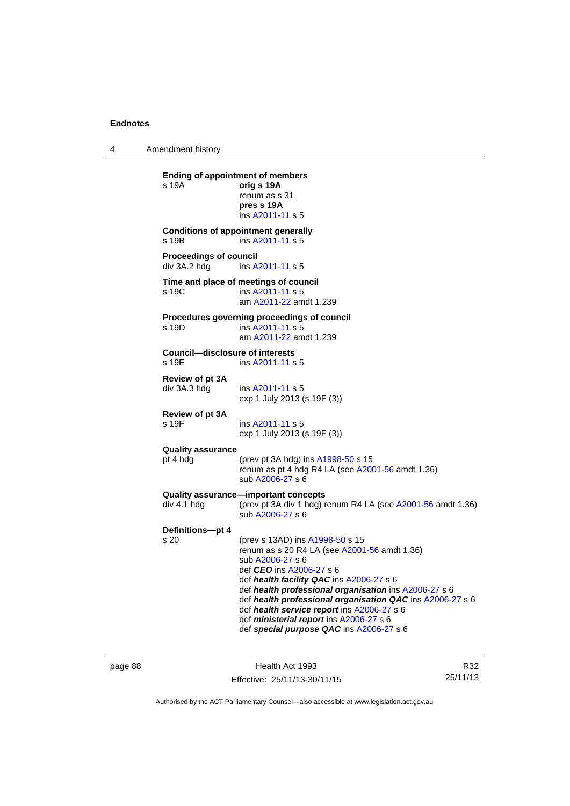4 Amendment history

**Ending of appointment of members**  s 19A **orig s 19A** renum as s 31 **pres s 19A**  ins [A2011-11](http://www.legislation.act.gov.au/a/2011-11) s 5 **Conditions of appointment generally**  s 19B ins [A2011-11](http://www.legislation.act.gov.au/a/2011-11) s 5 **Proceedings of council<br>div 3A.2 hdg ins A.** ins [A2011-11](http://www.legislation.act.gov.au/a/2011-11) s 5 **Time and place of meetings of council**  s 19C ins [A2011-11](http://www.legislation.act.gov.au/a/2011-11) s 5 am [A2011-22](http://www.legislation.act.gov.au/a/2011-22) amdt 1.239 **Procedures governing proceedings of council**  s 19D ins [A2011-11](http://www.legislation.act.gov.au/a/2011-11) s 5 am [A2011-22](http://www.legislation.act.gov.au/a/2011-22) amdt 1.239 **Council—disclosure of interests**  ins [A2011-11](http://www.legislation.act.gov.au/a/2011-11) s 5 **Review of pt 3A**  div 3A.3 hdg ins [A2011-11](http://www.legislation.act.gov.au/a/2011-11) s 5 exp 1 July 2013 (s 19F (3)) **Review of pt 3A**  s 19F ins [A2011-11](http://www.legislation.act.gov.au/a/2011-11) s 5 exp 1 July 2013 (s 19F (3)) **Quality assurance** pt 4 hdg (prev pt 3A hdg) ins [A1998-50](http://www.legislation.act.gov.au/a/1998-50) s 15 renum as pt 4 hdg R4 LA (see [A2001-56](http://www.legislation.act.gov.au/a/2001-56) amdt 1.36) sub [A2006-27](http://www.legislation.act.gov.au/a/2006-27) s 6 **Quality assurance—important concepts**  div 4.1 hdg (prev pt 3A div 1 hdg) renum R4 LA (see [A2001-56](http://www.legislation.act.gov.au/a/2001-56) amdt 1.36) sub [A2006-27](http://www.legislation.act.gov.au/a/2006-27) s 6 **Definitions—pt 4** (prev s 13AD) ins [A1998-50](http://www.legislation.act.gov.au/a/1998-50) s 15 renum as s 20 R4 LA (see [A2001-56](http://www.legislation.act.gov.au/a/2001-56) amdt 1.36) sub [A2006-27](http://www.legislation.act.gov.au/a/2006-27) s 6 def *CEO* ins [A2006-27](http://www.legislation.act.gov.au/a/2006-27) s 6 def *health facility QAC* ins [A2006-27](http://www.legislation.act.gov.au/a/2006-27) s 6 def *health professional organisation* ins [A2006-27](http://www.legislation.act.gov.au/a/2006-27) s 6 def *health professional organisation QAC* ins [A2006-27](http://www.legislation.act.gov.au/a/2006-27) s 6 def *health service report* ins [A2006-27](http://www.legislation.act.gov.au/a/2006-27) s 6 def *ministerial report* ins [A2006-27](http://www.legislation.act.gov.au/a/2006-27) s 6 def *special purpose QAC* ins [A2006-27](http://www.legislation.act.gov.au/a/2006-27) s 6

page 88 Health Act 1993 Effective: 25/11/13-30/11/15

R32 25/11/13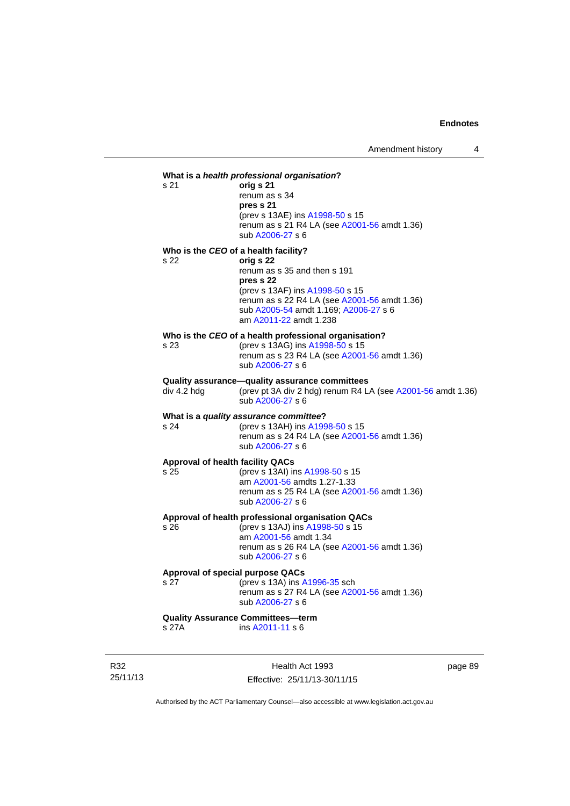## **What is a** *health professional organisation***?** s 21 **orig s 21**  renum as s 34 **pres s 21**  (prev s 13AE) ins [A1998-50](http://www.legislation.act.gov.au/a/1998-50) s 15 renum as s 21 R4 LA (see [A2001-56](http://www.legislation.act.gov.au/a/2001-56) amdt 1.36) sub [A2006-27](http://www.legislation.act.gov.au/a/2006-27) s 6 **Who is the** *CEO* **of a health facility?** s 22 **orig s 22**  renum as s 35 and then s 191 **pres s 22**  (prev s 13AF) ins [A1998-50](http://www.legislation.act.gov.au/a/1998-50) s 15 renum as s 22 R4 LA (see [A2001-56](http://www.legislation.act.gov.au/a/2001-56) amdt 1.36) sub [A2005-54](http://www.legislation.act.gov.au/a/2005-54) amdt 1.169; [A2006-27](http://www.legislation.act.gov.au/a/2006-27) s 6 am [A2011-22](http://www.legislation.act.gov.au/a/2011-22) amdt 1.238 **Who is the** *CEO* **of a health professional organisation?** s 23 (prev s 13AG) ins [A1998-50](http://www.legislation.act.gov.au/a/1998-50) s 15 renum as s 23 R4 LA (see [A2001-56](http://www.legislation.act.gov.au/a/2001-56) amdt 1.36) sub [A2006-27](http://www.legislation.act.gov.au/a/2006-27) s 6 **Quality assurance—quality assurance committees**  div 4.2 hdg (prev pt 3A div 2 hdg) renum R4 LA (see [A2001-56](http://www.legislation.act.gov.au/a/2001-56) amdt 1.36) sub [A2006-27](http://www.legislation.act.gov.au/a/2006-27) s 6 **What is a** *quality assurance committee***?** s 24 (prev s 13AH) ins [A1998-50](http://www.legislation.act.gov.au/a/1998-50) s 15 renum as s  $24$  R4 LA (see [A2001-56](http://www.legislation.act.gov.au/a/2001-56) amdt 1.36) sub [A2006-27](http://www.legislation.act.gov.au/a/2006-27) s 6 **Approval of health facility QACs** s 25 (prev s 13AI) ins [A1998-50](http://www.legislation.act.gov.au/a/1998-50) s 15 am [A2001-56](http://www.legislation.act.gov.au/a/2001-56) amdts 1.27-1.33 renum as s 25 R4 LA (see [A2001-56](http://www.legislation.act.gov.au/a/2001-56) amdt 1.36) sub [A2006-27](http://www.legislation.act.gov.au/a/2006-27) s 6 **Approval of health professional organisation QACs** s 26 (prev s 13AJ) ins [A1998-50](http://www.legislation.act.gov.au/a/1998-50) s 15 am [A2001-56](http://www.legislation.act.gov.au/a/2001-56) amdt 1.34 renum as s 26 R4 LA (see [A2001-56](http://www.legislation.act.gov.au/a/2001-56) amdt 1.36) sub [A2006-27](http://www.legislation.act.gov.au/a/2006-27) s 6 **Approval of special purpose QACs** s 27 (prev s 13A) ins [A1996-35](http://www.legislation.act.gov.au/a/1996-35) sch renum as s 27 R4 LA (see [A2001-56](http://www.legislation.act.gov.au/a/2001-56) amdt 1.36) sub [A2006-27](http://www.legislation.act.gov.au/a/2006-27) s 6 **Quality Assurance Committees—term**  s 27A ins [A2011-11](http://www.legislation.act.gov.au/a/2011-11) s 6

R32 25/11/13

Health Act 1993 Effective: 25/11/13-30/11/15 page 89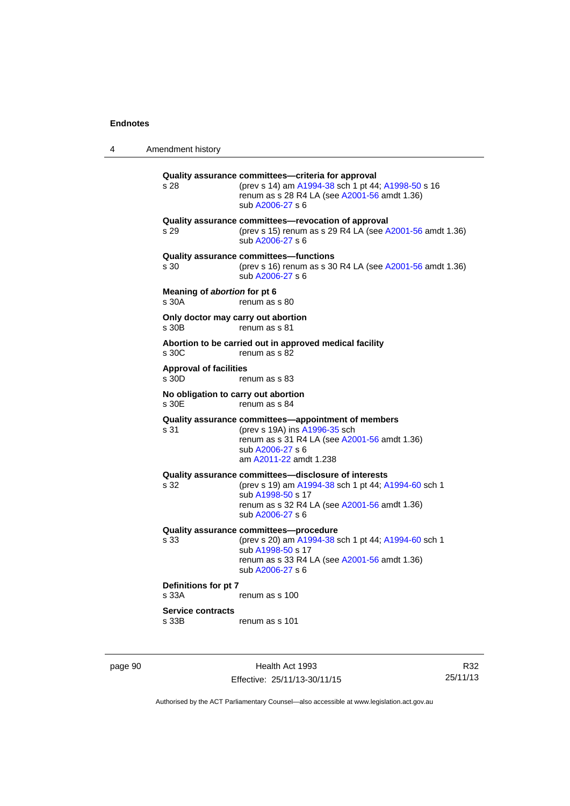4 Amendment history

**Quality assurance committees—criteria for approval** s 28 (prev s 14) am [A1994-38](http://www.legislation.act.gov.au/a/1994-38) sch 1 pt 44; [A1998-50](http://www.legislation.act.gov.au/a/1998-50) s 16 renum as s 28 R4 LA (see [A2001-56](http://www.legislation.act.gov.au/a/2001-56) amdt 1.36) sub [A2006-27](http://www.legislation.act.gov.au/a/2006-27) s 6 **Quality assurance committees—revocation of approval**  s 29 (prev s 15) renum as s 29 R4 LA (see [A2001-56](http://www.legislation.act.gov.au/a/2001-56) amdt 1.36) sub [A2006-27](http://www.legislation.act.gov.au/a/2006-27) s 6 **Quality assurance committees—functions**  s 30 (prev s 16) renum as s 30 R4 LA (see [A2001-56](http://www.legislation.act.gov.au/a/2001-56) amdt 1.36) sub [A2006-27](http://www.legislation.act.gov.au/a/2006-27) s 6 **Meaning of** *abortion* **for pt 6**  s 30A renum as s 80 **Only doctor may carry out abortion**  s 30B renum as s 81 **Abortion to be carried out in approved medical facility**  renum as s 82 **Approval of facilities**  s 30D renum as s 83 **No obligation to carry out abortion**  renum as s 84 **Quality assurance committees—appointment of members** s 31 (prev s 19A) ins [A1996-35](http://www.legislation.act.gov.au/a/1996-35) sch renum as s 31 R4 LA (see [A2001-56](http://www.legislation.act.gov.au/a/2001-56) amdt 1.36) sub [A2006-27](http://www.legislation.act.gov.au/a/2006-27) s 6 am [A2011-22](http://www.legislation.act.gov.au/a/2011-22) amdt 1.238 **Quality assurance committees—disclosure of interests** s 32 (prev s 19) am [A1994-38](http://www.legislation.act.gov.au/a/1994-38) sch 1 pt 44; [A1994-60](http://www.legislation.act.gov.au/a/1994-60) sch 1 sub [A1998-50](http://www.legislation.act.gov.au/a/1998-50) s 17 renum as s 32 R4 LA (see [A2001-56](http://www.legislation.act.gov.au/a/2001-56) amdt 1.36) sub [A2006-27](http://www.legislation.act.gov.au/a/2006-27) s 6 **Quality assurance committees—procedure** (prev s 20) am [A1994-38](http://www.legislation.act.gov.au/a/1994-38) sch 1 pt 44; [A1994-60](http://www.legislation.act.gov.au/a/1994-60) sch 1 sub [A1998-50](http://www.legislation.act.gov.au/a/1998-50) s 17 renum as s 33 R4 LA (see [A2001-56](http://www.legislation.act.gov.au/a/2001-56) amdt 1.36) sub [A2006-27](http://www.legislation.act.gov.au/a/2006-27) s 6 **Definitions for pt 7**  s 33A renum as s 100 **Service contracts**  s 33B renum as s 101

page 90 Health Act 1993 Effective: 25/11/13-30/11/15

R32 25/11/13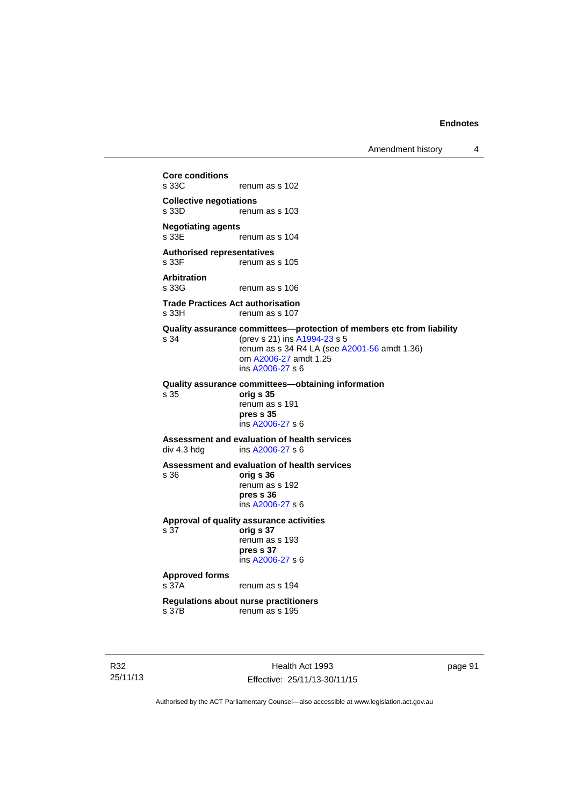Amendment history 4

**Core conditions**  renum as s 102 **Collective negotiations**  renum as s 103 **Negotiating agents**  renum as s 104 **Authorised representatives**  s 33F renum as s 105 **Arbitration**  renum as s 106 **Trade Practices Act authorisation**  s 33H renum as s 107 **Quality assurance committees—protection of members etc from liability** s 34 (prev s 21) ins [A1994-23](http://www.legislation.act.gov.au/a/1994-23) s 5 renum as s 34 R4 LA (see [A2001-56](http://www.legislation.act.gov.au/a/2001-56) amdt 1.36) om [A2006-27](http://www.legislation.act.gov.au/a/2006-27) amdt 1.25 ins [A2006-27](http://www.legislation.act.gov.au/a/2006-27) s 6 **Quality assurance committees—obtaining information** s 35 **orig s 35**  renum as s 191 **pres s 35**  ins [A2006-27](http://www.legislation.act.gov.au/a/2006-27) s 6 **Assessment and evaluation of health services**  div 4.3 hdg ins [A2006-27](http://www.legislation.act.gov.au/a/2006-27) s 6 **Assessment and evaluation of health services**  s 36 **orig s 36**  renum as s 192 **pres s 36**  ins [A2006-27](http://www.legislation.act.gov.au/a/2006-27) s 6 **Approval of quality assurance activities**  s 37 **orig s 37**  renum as s 193 **pres s 37**  ins [A2006-27](http://www.legislation.act.gov.au/a/2006-27) s 6 **Approved forms**  s 37A renum as s 194 **Regulations about nurse practitioners**  s 37B renum as s 195

R32 25/11/13

Health Act 1993 Effective: 25/11/13-30/11/15 page 91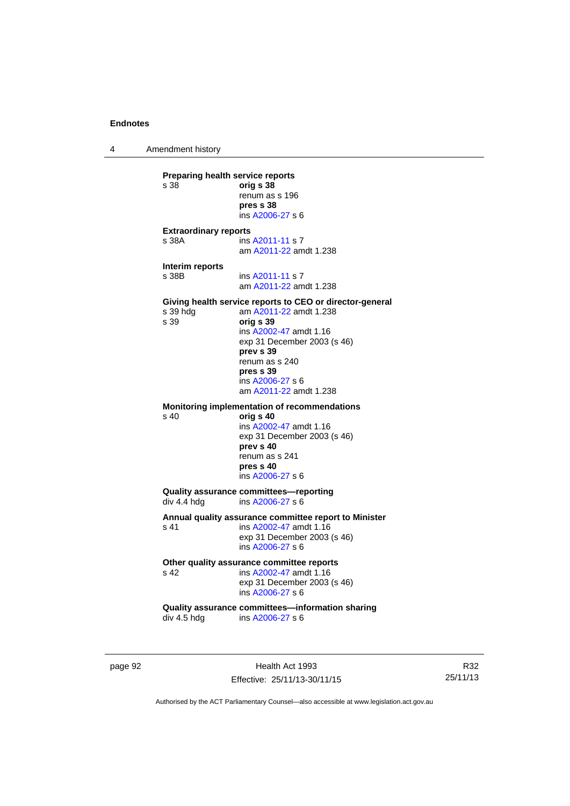4 Amendment history

page 92 Health Act 1993 **Preparing health service reports**<br>
s 38 orig **s 38** s 38 **orig s 38** renum as s 196 **pres s 38**  ins [A2006-27](http://www.legislation.act.gov.au/a/2006-27) s 6 **Extraordinary reports**  s 38A **ins [A2011-11](http://www.legislation.act.gov.au/a/2011-11) s 7**  am [A2011-22](http://www.legislation.act.gov.au/a/2011-22) amdt 1.238 **Interim reports**  s 38B ins [A2011-11](http://www.legislation.act.gov.au/a/2011-11) s 7 am [A2011-22](http://www.legislation.act.gov.au/a/2011-22) amdt 1.238 **Giving health service reports to CEO or director-general**<br>s 39 hdg am A2011-22 amdt 1.238 am [A2011-22](http://www.legislation.act.gov.au/a/2011-22) amdt 1.238 s 39 **orig s 39**  ins [A2002-47](http://www.legislation.act.gov.au/a/2002-47) amdt 1.16 exp 31 December 2003 (s 46) **prev s 39**  renum as s 240 **pres s 39**  ins [A2006-27](http://www.legislation.act.gov.au/a/2006-27) s 6 am [A2011-22](http://www.legislation.act.gov.au/a/2011-22) amdt 1.238 **Monitoring implementation of recommendations**  s 40 **orig s 40**  ins [A2002-47](http://www.legislation.act.gov.au/a/2002-47) amdt 1.16 exp 31 December 2003 (s 46) **prev s 40**  renum as s 241 **pres s 40**  ins [A2006-27](http://www.legislation.act.gov.au/a/2006-27) s 6 **Quality assurance committees—reporting**  div 4.4 hdg ins [A2006-27](http://www.legislation.act.gov.au/a/2006-27) s 6 **Annual quality assurance committee report to Minister**  s 41 ins [A2002-47](http://www.legislation.act.gov.au/a/2002-47) amdt 1.16 exp 31 December 2003 (s 46) ins [A2006-27](http://www.legislation.act.gov.au/a/2006-27) s 6 Other quality assurance committee reports<br>
s 42 **ins A2002-47** amdt 1.16 s 42 ins [A2002-47](http://www.legislation.act.gov.au/a/2002-47) amdt 1.16 exp 31 December 2003 (s 46) ins [A2006-27](http://www.legislation.act.gov.au/a/2006-27) s 6 **Quality assurance committees—information sharing**  div 4.5 hdg ins [A2006-27](http://www.legislation.act.gov.au/a/2006-27) s 6

R32 25/11/13

Authorised by the ACT Parliamentary Counsel—also accessible at www.legislation.act.gov.au

Effective: 25/11/13-30/11/15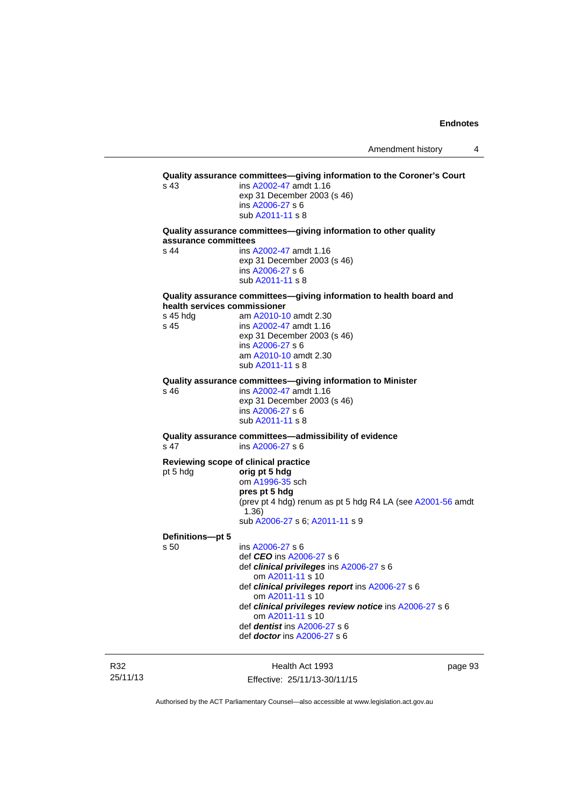| s <sub>43</sub>              | ins A2002-47 amdt 1.16                                                                |
|------------------------------|---------------------------------------------------------------------------------------|
|                              | exp 31 December 2003 (s 46)                                                           |
|                              | ins A2006-27 s 6                                                                      |
|                              | sub A2011-11 s 8                                                                      |
| assurance committees         | Quality assurance committees-giving information to other quality                      |
| s 44                         | ins A2002-47 amdt 1.16                                                                |
|                              | exp 31 December 2003 (s 46)                                                           |
|                              | ins A2006-27 s 6                                                                      |
|                              | sub A2011-11 s 8                                                                      |
| health services commissioner | Quality assurance committees-giving information to health board and                   |
| s 45 hdg                     | am A2010-10 amdt 2.30                                                                 |
| s 45                         | ins A2002-47 amdt 1.16                                                                |
|                              | exp 31 December 2003 (s 46)                                                           |
|                              | ins A2006-27 s 6<br>am A2010-10 amdt 2.30                                             |
|                              | sub A2011-11 s 8                                                                      |
|                              |                                                                                       |
| s 46                         | Quality assurance committees-giving information to Minister<br>ins A2002-47 amdt 1.16 |
|                              | exp 31 December 2003 (s 46)                                                           |
|                              | ins A2006-27 s 6                                                                      |
|                              | sub A2011-11 s 8                                                                      |
| s <sub>47</sub>              | Quality assurance committees-admissibility of evidence<br>ins A2006-27 s 6            |
|                              |                                                                                       |
| pt 5 hdg                     | Reviewing scope of clinical practice<br>orig pt 5 hdg                                 |
|                              | om A1996-35 sch                                                                       |
|                              | pres pt 5 hdg                                                                         |
|                              | (prev pt 4 hdg) renum as pt 5 hdg R4 LA (see A2001-56 amdt                            |
|                              | (1.36)                                                                                |
|                              | sub A2006-27 s 6; A2011-11 s 9                                                        |
| Definitions-pt 5             |                                                                                       |
| s 50                         | ins A2006-27 s 6                                                                      |
|                              | def <i>CEO</i> ins A2006-27 s 6<br>def clinical privileges ins A2006-27 s 6           |
|                              | om A2011-11 s 10                                                                      |
|                              | def clinical privileges report ins A2006-27 s 6                                       |
|                              | om A2011-11 s 10                                                                      |
|                              | def clinical privileges review notice ins A2006-27 s 6                                |
|                              | om A2011-11 s 10<br>def <i>dentist</i> ins $A2006-27$ s 6                             |
|                              |                                                                                       |

R32 25/11/13

Health Act 1993 Effective: 25/11/13-30/11/15 page 93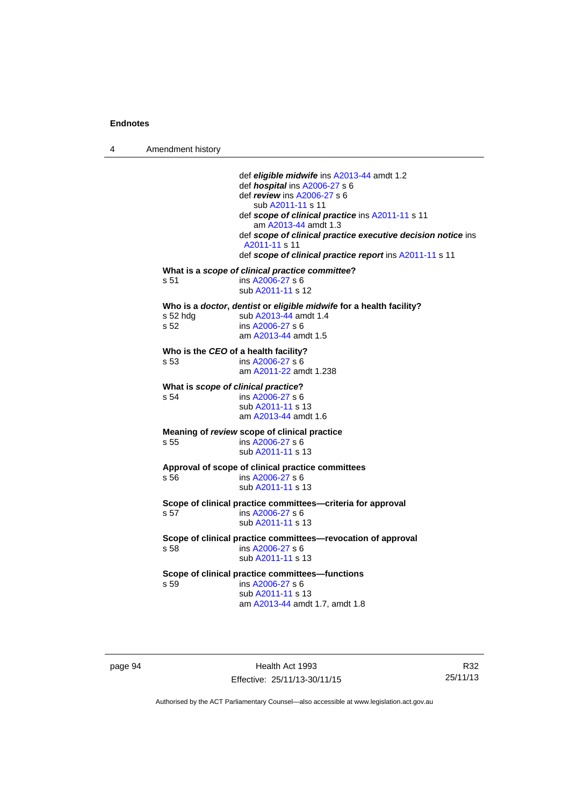4 Amendment history

 def *eligible midwife* ins [A2013-44](http://www.legislation.act.gov.au/a/2013-44) amdt 1.2 def *hospital* ins [A2006-27](http://www.legislation.act.gov.au/a/2006-27) s 6 def *review* ins [A2006-27](http://www.legislation.act.gov.au/a/2006-27) s 6 sub [A2011-11](http://www.legislation.act.gov.au/a/2011-11) s 11 def *scope of clinical practice* ins [A2011-11](http://www.legislation.act.gov.au/a/2011-11) s 11 am [A2013-44](http://www.legislation.act.gov.au/a/2013-44) amdt 1.3 def *scope of clinical practice executive decision notice* ins [A2011-11](http://www.legislation.act.gov.au/a/2011-11) s 11 def *scope of clinical practice report* ins [A2011-11](http://www.legislation.act.gov.au/a/2011-11) s 11 **What is a** *scope of clinical practice committee***?**  s 51 ins [A2006-27](http://www.legislation.act.gov.au/a/2006-27) s 6 sub [A2011-11](http://www.legislation.act.gov.au/a/2011-11) s 12 **Who is a** *doctor***,** *dentist* **or** *eligible midwife* **for a health facility?**  s 52 hdg sub [A2013-44](http://www.legislation.act.gov.au/a/2013-44) amdt 1.4<br>s 52 ins A2006-27 s 6  $ins A2006-27 s 6$  $ins A2006-27 s 6$  $ins A2006-27 s 6$  am [A2013-44](http://www.legislation.act.gov.au/a/2013-44) amdt 1.5 **Who is the** *CEO* **of a health facility?**  s 53 ins [A2006-27](http://www.legislation.act.gov.au/a/2006-27) s 6 am [A2011-22](http://www.legislation.act.gov.au/a/2011-22) amdt 1.238 **What is** *scope of clinical practice***?**  s 54 ins [A2006-27](http://www.legislation.act.gov.au/a/2006-27) s 6 sub [A2011-11](http://www.legislation.act.gov.au/a/2011-11) s 13 am [A2013-44](http://www.legislation.act.gov.au/a/2013-44) amdt 1.6 **Meaning of** *review* **scope of clinical practice**  s 55 ins [A2006-27](http://www.legislation.act.gov.au/a/2006-27) s 6 sub [A2011-11](http://www.legislation.act.gov.au/a/2011-11) s 13 **Approval of scope of clinical practice committees**  s 56 ins [A2006-27](http://www.legislation.act.gov.au/a/2006-27) s 6 sub [A2011-11](http://www.legislation.act.gov.au/a/2011-11) s 13 **Scope of clinical practice committees—criteria for approval**  s 57 ins [A2006-27](http://www.legislation.act.gov.au/a/2006-27) s 6 sub [A2011-11](http://www.legislation.act.gov.au/a/2011-11) s 13 **Scope of clinical practice committees—revocation of approval**  s 58 ins [A2006-27](http://www.legislation.act.gov.au/a/2006-27) s 6 sub [A2011-11](http://www.legislation.act.gov.au/a/2011-11) s 13 **Scope of clinical practice committees—functions**  s 59 ins [A2006-27](http://www.legislation.act.gov.au/a/2006-27) s 6 sub [A2011-11](http://www.legislation.act.gov.au/a/2011-11) s 13 am [A2013-44](http://www.legislation.act.gov.au/a/2013-44) amdt 1.7, amdt 1.8

page 94 Health Act 1993 Effective: 25/11/13-30/11/15

R32 25/11/13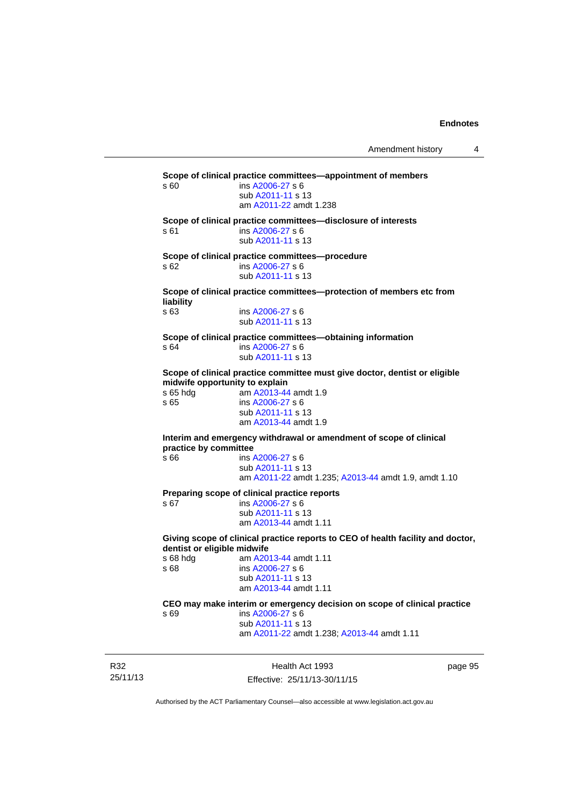Amendment history 4

**Scope of clinical practice committees—appointment of members**  s 60 ins [A2006-27](http://www.legislation.act.gov.au/a/2006-27) s 6 sub [A2011-11](http://www.legislation.act.gov.au/a/2011-11) s 13 am [A2011-22](http://www.legislation.act.gov.au/a/2011-22) amdt 1.238 **Scope of clinical practice committees—disclosure of interests**  s 61 ins [A2006-27](http://www.legislation.act.gov.au/a/2006-27) s 6 sub [A2011-11](http://www.legislation.act.gov.au/a/2011-11) s 13 **Scope of clinical practice committees—procedure**  s 62 ins [A2006-27](http://www.legislation.act.gov.au/a/2006-27) s 6 sub [A2011-11](http://www.legislation.act.gov.au/a/2011-11) s 13 **Scope of clinical practice committees—protection of members etc from liability**  ins [A2006-27](http://www.legislation.act.gov.au/a/2006-27) s 6 sub [A2011-11](http://www.legislation.act.gov.au/a/2011-11) s 13 **Scope of clinical practice committees—obtaining information**  s 64 ins [A2006-27](http://www.legislation.act.gov.au/a/2006-27) s 6 sub [A2011-11](http://www.legislation.act.gov.au/a/2011-11) s 13 **Scope of clinical practice committee must give doctor, dentist or eligible midwife opportunity to explain**<br>s 65 hdg am A2013-44 am [A2013-44](http://www.legislation.act.gov.au/a/2013-44) amdt 1.9 s 65 ins [A2006-27](http://www.legislation.act.gov.au/a/2006-27) s 6 sub [A2011-11](http://www.legislation.act.gov.au/a/2011-11) s 13 am [A2013-44](http://www.legislation.act.gov.au/a/2013-44) amdt 1.9 **Interim and emergency withdrawal or amendment of scope of clinical practice by committee**<br>s 66 **ins** ins [A2006-27](http://www.legislation.act.gov.au/a/2006-27) s 6 sub [A2011-11](http://www.legislation.act.gov.au/a/2011-11) s 13 am [A2011-22](http://www.legislation.act.gov.au/a/2011-22) amdt 1.235; [A2013-44](http://www.legislation.act.gov.au/a/2013-44) amdt 1.9, amdt 1.10 **Preparing scope of clinical practice reports**  s 67 ins [A2006-27](http://www.legislation.act.gov.au/a/2006-27) s 6 sub [A2011-11](http://www.legislation.act.gov.au/a/2011-11) s 13 am [A2013-44](http://www.legislation.act.gov.au/a/2013-44) amdt 1.11 **Giving scope of clinical practice reports to CEO of health facility and doctor, dentist or eligible midwife**  s 68 hdg am [A2013-44](http://www.legislation.act.gov.au/a/2013-44) amdt 1.11 s 68 ins [A2006-27](http://www.legislation.act.gov.au/a/2006-27) s 6 sub [A2011-11](http://www.legislation.act.gov.au/a/2011-11) s 13 am [A2013-44](http://www.legislation.act.gov.au/a/2013-44) amdt 1.11 **CEO may make interim or emergency decision on scope of clinical practice**  s 69 ins [A2006-27](http://www.legislation.act.gov.au/a/2006-27) s 6 sub [A2011-11](http://www.legislation.act.gov.au/a/2011-11) s 13 am [A2011-22](http://www.legislation.act.gov.au/a/2011-22) amdt 1.238; [A2013-44](http://www.legislation.act.gov.au/a/2013-44) amdt 1.11

R32 25/11/13

Health Act 1993 Effective: 25/11/13-30/11/15 page 95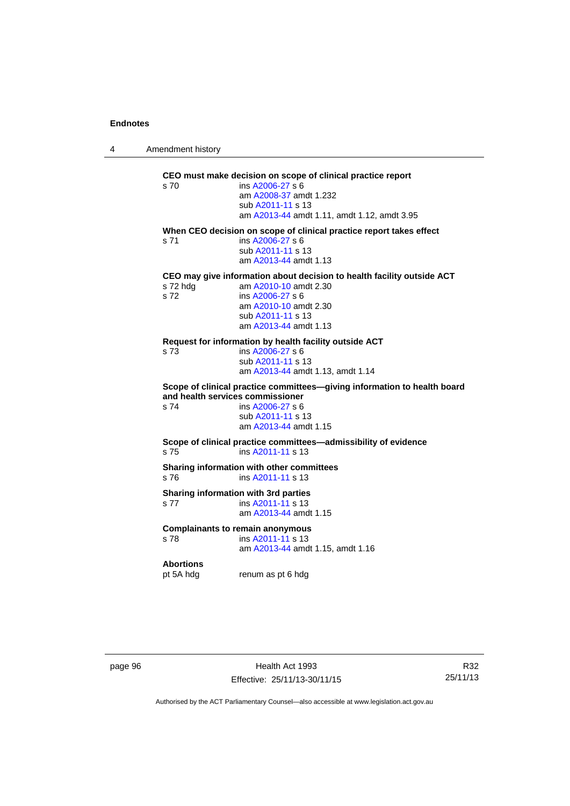4 Amendment history

| s 70                                                                                                         | CEO must make decision on scope of clinical practice report<br>ins A2006-27 s 6<br>am A2008-37 amdt 1.232<br>sub A2011-11 s 13<br>am A2013-44 amdt 1.11, amdt 1.12, amdt 3.95              |  |
|--------------------------------------------------------------------------------------------------------------|--------------------------------------------------------------------------------------------------------------------------------------------------------------------------------------------|--|
| s 71                                                                                                         | When CEO decision on scope of clinical practice report takes effect<br>ins A2006-27 s 6<br>sub A2011-11 s 13<br>am A2013-44 amdt 1.13                                                      |  |
| s 72 hdg<br>s 72                                                                                             | CEO may give information about decision to health facility outside ACT<br>am A2010-10 amdt 2.30<br>ins A2006-27 s 6<br>am A2010-10 amdt 2.30<br>sub A2011-11 s 13<br>am A2013-44 amdt 1.13 |  |
| s 73                                                                                                         | Request for information by health facility outside ACT<br>ins A2006-27 s 6<br>sub A2011-11 s 13<br>am A2013-44 amdt 1.13, amdt 1.14                                                        |  |
| Scope of clinical practice committees-giving information to health board<br>and health services commissioner |                                                                                                                                                                                            |  |
| s 74                                                                                                         | ins A2006-27 s 6<br>sub A2011-11 s 13<br>am A2013-44 amdt 1.15                                                                                                                             |  |
| s 75                                                                                                         | Scope of clinical practice committees—admissibility of evidence<br>ins A2011-11 s 13                                                                                                       |  |
| s76                                                                                                          | Sharing information with other committees<br>ins A2011-11 s 13                                                                                                                             |  |
| s 77                                                                                                         | Sharing information with 3rd parties<br>ins A2011-11 s 13<br>am A2013-44 amdt 1.15                                                                                                         |  |
| s 78                                                                                                         | <b>Complainants to remain anonymous</b><br>ins A2011-11 s 13<br>am A2013-44 amdt 1.15, amdt 1.16                                                                                           |  |
| <b>Abortions</b><br>pt 5A hdg                                                                                | renum as pt 6 hdg                                                                                                                                                                          |  |

page 96 **Health Act 1993** Effective: 25/11/13-30/11/15

R32 25/11/13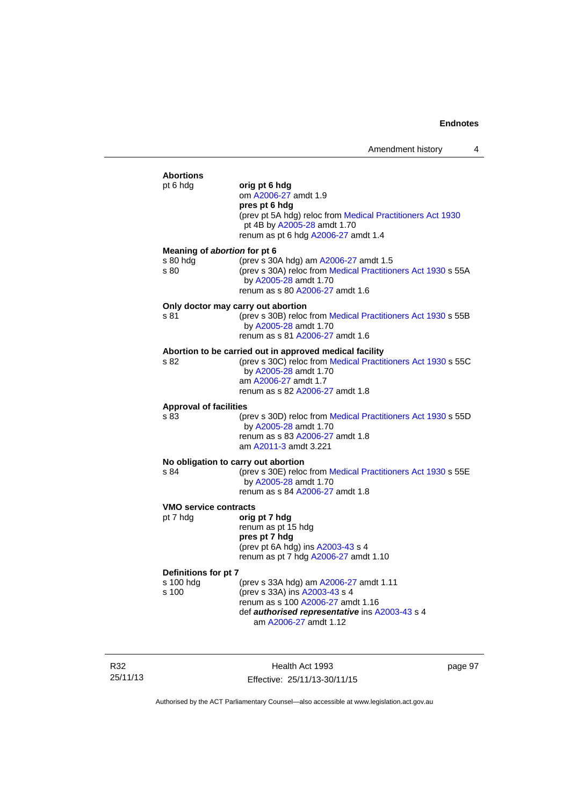| <b>Abortions</b><br>pt 6 hdg                     | orig pt 6 hdg<br>om A2006-27 amdt 1.9<br>pres pt 6 hdg<br>(prev pt 5A hdg) reloc from Medical Practitioners Act 1930<br>pt 4B by A2005-28 amdt 1.70<br>renum as pt 6 hdg A2006-27 amdt 1.4                  |
|--------------------------------------------------|-------------------------------------------------------------------------------------------------------------------------------------------------------------------------------------------------------------|
| Meaning of abortion for pt 6<br>s 80 hdg<br>s 80 | (prev s 30A hdg) am A2006-27 amdt 1.5<br>(prev s 30A) reloc from Medical Practitioners Act 1930 s 55A<br>by A2005-28 amdt 1.70<br>renum as s 80 A2006-27 amdt 1.6                                           |
| s 81                                             | Only doctor may carry out abortion<br>(prev s 30B) reloc from Medical Practitioners Act 1930 s 55B<br>by A2005-28 amdt 1.70<br>renum as s 81 A2006-27 amdt 1.6                                              |
| s 82                                             | Abortion to be carried out in approved medical facility<br>(prev s 30C) reloc from Medical Practitioners Act 1930 s 55C<br>by A2005-28 amdt 1.70<br>am A2006-27 amdt 1.7<br>renum as s 82 A2006-27 amdt 1.8 |
| <b>Approval of facilities</b><br>s 83            | (prev s 30D) reloc from Medical Practitioners Act 1930 s 55D<br>by A2005-28 amdt 1.70<br>renum as s 83 A2006-27 amdt 1.8<br>am A2011-3 amdt 3.221                                                           |
| s 84                                             | No obligation to carry out abortion<br>(prev s 30E) reloc from Medical Practitioners Act 1930 s 55E<br>by A2005-28 amdt 1.70<br>renum as s 84 A2006-27 amdt 1.8                                             |
| <b>VMO service contracts</b><br>pt 7 hdg         | orig pt 7 hdg<br>renum as pt 15 hdg<br>pres pt 7 hdg<br>(prev pt 6A hdg) ins A2003-43 s 4<br>renum as pt 7 hdg A2006-27 amdt 1.10                                                                           |
| Definitions for pt 7<br>s 100 hdg<br>s 100       | (prev s 33A hdg) am A2006-27 amdt 1.11<br>(prev s 33A) ins A2003-43 s 4<br>renum as s 100 A2006-27 amdt 1.16<br>def authorised representative ins A2003-43 s 4                                              |

am [A2006-27](http://www.legislation.act.gov.au/a/2006-27) amdt 1.12

R32 25/11/13

Health Act 1993 Effective: 25/11/13-30/11/15 page 97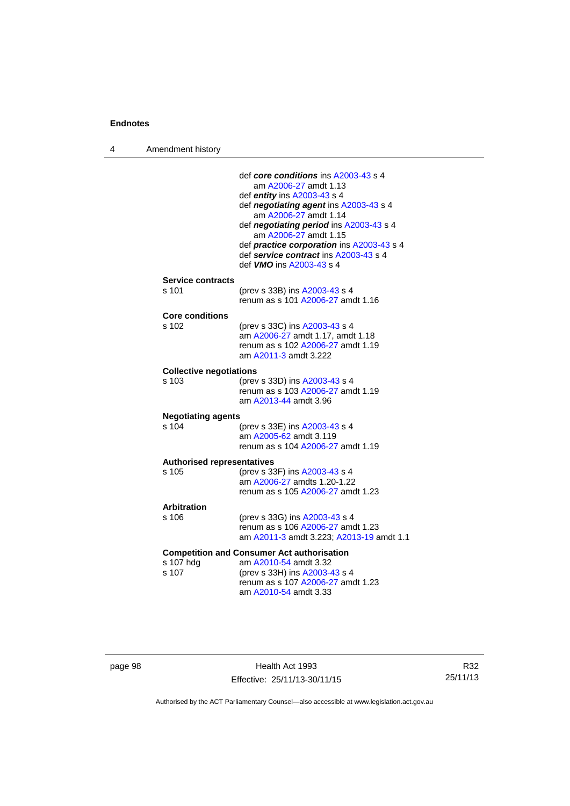4 Amendment history

|                                    | def core conditions ins A2003-43 s 4<br>am A2006-27 amdt 1.13                      |
|------------------------------------|------------------------------------------------------------------------------------|
|                                    | def entity ins A2003-43 s 4                                                        |
|                                    | def negotiating agent ins A2003-43 s 4                                             |
|                                    | am A2006-27 amdt 1.14                                                              |
|                                    | def negotiating period ins A2003-43 s 4<br>am A2006-27 amdt 1.15                   |
|                                    | def practice corporation ins A2003-43 s 4<br>def service contract ins A2003-43 s 4 |
|                                    | def <b>VMO</b> ins A2003-43 s 4                                                    |
| <b>Service contracts</b>           |                                                                                    |
| s 101                              | (prev s 33B) ins A2003-43 s 4                                                      |
|                                    | renum as s 101 A2006-27 amdt 1.16                                                  |
| <b>Core conditions</b>             |                                                                                    |
| s 102                              | (prev s 33C) ins A2003-43 s 4<br>am A2006-27 amdt 1.17, amdt 1.18                  |
|                                    | renum as s 102 A2006-27 amdt 1.19                                                  |
|                                    | am A2011-3 amdt 3.222                                                              |
| <b>Collective negotiations</b>     |                                                                                    |
| s 103                              | (prev s 33D) ins A2003-43 s 4                                                      |
|                                    | renum as s 103 A2006-27 amdt 1.19                                                  |
|                                    | am A2013-44 amdt 3.96                                                              |
| <b>Negotiating agents</b><br>s 104 |                                                                                    |
|                                    | (prev s 33E) ins A2003-43 s 4<br>am A2005-62 amdt 3.119                            |
|                                    | renum as s 104 A2006-27 amdt 1.19                                                  |
| <b>Authorised representatives</b>  |                                                                                    |
| s.105                              | (prev s 33F) ins A2003-43 s 4                                                      |
|                                    | am A2006-27 amdts 1.20-1.22                                                        |
|                                    | renum as s 105 A2006-27 amdt 1.23                                                  |
| <b>Arbitration</b>                 |                                                                                    |
| $s$ 106                            | (prev s 33G) ins A2003-43 s 4<br>renum as s 106 A2006-27 amdt 1.23                 |
|                                    | am A2011-3 amdt 3.223; A2013-19 amdt 1.1                                           |
|                                    | <b>Competition and Consumer Act authorisation</b>                                  |
| s 107 hdg                          | am A2010-54 amdt 3.32                                                              |
| s 107                              | (prev s 33H) ins A2003-43 s 4                                                      |
|                                    | renum as s 107 A2006-27 amdt 1.23<br>am A2010-54 amdt 3.33                         |
|                                    |                                                                                    |
|                                    |                                                                                    |

| page 98 |  |
|---------|--|
|---------|--|

page 198 Health Act 1993 Effective: 25/11/13-30/11/15

R32 25/11/13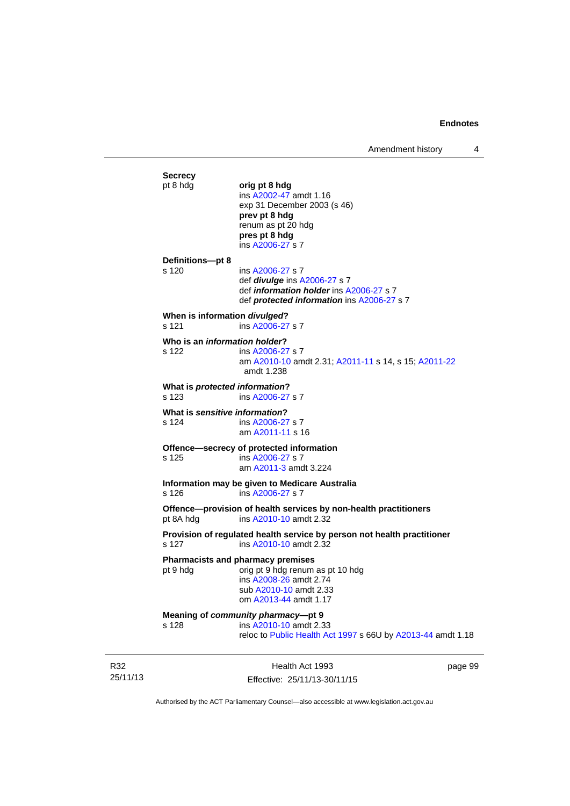Amendment history 4

**Secrecy**<br>pt 8 hdg pt 8 hdg **orig pt 8 hdg**  ins [A2002-47](http://www.legislation.act.gov.au/a/2002-47) amdt 1.16 exp 31 December 2003 (s 46) **prev pt 8 hdg**  renum as pt 20 hdg **pres pt 8 hdg**  ins [A2006-27](http://www.legislation.act.gov.au/a/2006-27) s 7 **Definitions—pt 8**  s 120 ins [A2006-27](http://www.legislation.act.gov.au/a/2006-27) s 7 def *divulge* ins [A2006-27](http://www.legislation.act.gov.au/a/2006-27) s 7 def *information holder* ins [A2006-27](http://www.legislation.act.gov.au/a/2006-27) s 7 def *protected information* ins [A2006-27](http://www.legislation.act.gov.au/a/2006-27) s 7 **When is information** *divulged***?**  s 121 ins [A2006-27](http://www.legislation.act.gov.au/a/2006-27) s 7 **Who is an** *information holder***?**  s 122 ins [A2006-27](http://www.legislation.act.gov.au/a/2006-27) s 7 am [A2010-10](http://www.legislation.act.gov.au/a/2010-10) amdt 2.31; [A2011-11](http://www.legislation.act.gov.au/a/2011-11) s 14, s 15; [A2011-22](http://www.legislation.act.gov.au/a/2011-22) amdt 1.238 **What is** *protected information***?**  s 123 ins [A2006-27](http://www.legislation.act.gov.au/a/2006-27) s 7 **What is** *sensitive information***?**  s 124 ins [A2006-27](http://www.legislation.act.gov.au/a/2006-27) s 7 am [A2011-11](http://www.legislation.act.gov.au/a/2011-11) s 16 **Offence—secrecy of protected information**<br>s 125 **ins A2006-27 s 7** ins [A2006-27](http://www.legislation.act.gov.au/a/2006-27) s 7 am [A2011-3](http://www.legislation.act.gov.au/a/2011-3) amdt 3.224 **Information may be given to Medicare Australia**  s 126 ins [A2006-27](http://www.legislation.act.gov.au/a/2006-27) s 7 **Offence—provision of health services by non-health practitioners**  pt 8A hdg ins [A2010-10](http://www.legislation.act.gov.au/a/2010-10) amdt 2.32 **Provision of regulated health service by person not health practitioner**  s 127 ins [A2010-10](http://www.legislation.act.gov.au/a/2010-10) amdt 2.32 **Pharmacists and pharmacy premises**  pt 9 hdg orig pt 9 hdg renum as pt 10 hdg ins [A2008-26](http://www.legislation.act.gov.au/a/2008-26) amdt 2.74 sub [A2010-10](http://www.legislation.act.gov.au/a/2010-10) amdt 2.33 om [A2013-44](http://www.legislation.act.gov.au/a/2013-44) amdt 1.17 **Meaning of** *community pharmacy***—pt 9**  s 128 ins [A2010-10](http://www.legislation.act.gov.au/a/2010-10) amdt 2.33 reloc to [Public Health Act 1997](http://www.legislation.act.gov.au/a/1997-69) s 66U by [A2013-44](http://www.legislation.act.gov.au/a/2013-44) amdt 1.18

R32 25/11/13

Health Act 1993 Effective: 25/11/13-30/11/15 page 99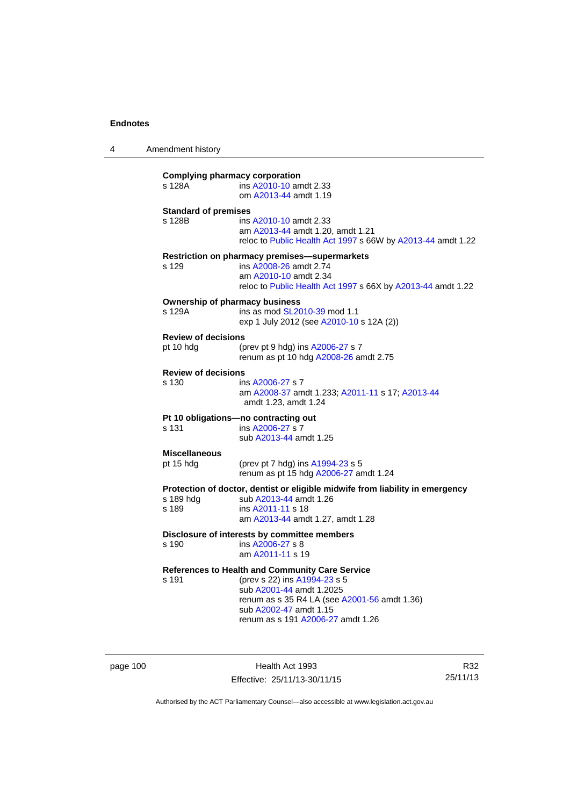4 Amendment history

| <b>Complying pharmacy corporation</b><br>s 128A | ins A2010-10 amdt 2.33<br>om A2013-44 amdt 1.19                                                                                                                                                                                   |
|-------------------------------------------------|-----------------------------------------------------------------------------------------------------------------------------------------------------------------------------------------------------------------------------------|
| <b>Standard of premises</b><br>s 128B           | ins A2010-10 amdt 2.33<br>am A2013-44 amdt 1.20, amdt 1.21<br>reloc to Public Health Act 1997 s 66W by A2013-44 amdt 1.22                                                                                                         |
| s 129                                           | Restriction on pharmacy premises-supermarkets<br>ins A2008-26 amdt 2.74<br>am A2010-10 amdt 2.34<br>reloc to Public Health Act 1997 s 66X by A2013-44 amdt 1.22                                                                   |
| <b>Ownership of pharmacy business</b><br>s 129A | ins as mod SL2010-39 mod 1.1<br>exp 1 July 2012 (see A2010-10 s 12A (2))                                                                                                                                                          |
| <b>Review of decisions</b><br>pt 10 hdg         | (prev pt 9 hdg) ins A2006-27 s 7<br>renum as pt 10 hdg A2008-26 amdt 2.75                                                                                                                                                         |
| <b>Review of decisions</b><br>s 130             | ins A2006-27 s 7<br>am A2008-37 amdt 1.233; A2011-11 s 17; A2013-44<br>amdt 1.23, amdt 1.24                                                                                                                                       |
| s 131                                           | Pt 10 obligations-no contracting out<br>ins A2006-27 s 7<br>sub A2013-44 amdt 1.25                                                                                                                                                |
| <b>Miscellaneous</b><br>pt 15 hdg               | (prev pt 7 hdg) ins A1994-23 s 5<br>renum as pt 15 hdg A2006-27 amdt 1.24                                                                                                                                                         |
| s 189 hdg<br>s 189                              | Protection of doctor, dentist or eligible midwife from liability in emergency<br>sub A2013-44 amdt 1.26<br>ins A2011-11 s 18<br>am A2013-44 amdt 1.27, amdt 1.28                                                                  |
| s 190                                           | Disclosure of interests by committee members<br>ins A2006-27 s 8<br>am A2011-11 s 19                                                                                                                                              |
| s 191                                           | <b>References to Health and Community Care Service</b><br>(prev s 22) ins A1994-23 s 5<br>sub A2001-44 amdt 1.2025<br>renum as s 35 R4 LA (see A2001-56 amdt 1.36)<br>sub A2002-47 amdt 1.15<br>renum as s 191 A2006-27 amdt 1.26 |

page 100 **Health Act 1993** Effective: 25/11/13-30/11/15

R32 25/11/13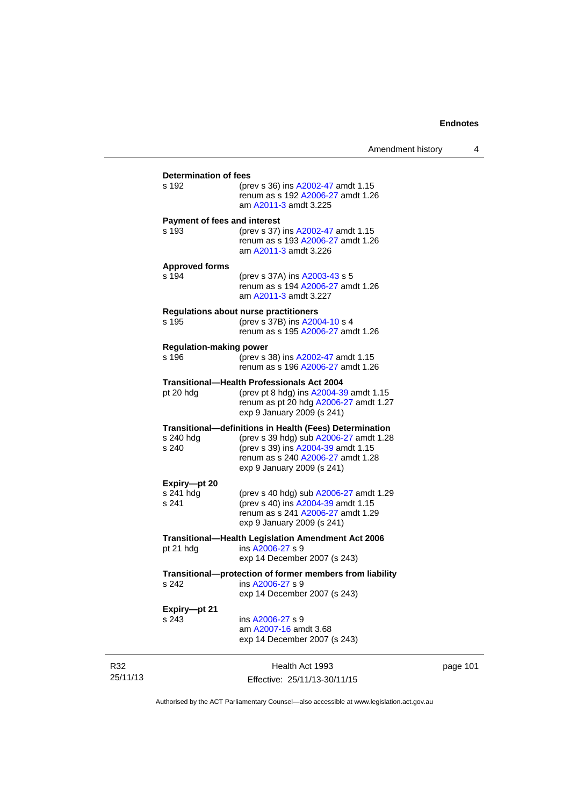| s 192                                   | <b>Determination of fees</b><br>(prev s 36) ins A2002-47 amdt 1.15<br>renum as s 192 A2006-27 amdt 1.26<br>am A2011-3 amdt 3.225                |  |  |  |
|-----------------------------------------|-------------------------------------------------------------------------------------------------------------------------------------------------|--|--|--|
| <b>Payment of fees and interest</b>     |                                                                                                                                                 |  |  |  |
| s 193                                   | (prev s 37) ins A2002-47 amdt 1.15<br>renum as s 193 A2006-27 amdt 1.26<br>am A2011-3 amdt 3.226                                                |  |  |  |
| <b>Approved forms</b>                   |                                                                                                                                                 |  |  |  |
| s 194                                   | (prev s 37A) ins A2003-43 s 5<br>renum as s 194 A2006-27 amdt 1.26<br>am A2011-3 amdt 3.227                                                     |  |  |  |
| s 195                                   | <b>Regulations about nurse practitioners</b><br>(prev s 37B) ins A2004-10 s 4<br>renum as s 195 A2006-27 amdt 1.26                              |  |  |  |
| <b>Regulation-making power</b><br>s 196 | (prev s 38) ins A2002-47 amdt 1.15<br>renum as s 196 A2006-27 amdt 1.26                                                                         |  |  |  |
|                                         | Transitional—Health Professionals Act 2004                                                                                                      |  |  |  |
| pt 20 hdg                               | (prev pt 8 hdg) ins A2004-39 amdt 1.15<br>renum as pt 20 hdg A2006-27 amdt 1.27<br>exp 9 January 2009 (s 241)                                   |  |  |  |
|                                         | <b>Transitional-definitions in Health (Fees) Determination</b>                                                                                  |  |  |  |
| s 240 hdg<br>s 240                      | (prev s 39 hdg) sub A2006-27 amdt 1.28<br>(prev s 39) ins A2004-39 amdt 1.15<br>renum as s 240 A2006-27 amdt 1.28<br>exp 9 January 2009 (s 241) |  |  |  |
| Expiry-pt 20                            |                                                                                                                                                 |  |  |  |
| s 241 hdg<br>s 241                      | (prev s 40 hdg) sub A2006-27 amdt 1.29<br>(prev s 40) ins A2004-39 amdt 1.15<br>renum as s 241 A2006-27 amdt 1.29<br>exp 9 January 2009 (s 241) |  |  |  |
|                                         | Transitional-Health Legislation Amendment Act 2006                                                                                              |  |  |  |
| pt 21 hdg                               | ins A2006-27 s 9<br>exp 14 December 2007 (s 243)                                                                                                |  |  |  |
|                                         | Transitional--protection of former members from liability                                                                                       |  |  |  |
| s 242                                   | ins A2006-27 s 9<br>exp 14 December 2007 (s 243)                                                                                                |  |  |  |
| Expiry-pt 21                            |                                                                                                                                                 |  |  |  |
| s 243                                   | ins A2006-27 s 9<br>am A2007-16 amdt 3.68<br>exp 14 December 2007 (s 243)                                                                       |  |  |  |
|                                         | Health Act 1993                                                                                                                                 |  |  |  |
|                                         | Effective: 25/11/13-30/11/15                                                                                                                    |  |  |  |

page 101

Authorised by the ACT Parliamentary Counsel—also accessible at www.legislation.act.gov.au

R32 25/11/13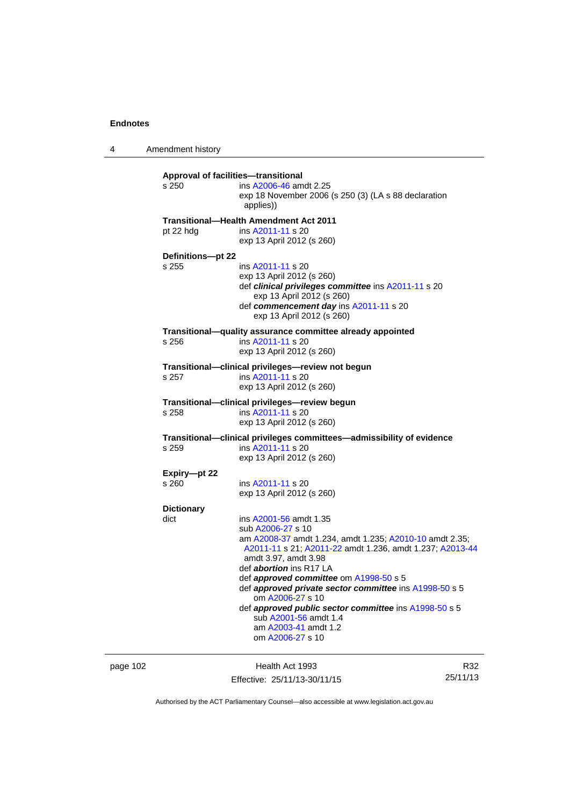4 Amendment history

| s 250                      | <b>Approval of facilities-transitional</b><br>ins A2006-46 amdt 2.25<br>exp 18 November 2006 (s 250 (3) (LA s 88 declaration<br>applies))                                                                                                                                                                                                                                                                                                                                          |
|----------------------------|------------------------------------------------------------------------------------------------------------------------------------------------------------------------------------------------------------------------------------------------------------------------------------------------------------------------------------------------------------------------------------------------------------------------------------------------------------------------------------|
| pt 22 hdg                  | Transitional-Health Amendment Act 2011<br>ins A2011-11 s 20<br>exp 13 April 2012 (s 260)                                                                                                                                                                                                                                                                                                                                                                                           |
| Definitions-pt 22<br>s 255 | ins A2011-11 s 20<br>exp 13 April 2012 (s 260)<br>def clinical privileges committee ins A2011-11 s 20<br>exp 13 April 2012 (s 260)<br>def commencement day ins A2011-11 s 20<br>exp 13 April 2012 (s 260)                                                                                                                                                                                                                                                                          |
| s 256                      | Transitional-quality assurance committee already appointed<br>ins A2011-11 s 20<br>exp 13 April 2012 (s 260)                                                                                                                                                                                                                                                                                                                                                                       |
| s 257                      | Transitional-clinical privileges-review not begun<br>ins A2011-11 s 20<br>exp 13 April 2012 (s 260)                                                                                                                                                                                                                                                                                                                                                                                |
| s 258                      | Transitional—clinical privileges—review begun<br>ins A2011-11 s 20<br>exp 13 April 2012 (s 260)                                                                                                                                                                                                                                                                                                                                                                                    |
| s 259                      | Transitional-clinical privileges committees-admissibility of evidence<br>ins A2011-11 s 20<br>exp 13 April 2012 (s 260)                                                                                                                                                                                                                                                                                                                                                            |
| Expiry-pt 22<br>s 260      | ins A2011-11 s 20<br>exp 13 April 2012 (s 260)                                                                                                                                                                                                                                                                                                                                                                                                                                     |
| <b>Dictionary</b><br>dict  | ins A2001-56 amdt 1.35<br>sub A2006-27 s 10<br>am A2008-37 amdt 1.234, amdt 1.235; A2010-10 amdt 2.35;<br>A2011-11 s 21; A2011-22 amdt 1.236, amdt 1.237; A2013-44<br>amdt 3.97, amdt 3.98<br>def <i>abortion</i> ins R17 LA<br>def approved committee om A1998-50 s 5<br>def approved private sector committee ins A1998-50 s 5<br>om A2006-27 s 10<br>def approved public sector committee ins A1998-50 s 5<br>sub A2001-56 amdt 1.4<br>am A2003-41 amdt 1.2<br>om A2006-27 s 10 |

page 102 **Health Act 1993** Effective: 25/11/13-30/11/15

R32 25/11/13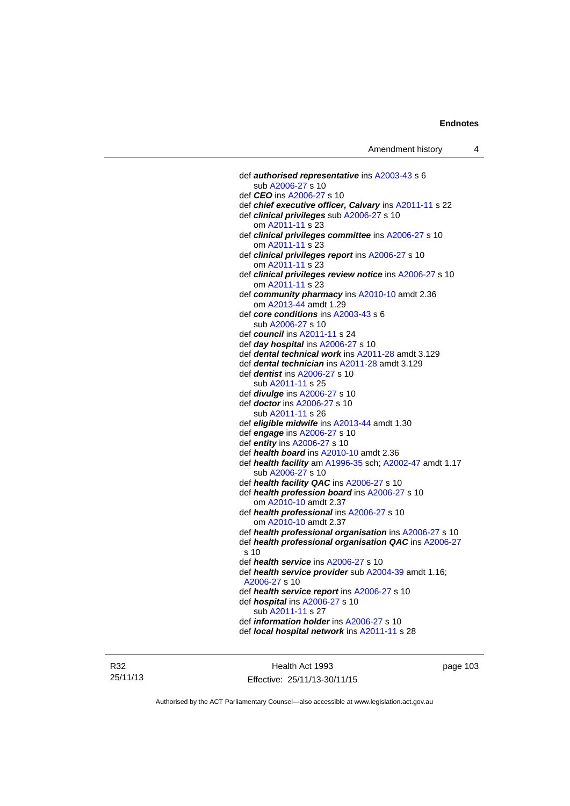def *authorised representative* ins [A2003-43](http://www.legislation.act.gov.au/a/2003-43) s 6 sub [A2006-27](http://www.legislation.act.gov.au/a/2006-27) s 10 def *CEO* ins [A2006-27](http://www.legislation.act.gov.au/a/2006-27) s 10 def *chief executive officer, Calvary* ins [A2011-11](http://www.legislation.act.gov.au/a/2011-11) s 22 def *clinical privileges* sub [A2006-27](http://www.legislation.act.gov.au/a/2006-27) s 10 om [A2011-11](http://www.legislation.act.gov.au/a/2011-11) s 23 def *clinical privileges committee* ins [A2006-27](http://www.legislation.act.gov.au/a/2006-27) s 10 om [A2011-11](http://www.legislation.act.gov.au/a/2011-11) s 23 def *clinical privileges report* ins [A2006-27](http://www.legislation.act.gov.au/a/2006-27) s 10 om [A2011-11](http://www.legislation.act.gov.au/a/2011-11) s 23 def *clinical privileges review notice* ins [A2006-27](http://www.legislation.act.gov.au/a/2006-27) s 10 om [A2011-11](http://www.legislation.act.gov.au/a/2011-11) s 23 def *community pharmacy* ins [A2010-10](http://www.legislation.act.gov.au/a/2010-10) amdt 2.36 om [A2013-44](http://www.legislation.act.gov.au/a/2013-44) amdt 1.29 def *core conditions* ins [A2003-43](http://www.legislation.act.gov.au/a/2003-43) s 6 sub [A2006-27](http://www.legislation.act.gov.au/a/2006-27) s 10 def *council* ins [A2011-11](http://www.legislation.act.gov.au/a/2011-11) s 24 def *day hospital* ins [A2006-27](http://www.legislation.act.gov.au/a/2006-27) s 10 def *dental technical work* ins [A2011-28](http://www.legislation.act.gov.au/a/2011-28) amdt 3.129 def *dental technician* ins [A2011-28](http://www.legislation.act.gov.au/a/2011-28) amdt 3.129 def *dentist* ins [A2006-27](http://www.legislation.act.gov.au/a/2006-27) s 10 sub [A2011-11](http://www.legislation.act.gov.au/a/2011-11) s 25 def *divulge* ins [A2006-27](http://www.legislation.act.gov.au/a/2006-27) s 10 def *doctor* ins [A2006-27](http://www.legislation.act.gov.au/a/2006-27) s 10 sub [A2011-11](http://www.legislation.act.gov.au/a/2011-11) s 26 def *eligible midwife* ins [A2013-44](http://www.legislation.act.gov.au/a/2013-44) amdt 1.30 def *engage* ins [A2006-27](http://www.legislation.act.gov.au/a/2006-27) s 10 def *entity* ins [A2006-27](http://www.legislation.act.gov.au/a/2006-27) s 10 def *health board* ins [A2010-10](http://www.legislation.act.gov.au/a/2010-10) amdt 2.36 def *health facility* am [A1996-35](http://www.legislation.act.gov.au/a/1996-35) sch; [A2002-47](http://www.legislation.act.gov.au/a/2002-47) amdt 1.17 sub [A2006-27](http://www.legislation.act.gov.au/a/2006-27) s 10 def *health facility QAC* ins [A2006-27](http://www.legislation.act.gov.au/a/2006-27) s 10 def *health profession board* ins [A2006-27](http://www.legislation.act.gov.au/a/2006-27) s 10 om [A2010-10](http://www.legislation.act.gov.au/a/2010-10) amdt 2.37 def *health professional* ins [A2006-27](http://www.legislation.act.gov.au/a/2006-27) s 10 om [A2010-10](http://www.legislation.act.gov.au/a/2010-10) amdt 2.37 def *health professional organisation* ins [A2006-27](http://www.legislation.act.gov.au/a/2006-27) s 10 def *health professional organisation QAC* ins [A2006-27](http://www.legislation.act.gov.au/a/2006-27) s 10 def *health service* ins [A2006-27](http://www.legislation.act.gov.au/a/2006-27) s 10 def *health service provider* sub [A2004-39](http://www.legislation.act.gov.au/a/2004-39) amdt 1.16; [A2006-27](http://www.legislation.act.gov.au/a/2006-27) s 10 def *health service report* ins [A2006-27](http://www.legislation.act.gov.au/a/2006-27) s 10 def *hospital* ins [A2006-27](http://www.legislation.act.gov.au/a/2006-27) s 10 sub [A2011-11](http://www.legislation.act.gov.au/a/2011-11) s 27 def *information holder* ins [A2006-27](http://www.legislation.act.gov.au/a/2006-27) s 10 def *local hospital network* ins [A2011-11](http://www.legislation.act.gov.au/a/2011-11) s 28

R32 25/11/13

Health Act 1993 Effective: 25/11/13-30/11/15 page 103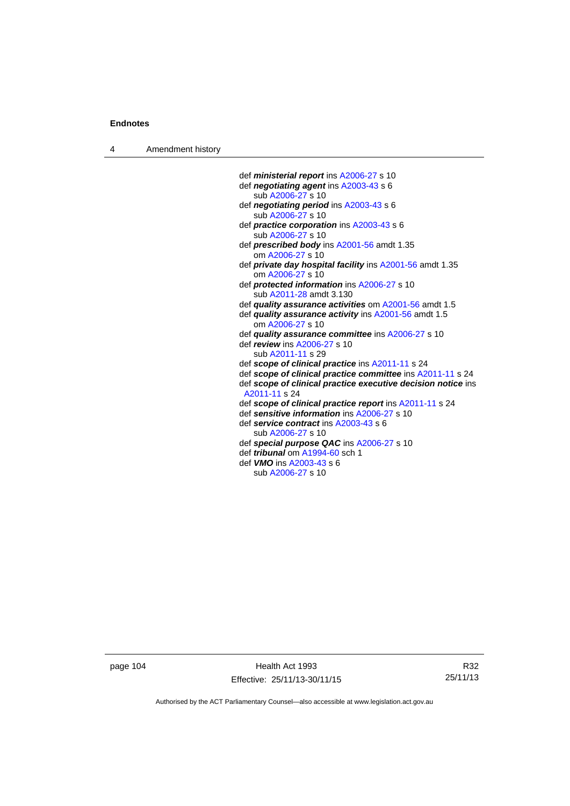4 Amendment history

 def *ministerial report* ins [A2006-27](http://www.legislation.act.gov.au/a/2006-27) s 10 def *negotiating agent* ins [A2003-43](http://www.legislation.act.gov.au/a/2003-43) s 6 sub [A2006-27](http://www.legislation.act.gov.au/a/2006-27) s 10 def *negotiating period* ins [A2003-43](http://www.legislation.act.gov.au/a/2003-43) s 6 sub [A2006-27](http://www.legislation.act.gov.au/a/2006-27) s 10 def *practice corporation* ins [A2003-43](http://www.legislation.act.gov.au/a/2003-43) s 6 sub [A2006-27](http://www.legislation.act.gov.au/a/2006-27) s 10 def *prescribed body* ins [A2001-56](http://www.legislation.act.gov.au/a/2001-56) amdt 1.35 om [A2006-27](http://www.legislation.act.gov.au/a/2006-27) s 10 def *private day hospital facility* ins [A2001-56](http://www.legislation.act.gov.au/a/2001-56) amdt 1.35 om [A2006-27](http://www.legislation.act.gov.au/a/2006-27) s 10 def *protected information* ins [A2006-27](http://www.legislation.act.gov.au/a/2006-27) s 10 sub [A2011-28](http://www.legislation.act.gov.au/a/2011-28) amdt 3.130 def *quality assurance activities* om [A2001-56](http://www.legislation.act.gov.au/a/2001-56) amdt 1.5 def *quality assurance activity* ins [A2001-56](http://www.legislation.act.gov.au/a/2001-56) amdt 1.5 om [A2006-27](http://www.legislation.act.gov.au/a/2006-27) s 10 def *quality assurance committee* ins [A2006-27](http://www.legislation.act.gov.au/a/2006-27) s 10 def *review* ins [A2006-27](http://www.legislation.act.gov.au/a/2006-27) s 10 sub [A2011-11](http://www.legislation.act.gov.au/a/2011-11) s 29 def *scope of clinical practice* ins [A2011-11](http://www.legislation.act.gov.au/a/2011-11) s 24 def *scope of clinical practice committee* ins [A2011-11](http://www.legislation.act.gov.au/a/2011-11) s 24 def *scope of clinical practice executive decision notice* ins [A2011-11](http://www.legislation.act.gov.au/a/2011-11) s 24 def *scope of clinical practice report* ins [A2011-11](http://www.legislation.act.gov.au/a/2011-11) s 24 def *sensitive information* ins [A2006-27](http://www.legislation.act.gov.au/a/2006-27) s 10 def *service contract* ins [A2003-43](http://www.legislation.act.gov.au/a/2003-43) s 6 sub [A2006-27](http://www.legislation.act.gov.au/a/2006-27) s 10 def *special purpose QAC* ins [A2006-27](http://www.legislation.act.gov.au/a/2006-27) s 10 def *tribunal* om [A1994-60](http://www.legislation.act.gov.au/a/1994-60) sch 1 def *VMO* ins [A2003-43](http://www.legislation.act.gov.au/a/2003-43) s 6 sub [A2006-27](http://www.legislation.act.gov.au/a/2006-27) s 10

page 104 Health Act 1993 Effective: 25/11/13-30/11/15

R32 25/11/13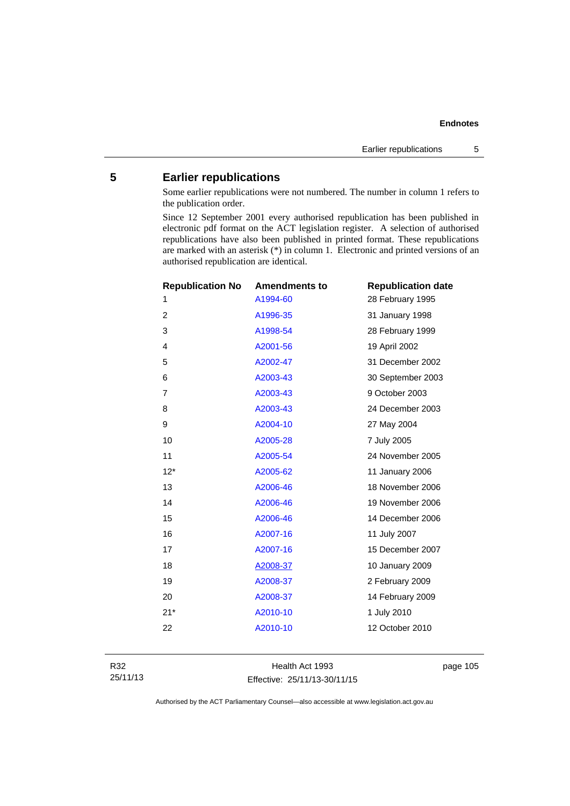# **5 Earlier republications**

Some earlier republications were not numbered. The number in column 1 refers to the publication order.

Since 12 September 2001 every authorised republication has been published in electronic pdf format on the ACT legislation register. A selection of authorised republications have also been published in printed format. These republications are marked with an asterisk (\*) in column 1. Electronic and printed versions of an authorised republication are identical.

| <b>Republication No</b> | <b>Amendments to</b> | <b>Republication date</b> |
|-------------------------|----------------------|---------------------------|
| 1                       | A1994-60             | 28 February 1995          |
| $\overline{2}$          | A1996-35             | 31 January 1998           |
| 3                       | A1998-54             | 28 February 1999          |
| $\overline{4}$          | A2001-56             | 19 April 2002             |
| 5                       | A2002-47             | 31 December 2002          |
| 6                       | A2003-43             | 30 September 2003         |
| $\overline{7}$          | A2003-43             | 9 October 2003            |
| 8                       | A2003-43             | 24 December 2003          |
| 9                       | A2004-10             | 27 May 2004               |
| 10                      | A2005-28             | 7 July 2005               |
| 11                      | A2005-54             | 24 November 2005          |
| $12*$                   | A2005-62             | 11 January 2006           |
| 13                      | A2006-46             | 18 November 2006          |
| 14                      | A2006-46             | 19 November 2006          |
| 15                      | A2006-46             | 14 December 2006          |
| 16                      | A2007-16             | 11 July 2007              |
| 17                      | A2007-16             | 15 December 2007          |
| 18                      | A2008-37             | 10 January 2009           |
| 19                      | A2008-37             | 2 February 2009           |
| 20                      | A2008-37             | 14 February 2009          |
| $21*$                   | A2010-10             | 1 July 2010               |
| 22                      | A2010-10             | 12 October 2010           |
|                         |                      |                           |

Health Act 1993 Effective: 25/11/13-30/11/15 page 105